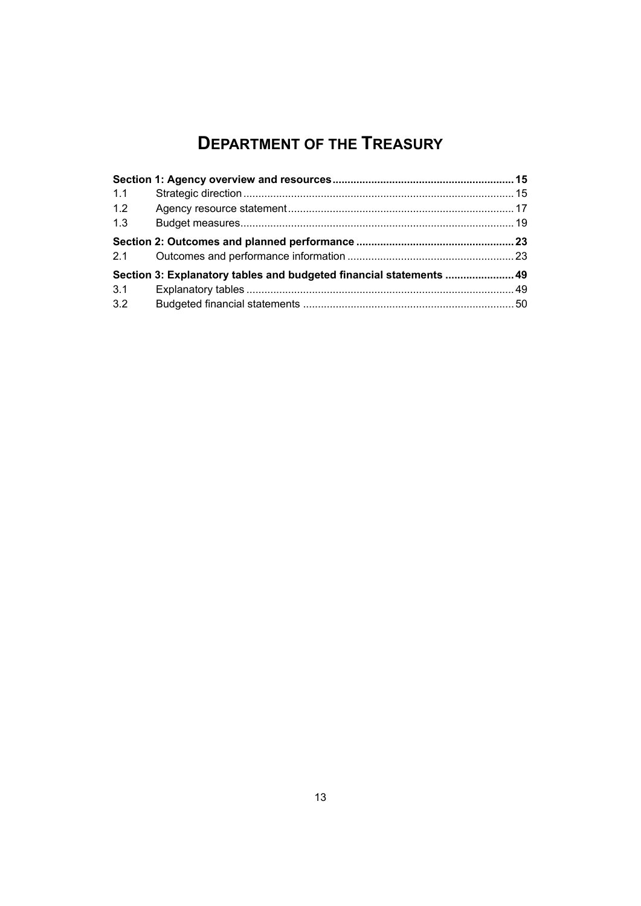# **DEPARTMENT OF THE TREASURY**

<span id="page-0-0"></span>

| 1.1 |                                                                     |  |
|-----|---------------------------------------------------------------------|--|
| 1.2 |                                                                     |  |
| 1.3 |                                                                     |  |
| 2.1 |                                                                     |  |
|     | Section 3: Explanatory tables and budgeted financial statements  49 |  |
| 3.1 |                                                                     |  |
| 3.2 |                                                                     |  |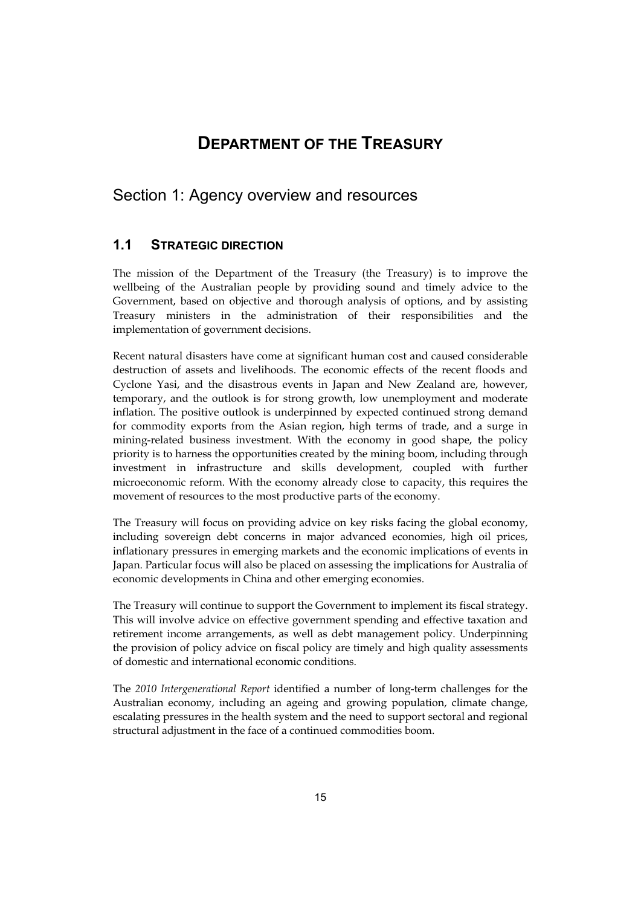# **DEPARTMENT OF THE TREASURY**

# <span id="page-2-0"></span>Section 1: Agency overview and resources

# **1.1 STRATEGIC DIRECTION**

The mission of the Department of the Treasury (the Treasury) is to improve the wellbeing of the Australian people by providing sound and timely advice to the Government, based on objective and thorough analysis of options, and by assisting Treasury ministers in the administration of their responsibilities and the implementation of government decisions.

 destruction of assets and livelihoods. The economic effects of the recent floods and priority is to harness the opportunities created by the mining boom, including through Recent natural disasters have come at significant human cost and caused considerable Cyclone Yasi, and the disastrous events in Japan and New Zealand are, however, temporary, and the outlook is for strong growth, low unemployment and moderate inflation. The positive outlook is underpinned by expected continued strong demand for commodity exports from the Asian region, high terms of trade, and a surge in mining-related business investment. With the economy in good shape, the policy investment in infrastructure and skills development, coupled with further microeconomic reform. With the economy already close to capacity, this requires the movement of resources to the most productive parts of the economy.

The Treasury will focus on providing advice on key risks facing the global economy, including sovereign debt concerns in major advanced economies, high oil prices, inflationary pressures in emerging markets and the economic implications of events in Japan. Particular focus will also be placed on assessing the implications for Australia of economic developments in China and other emerging economies.

The Treasury will continue to support the Government to implement its fiscal strategy. This will involve advice on effective government spending and effective taxation and retirement income arrangements, as well as debt management policy. Underpinning the provision of policy advice on fiscal policy are timely and high quality assessments of domestic and international economic conditions.

The *2010 Intergenerational Report* identified a number of long-term challenges for the Australian economy, including an ageing and growing population, climate change, escalating pressures in the health system and the need to support sectoral and regional structural adjustment in the face of a continued commodities boom.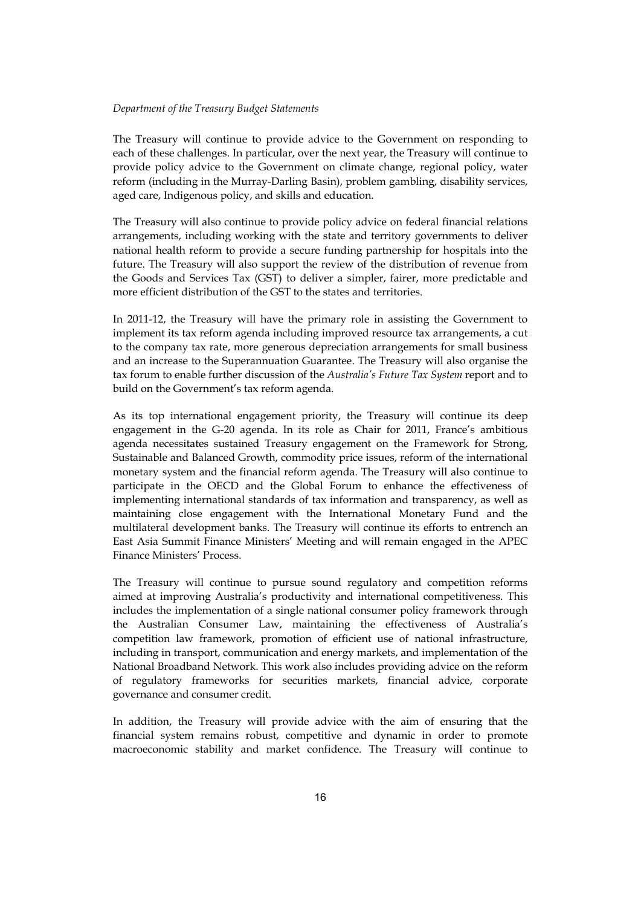### *Department of the Treasury Budget Statements*

The Treasury will continue to provide advice to the Government on responding to each of these challenges. In particular, over the next year, the Treasury will continue to provide policy advice to the Government on climate change, regional policy, water reform (including in the Murray-Darling Basin), problem gambling, disability services, aged care, Indigenous policy, and skills and education.

The Treasury will also continue to provide policy advice on federal financial relations arrangements, including working with the state and territory governments to deliver national health reform to provide a secure funding partnership for hospitals into the future. The Treasury will also support the review of the distribution of revenue from the Goods and Services Tax (GST) to deliver a simpler, fairer, more predictable and more efficient distribution of the GST to the states and territories.

In 2011-12, the Treasury will have the primary role in assisting the Government to implement its tax reform agenda including improved resource tax arrangements, a cut to the company tax rate, more generous depreciation arrangements for small business and an increase to the Superannuation Guarantee. The Treasury will also organise the tax forum to enable further discussion of the *Australia's Future Tax System* report and to build on the Government's tax reform agenda.

 implementing international standards of tax information and transparency, as well as As its top international engagement priority, the Treasury will continue its deep engagement in the G-20 agenda. In its role as Chair for 2011, France's ambitious agenda necessitates sustained Treasury engagement on the Framework for Strong, Sustainable and Balanced Growth, commodity price issues, reform of the international monetary system and the financial reform agenda. The Treasury will also continue to participate in the OECD and the Global Forum to enhance the effectiveness of maintaining close engagement with the International Monetary Fund and the multilateral development banks. The Treasury will continue its efforts to entrench an East Asia Summit Finance Ministers' Meeting and will remain engaged in the APEC Finance Ministers' Process.

The Treasury will continue to pursue sound regulatory and competition reforms aimed at improving Australia's productivity and international competitiveness. This includes the implementation of a single national consumer policy framework through the Australian Consumer Law, maintaining the effectiveness of Australia's competition law framework, promotion of efficient use of national infrastructure, including in transport, communication and energy markets, and implementation of the National Broadband Network. This work also includes providing advice on the reform of regulatory frameworks for securities markets, financial advice, corporate governance and consumer credit.

In addition, the Treasury will provide advice with the aim of ensuring that the financial system remains robust, competitive and dynamic in order to promote macroeconomic stability and market confidence. The Treasury will continue to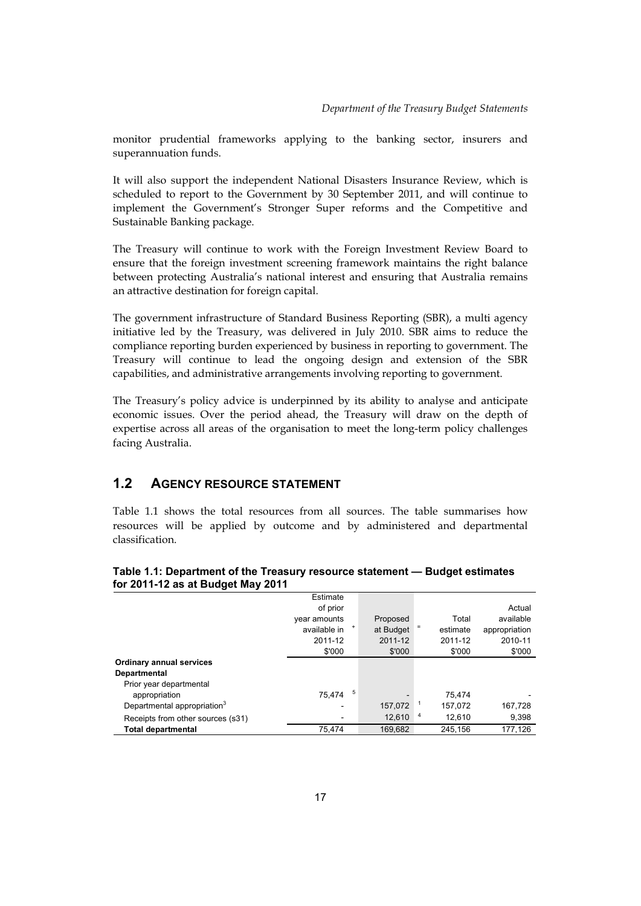monitor prudential frameworks applying to the banking sector, insurers and superannuation funds.

It will also support the independent National Disasters Insurance Review, which is scheduled to report to the Government by 30 September 2011, and will continue to implement the Government's Stronger Super reforms and the Competitive and Sustainable Banking package.

The Treasury will continue to work with the Foreign Investment Review Board to ensure that the foreign investment screening framework maintains the right balance between protecting Australia's national interest and ensuring that Australia remains an attractive destination for foreign capital.

The government infrastructure of Standard Business Reporting (SBR), a multi agency initiative led by the Treasury, was delivered in July 2010. SBR aims to reduce the compliance reporting burden experienced by business in reporting to government. The Treasury will continue to lead the ongoing design and extension of the SBR capabilities, and administrative arrangements involving reporting to government.

 The Treasury's policy advice is underpinned by its ability to analyse and anticipate economic issues. Over the period ahead, the Treasury will draw on the depth of expertise across all areas of the organisation to meet the long-term policy challenges facing Australia.

# **1.2 AGENCY RESOURCE STATEMENT**

Table 1.1 shows the total resources from all sources. The table summarises how resources will be applied by outcome and by administered and departmental classification.

| IUI ZU I I-IZ AS AL DUUYGL MAY ZU I I   |              |   |                          |   |          |               |
|-----------------------------------------|--------------|---|--------------------------|---|----------|---------------|
|                                         | Estimate     |   |                          |   |          |               |
|                                         | of prior     |   |                          |   |          | Actual        |
|                                         | year amounts |   | Proposed                 |   | Total    | available     |
|                                         | available in |   | at Budget                |   | estimate | appropriation |
|                                         | 2011-12      |   | 2011-12                  |   | 2011-12  | 2010-11       |
|                                         | \$'000       |   | \$'000                   |   | \$'000   | \$'000        |
| <b>Ordinary annual services</b>         |              |   |                          |   |          |               |
| Departmental                            |              |   |                          |   |          |               |
| Prior year departmental                 |              |   |                          |   |          |               |
| appropriation                           | 75.474       | 5 | $\overline{\phantom{a}}$ |   | 75.474   |               |
| Departmental appropriation <sup>3</sup> |              |   | 157,072                  |   | 157,072  | 167,728       |
| Receipts from other sources (s31)       |              |   | 12,610                   | 4 | 12,610   | 9,398         |
| <b>Total departmental</b>               | 75.474       |   | 169.682                  |   | 245.156  | 177.126       |

#### **Table 1.1: Department of the Treasury resource statement — Budget estimates for 2011-12 as at Budget May 2011**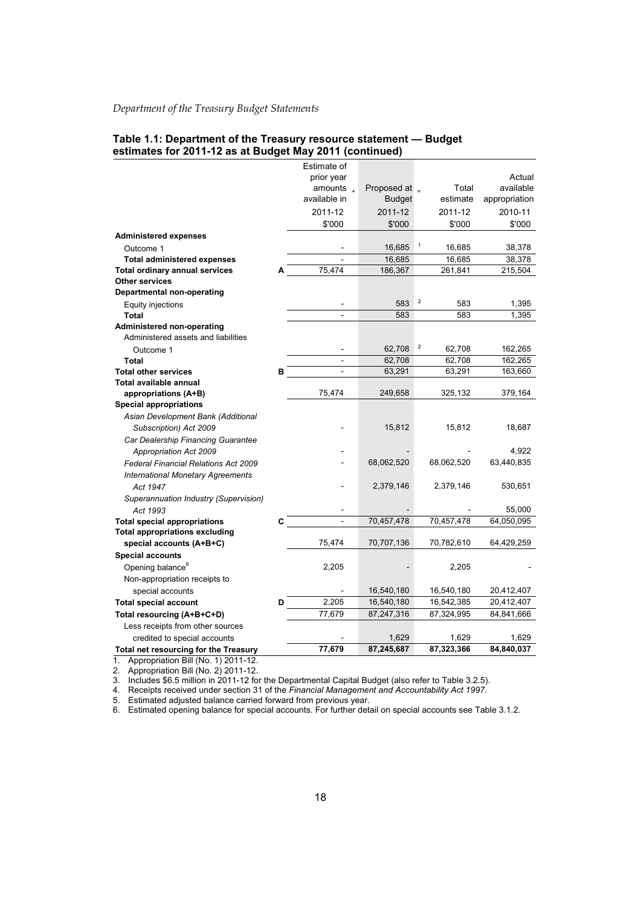| Table 1.1: Department of the Treasury resource statement — Budget |  |
|-------------------------------------------------------------------|--|
| estimates for 2011-12 as at Budget May 2011 (continued)           |  |

|                                           |    | Estimate of            |                 |                                   |               |
|-------------------------------------------|----|------------------------|-----------------|-----------------------------------|---------------|
|                                           |    | prior year             |                 |                                   | Actual        |
|                                           |    | amounts $\overline{a}$ | Proposed at $=$ | Total                             | available     |
|                                           |    | available in           | <b>Budget</b>   | estimate                          | appropriation |
|                                           |    | 2011-12                | 2011-12         | 2011-12                           | 2010-11       |
|                                           |    | \$'000                 | \$'000          | \$'000                            | \$'000        |
| <b>Administered expenses</b>              |    |                        |                 |                                   |               |
| Outcome 1                                 |    |                        | 16,685          | $\mathbf{1}$<br>16,685            | 38,378        |
| <b>Total administered expenses</b>        |    |                        | 16,685          | 16,685                            | 38,378        |
| <b>Total ordinary annual services</b>     | A  | 75,474                 | 186,367         | 261,841                           | 215,504       |
| <b>Other services</b>                     |    |                        |                 |                                   |               |
| <b>Departmental non-operating</b>         |    |                        |                 |                                   |               |
| Equity injections                         |    |                        | 583             | $\overline{\mathbf{c}}$<br>583    | 1,395         |
| <b>Total</b>                              |    |                        | 583             | 583                               | 1,395         |
| Administered non-operating                |    |                        |                 |                                   |               |
| Administered assets and liabilities       |    |                        |                 |                                   |               |
| Outcome 1                                 |    |                        | 62,708          | $\overline{\mathbf{c}}$<br>62,708 | 162,265       |
| <b>Total</b>                              |    |                        | 62,708          | 62,708                            | 162,265       |
| <b>Total other services</b>               | в  | ÷,                     | 63,291          | 63,291                            | 163,660       |
| Total available annual                    |    |                        |                 |                                   |               |
| appropriations (A+B)                      |    | 75,474                 | 249,658         | 325,132                           | 379,164       |
| <b>Special appropriations</b>             |    |                        |                 |                                   |               |
| Asian Development Bank (Additional        |    |                        |                 |                                   |               |
| Subscription) Act 2009                    |    |                        | 15,812          | 15,812                            | 18,687        |
| Car Dealership Financing Guarantee        |    |                        |                 |                                   |               |
| Appropriation Act 2009                    |    |                        |                 |                                   | 4.922         |
| Federal Financial Relations Act 2009      |    |                        | 68,062,520      | 68,062,520                        | 63,440,835    |
| <b>International Monetary Agreements</b>  |    |                        |                 |                                   |               |
| Act 1947                                  |    |                        | 2,379,146       | 2,379,146                         | 530,651       |
| Superannuation Industry (Supervision)     |    |                        |                 |                                   |               |
| Act 1993                                  |    |                        |                 |                                   | 55,000        |
| <b>Total special appropriations</b>       | C. | $\overline{a}$         | 70,457,478      | 70,457,478                        | 64,050,095    |
| <b>Total appropriations excluding</b>     |    |                        |                 |                                   |               |
| special accounts (A+B+C)                  |    | 75,474                 | 70,707,136      | 70,782,610                        | 64,429,259    |
| <b>Special accounts</b>                   |    |                        |                 |                                   |               |
| Opening balance <sup>6</sup>              |    | 2,205                  |                 | 2,205                             |               |
| Non-appropriation receipts to             |    |                        |                 |                                   |               |
| special accounts                          |    |                        | 16,540,180      | 16,540,180                        | 20,412,407    |
| <b>Total special account</b>              | D  | 2,205                  | 16,540,180      | 16,542,385                        | 20,412,407    |
| Total resourcing (A+B+C+D)                |    | 77,679                 | 87,247,316      | 87,324,995                        | 84,841,666    |
| Less receipts from other sources          |    |                        |                 |                                   |               |
| credited to special accounts              |    |                        | 1,629           | 1,629                             | 1,629         |
| Total net resourcing for the Treasury     |    | 77,679                 | 87,245,687      | 87,323,366                        | 84,840,037    |
| Appropriation Bill (No. 1) 2011-12.<br>1. |    |                        |                 |                                   |               |

2. Appropriation Bill (No. 2) 2011-12.

3. Includes \$6.5 million in 2011-12 for the Departmental Capital Budget (also refer to Table 3.2.5).

4. Receipts received under section 31 of the *Financial Management and Accountability Act 1997*.

5. Estimated adjusted balance carried forward from previous year.

6. Estimated opening balance for special accounts. For further detail on special accounts see Table 3.1.2.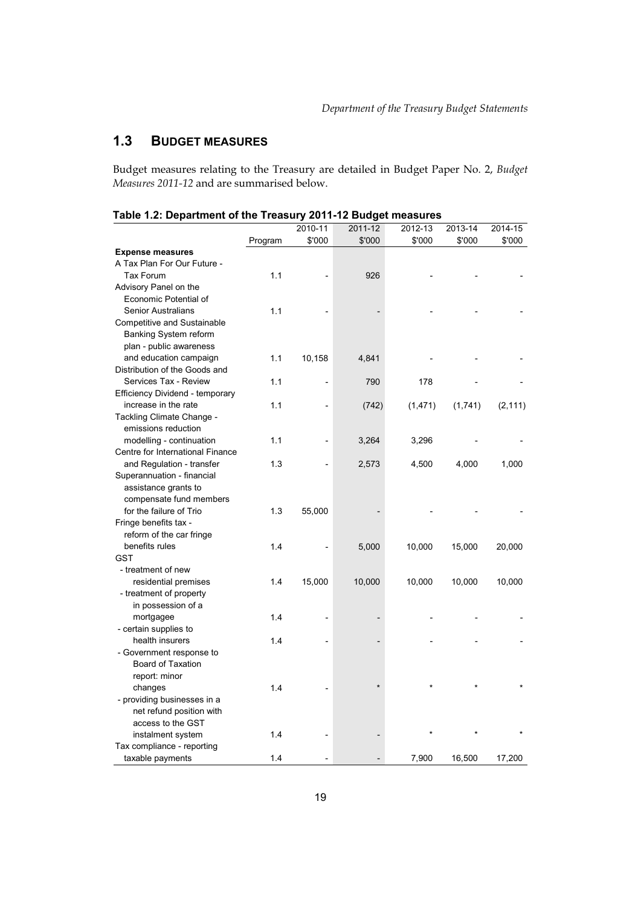# **1.3 BUDGET MEASURES**

Budget measures relating to the Treasury are detailed in Budget Paper No. 2, *Budget Measures 2011-12* and are summarised below.

|                                  |         | 2010-11                      | 2011-12 | 2012-13  | 2013-14 | 2014-15  |
|----------------------------------|---------|------------------------------|---------|----------|---------|----------|
|                                  | Program | \$'000                       | \$'000  | \$'000   | \$'000  | \$'000   |
| <b>Expense measures</b>          |         |                              |         |          |         |          |
| A Tax Plan For Our Future -      |         |                              |         |          |         |          |
| Tax Forum                        | 1.1     |                              | 926     |          |         |          |
| Advisory Panel on the            |         |                              |         |          |         |          |
| Economic Potential of            |         |                              |         |          |         |          |
| <b>Senior Australians</b>        | 1.1     |                              |         |          |         |          |
| Competitive and Sustainable      |         |                              |         |          |         |          |
| Banking System reform            |         |                              |         |          |         |          |
| plan - public awareness          |         |                              |         |          |         |          |
| and education campaign           | 1.1     | 10,158                       | 4,841   |          |         |          |
| Distribution of the Goods and    |         |                              |         |          |         |          |
| Services Tax - Review            | 1.1     |                              | 790     | 178      |         |          |
| Efficiency Dividend - temporary  |         |                              |         |          |         |          |
| increase in the rate             | 1.1     | $\overline{a}$               | (742)   |          |         |          |
| Tackling Climate Change -        |         |                              |         | (1, 471) | (1,741) | (2, 111) |
| emissions reduction              |         |                              |         |          |         |          |
|                                  |         |                              |         |          |         |          |
| modelling - continuation         | 1.1     | $\qquad \qquad \blacksquare$ | 3,264   | 3,296    |         |          |
| Centre for International Finance |         |                              |         |          |         |          |
| and Regulation - transfer        | 1.3     |                              | 2,573   | 4,500    | 4,000   | 1,000    |
| Superannuation - financial       |         |                              |         |          |         |          |
| assistance grants to             |         |                              |         |          |         |          |
| compensate fund members          |         |                              |         |          |         |          |
| for the failure of Trio          | 1.3     | 55,000                       |         |          |         |          |
| Fringe benefits tax -            |         |                              |         |          |         |          |
| reform of the car fringe         |         |                              |         |          |         |          |
| benefits rules                   | 1.4     | $\overline{a}$               | 5,000   | 10,000   | 15,000  | 20,000   |
| <b>GST</b>                       |         |                              |         |          |         |          |
| - treatment of new               |         |                              |         |          |         |          |
| residential premises             | 1.4     | 15,000                       | 10,000  | 10,000   | 10,000  | 10,000   |
| - treatment of property          |         |                              |         |          |         |          |
| in possession of a               |         |                              |         |          |         |          |
| mortgagee                        | 1.4     |                              |         |          |         |          |
| - certain supplies to            |         |                              |         |          |         |          |
| health insurers                  | 1.4     |                              |         |          |         |          |
| - Government response to         |         |                              |         |          |         |          |
| Board of Taxation                |         |                              |         |          |         |          |
| report: minor                    |         |                              |         |          |         |          |
| changes                          | 1.4     |                              |         |          |         |          |
| - providing businesses in a      |         |                              |         |          |         |          |
| net refund position with         |         |                              |         |          |         |          |
| access to the GST                |         |                              |         |          |         |          |
| instalment system                | 1.4     |                              |         |          |         |          |
| Tax compliance - reporting       |         |                              |         |          |         |          |
| taxable payments                 | 1.4     |                              |         | 7,900    | 16,500  | 17,200   |
|                                  |         |                              |         |          |         |          |

#### **Table 1.2: Department of the Treasury 2011-12 Budget measures**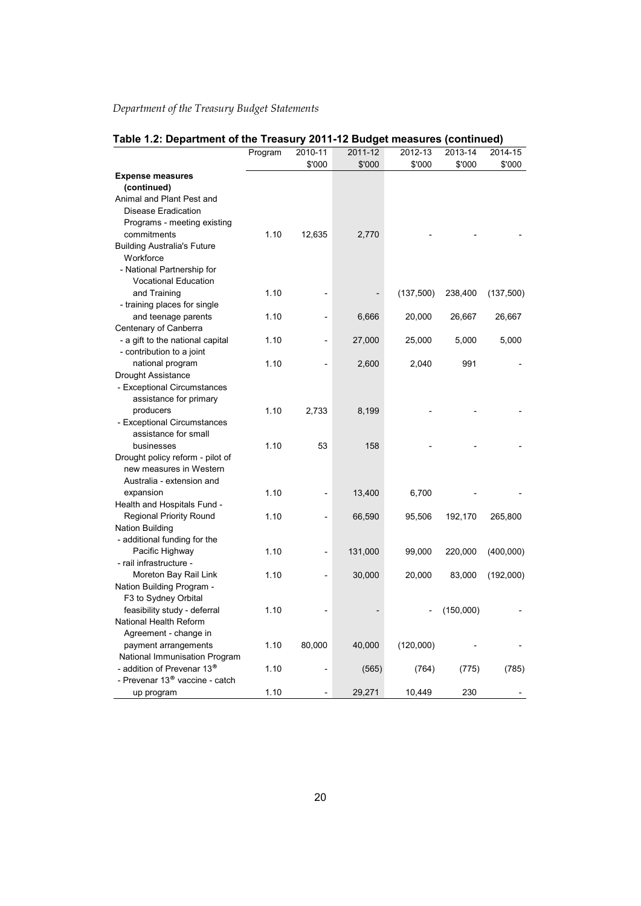|                                                        | Program | 2010-11        | 2011-12 | 2012-13   | 2013-14   | 2014-15   |
|--------------------------------------------------------|---------|----------------|---------|-----------|-----------|-----------|
|                                                        |         | \$'000         | \$'000  | \$'000    | \$'000    | \$'000    |
| <b>Expense measures</b>                                |         |                |         |           |           |           |
| (continued)                                            |         |                |         |           |           |           |
| Animal and Plant Pest and                              |         |                |         |           |           |           |
| <b>Disease Eradication</b>                             |         |                |         |           |           |           |
| Programs - meeting existing                            |         |                |         |           |           |           |
| commitments                                            | 1.10    | 12,635         | 2,770   |           |           |           |
| <b>Building Australia's Future</b>                     |         |                |         |           |           |           |
| Workforce                                              |         |                |         |           |           |           |
| - National Partnership for                             |         |                |         |           |           |           |
| Vocational Education                                   |         |                |         |           |           |           |
| and Training                                           | 1.10    |                |         | (137,500) | 238,400   | (137,500) |
| - training places for single<br>and teenage parents    | 1.10    |                | 6,666   | 20,000    | 26,667    | 26,667    |
| Centenary of Canberra                                  |         |                |         |           |           |           |
| - a gift to the national capital                       | 1.10    | $\overline{a}$ | 27,000  | 25,000    | 5,000     | 5,000     |
| - contribution to a joint                              |         |                |         |           |           |           |
| national program                                       | 1.10    |                | 2,600   | 2,040     | 991       |           |
| Drought Assistance                                     |         |                |         |           |           |           |
| - Exceptional Circumstances                            |         |                |         |           |           |           |
| assistance for primary                                 |         |                |         |           |           |           |
| producers                                              | 1.10    | 2,733          | 8,199   |           |           |           |
| - Exceptional Circumstances                            |         |                |         |           |           |           |
| assistance for small                                   |         |                |         |           |           |           |
| businesses                                             | 1.10    | 53             | 158     |           |           |           |
| Drought policy reform - pilot of                       |         |                |         |           |           |           |
| new measures in Western                                |         |                |         |           |           |           |
| Australia - extension and                              |         |                |         |           |           |           |
| expansion                                              | 1.10    |                | 13,400  | 6,700     |           |           |
| Health and Hospitals Fund -                            |         |                |         |           |           |           |
| <b>Regional Priority Round</b>                         | 1.10    |                | 66,590  | 95,506    | 192,170   | 265,800   |
| <b>Nation Building</b><br>- additional funding for the |         |                |         |           |           |           |
| Pacific Highway                                        | 1.10    | $\overline{a}$ | 131,000 | 99,000    | 220,000   | (400,000) |
| - rail infrastructure -                                |         |                |         |           |           |           |
| Moreton Bay Rail Link                                  | 1.10    | $\overline{a}$ | 30,000  | 20,000    | 83,000    | (192,000) |
| Nation Building Program -                              |         |                |         |           |           |           |
| F3 to Sydney Orbital                                   |         |                |         |           |           |           |
| feasibility study - deferral                           | 1.10    |                |         |           | (150,000) |           |
| National Health Reform                                 |         |                |         |           |           |           |
| Agreement - change in                                  |         |                |         |           |           |           |
| payment arrangements                                   | 1.10    | 80,000         | 40,000  | (120,000) |           |           |
| National Immunisation Program                          |         |                |         |           |           |           |
| - addition of Prevenar 13 <sup>®</sup>                 | 1.10    |                | (565)   | (764)     | (775)     | (785)     |
| - Prevenar 13 <sup>®</sup> vaccine - catch             |         |                |         |           |           |           |
| up program                                             | 1.10    |                | 29,271  | 10,449    | 230       |           |

# **Table 1.2: Department of the Treasury 2011-12 Budget measures (continued)**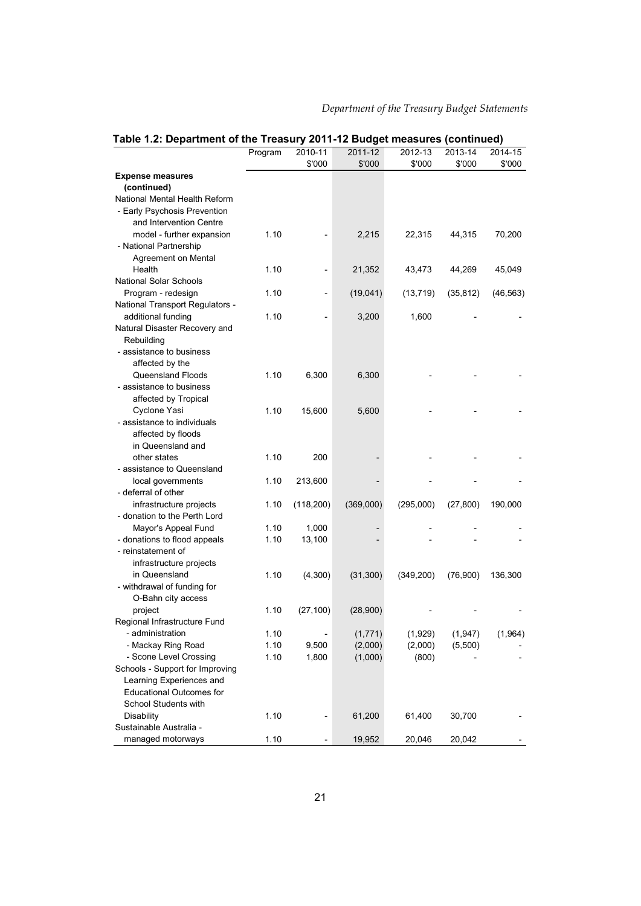| Table 1.2: Department of the Treasury 2011-12 Budget measures (continued) |         |                          |                   |                   |                   |                   |
|---------------------------------------------------------------------------|---------|--------------------------|-------------------|-------------------|-------------------|-------------------|
|                                                                           | Program | 2010-11<br>\$'000        | 2011-12<br>\$'000 | 2012-13<br>\$'000 | 2013-14<br>\$'000 | 2014-15<br>\$'000 |
| <b>Expense measures</b>                                                   |         |                          |                   |                   |                   |                   |
| (continued)                                                               |         |                          |                   |                   |                   |                   |
| National Mental Health Reform                                             |         |                          |                   |                   |                   |                   |
| - Early Psychosis Prevention                                              |         |                          |                   |                   |                   |                   |
| and Intervention Centre                                                   |         |                          |                   |                   |                   |                   |
| model - further expansion                                                 | 1.10    |                          | 2,215             | 22,315            | 44,315            | 70,200            |
| - National Partnership                                                    |         |                          |                   |                   |                   |                   |
| Agreement on Mental                                                       |         |                          |                   |                   |                   |                   |
| Health                                                                    | 1.10    | $\overline{\phantom{0}}$ | 21,352            | 43,473            | 44,269            | 45,049            |
| <b>National Solar Schools</b>                                             |         |                          |                   |                   |                   |                   |
| Program - redesign                                                        | 1.10    | $\overline{a}$           | (19,041)          | (13, 719)         | (35, 812)         | (46, 563)         |
| National Transport Regulators -                                           |         |                          |                   |                   |                   |                   |
| additional funding                                                        | 1.10    |                          | 3,200             | 1,600             |                   |                   |
| Natural Disaster Recovery and                                             |         |                          |                   |                   |                   |                   |
| Rebuilding                                                                |         |                          |                   |                   |                   |                   |
| - assistance to business                                                  |         |                          |                   |                   |                   |                   |
| affected by the                                                           |         |                          |                   |                   |                   |                   |
| Queensland Floods                                                         | 1.10    | 6,300                    | 6,300             |                   |                   |                   |
| - assistance to business                                                  |         |                          |                   |                   |                   |                   |
| affected by Tropical                                                      |         |                          |                   |                   |                   |                   |
| Cyclone Yasi                                                              | 1.10    | 15,600                   | 5,600             |                   |                   |                   |
| - assistance to individuals                                               |         |                          |                   |                   |                   |                   |
| affected by floods                                                        |         |                          |                   |                   |                   |                   |
| in Queensland and                                                         |         |                          |                   |                   |                   |                   |
| other states                                                              | 1.10    | 200                      |                   |                   |                   |                   |
| - assistance to Queensland                                                |         |                          |                   |                   |                   |                   |
| local governments                                                         | 1.10    | 213,600                  |                   |                   |                   |                   |
| - deferral of other                                                       |         |                          |                   |                   |                   |                   |
| infrastructure projects                                                   | 1.10    | (118,200)                | (369,000)         | (295,000)         | (27, 800)         | 190,000           |
| - donation to the Perth Lord                                              |         |                          |                   |                   |                   |                   |
| Mayor's Appeal Fund                                                       | 1.10    | 1,000                    |                   |                   |                   |                   |
| - donations to flood appeals                                              | 1.10    | 13,100                   |                   |                   |                   |                   |
| - reinstatement of                                                        |         |                          |                   |                   |                   |                   |
| infrastructure projects                                                   |         |                          |                   |                   |                   |                   |
| in Queensland                                                             | 1.10    | (4,300)                  | (31, 300)         | (349, 200)        | (76,900)          | 136,300           |
| - withdrawal of funding for                                               |         |                          |                   |                   |                   |                   |
| O-Bahn city access                                                        |         |                          |                   |                   |                   |                   |
| project                                                                   | 1.10    | (27, 100)                | (28,900)          |                   |                   |                   |
| Regional Infrastructure Fund                                              |         |                          |                   |                   |                   |                   |
| - administration                                                          | 1.10    |                          | (1, 771)          | (1,929)           | (1, 947)          | (1,964)           |
| - Mackay Ring Road                                                        | 1.10    | 9,500                    | (2,000)           | (2,000)           | (5,500)           |                   |
| - Scone Level Crossing                                                    | 1.10    | 1,800                    | (1,000)           | (800)             |                   |                   |
| Schools - Support for Improving                                           |         |                          |                   |                   |                   |                   |
| Learning Experiences and                                                  |         |                          |                   |                   |                   |                   |
| <b>Educational Outcomes for</b>                                           |         |                          |                   |                   |                   |                   |
| School Students with                                                      |         |                          |                   |                   |                   |                   |
| Disability                                                                | 1.10    |                          | 61,200            | 61,400            | 30,700            |                   |
| Sustainable Australia -                                                   |         |                          |                   |                   |                   |                   |
| managed motorways                                                         | 1.10    |                          | 19,952            | 20,046            | 20,042            |                   |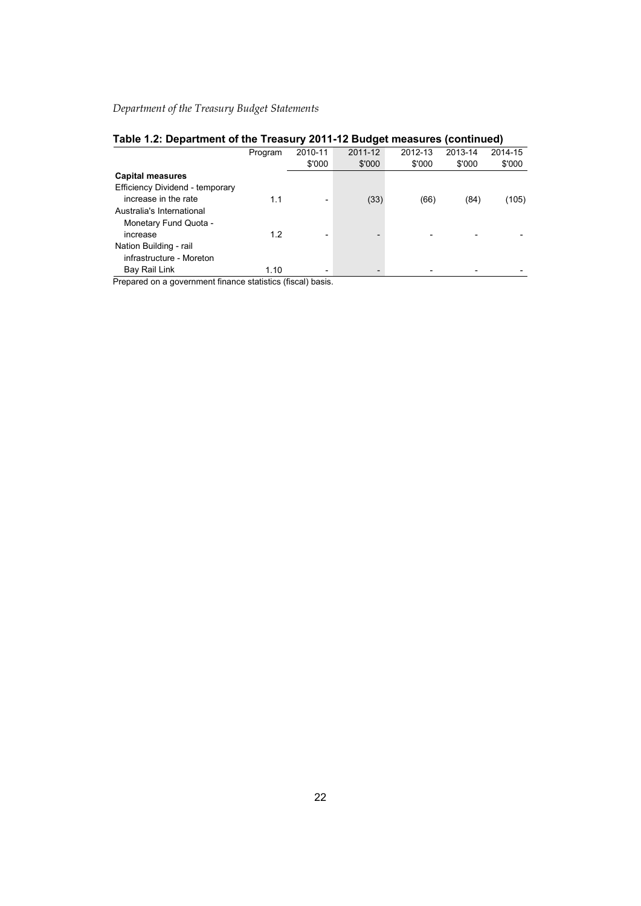| Table 1.2: Department of the Treasury 2011-12 Budget measures (continued) |  |  |  |  |  |  |
|---------------------------------------------------------------------------|--|--|--|--|--|--|
|---------------------------------------------------------------------------|--|--|--|--|--|--|

|                                 | Program | 2010-11                  | 2011-12 | 2012-13 | 2013-14 | 2014-15 |
|---------------------------------|---------|--------------------------|---------|---------|---------|---------|
|                                 |         | \$'000                   | \$'000  | \$'000  | \$'000  | \$'000  |
| <b>Capital measures</b>         |         |                          |         |         |         |         |
| Efficiency Dividend - temporary |         |                          |         |         |         |         |
| increase in the rate            | 1.1     | $\overline{\phantom{a}}$ | (33)    | (66)    | (84)    | (105)   |
| Australia's International       |         |                          |         |         |         |         |
| Monetary Fund Quota -           |         |                          |         |         |         |         |
| increase                        | 1.2     | $\overline{\phantom{0}}$ |         |         |         |         |
| Nation Building - rail          |         |                          |         |         |         |         |
| infrastructure - Moreton        |         |                          |         |         |         |         |
| Bay Rail Link                   | 1.10    | $\overline{\phantom{a}}$ |         |         |         |         |

Prepared on a government finance statistics (fiscal) basis.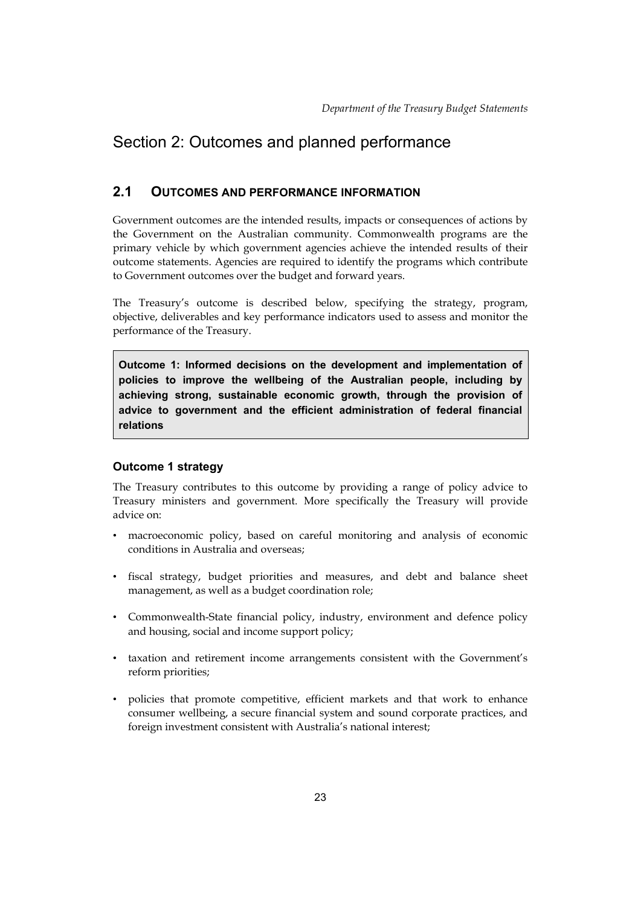# <span id="page-10-0"></span>Section 2: Outcomes and planned performance

# **2.1 OUTCOMES AND PERFORMANCE INFORMATION**

 Government outcomes are the intended results, impacts or consequences of actions by the Government on the Australian community. Commonwealth programs are the primary vehicle by which government agencies achieve the intended results of their outcome statements. Agencies are required to identify the programs which contribute to Government outcomes over the budget and forward years.

The Treasury's outcome is described below, specifying the strategy, program, objective, deliverables and key performance indicators used to assess and monitor the performance of the Treasury.

**Outcome 1: Informed decisions on the development and implementation of policies to improve the wellbeing of the Australian people, including by achieving strong, sustainable economic growth, through the provision of advice to government and the efficient administration of federal financial relations** 

# **Outcome 1 strategy**

The Treasury contributes to this outcome by providing a range of policy advice to Treasury ministers and government. More specifically the Treasury will provide advice on:

- • macroeconomic policy, based on careful monitoring and analysis of economic conditions in Australia and overseas;
- • fiscal strategy, budget priorities and measures, and debt and balance sheet management, as well as a budget coordination role;
- and housing, social and income support policy; • Commonwealth-State financial policy, industry, environment and defence policy
- • taxation and retirement income arrangements consistent with the Government's reform priorities;
- • policies that promote competitive, efficient markets and that work to enhance consumer wellbeing, a secure financial system and sound corporate practices, and foreign investment consistent with Australia's national interest;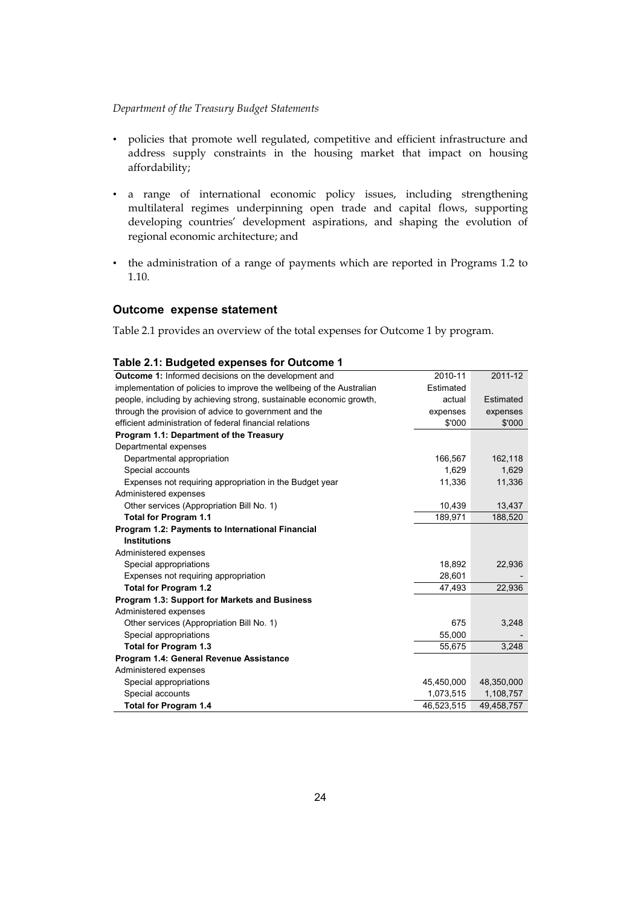- • policies that promote well regulated, competitive and efficient infrastructure and address supply constraints in the housing market that impact on housing affordability;
- • a range of international economic policy issues, including strengthening multilateral regimes underpinning open trade and capital flows, supporting developing countries' development aspirations, and shaping the evolution of regional economic architecture; and
- • the administration of a range of payments which are reported in Programs 1.2 to 1.10.

# **Outcome expense statement**

Table 2.1 provides an overview of the total expenses for Outcome 1 by program.

| <b>Outcome 1:</b> Informed decisions on the development and           | 2010-11    | 2011-12    |
|-----------------------------------------------------------------------|------------|------------|
| implementation of policies to improve the wellbeing of the Australian | Estimated  |            |
| people, including by achieving strong, sustainable economic growth,   | actual     | Estimated  |
| through the provision of advice to government and the                 | expenses   | expenses   |
| efficient administration of federal financial relations               | \$'000     | \$'000     |
| Program 1.1: Department of the Treasury                               |            |            |
| Departmental expenses                                                 |            |            |
| Departmental appropriation                                            | 166,567    | 162,118    |
| Special accounts                                                      | 1,629      | 1,629      |
| Expenses not requiring appropriation in the Budget year               | 11,336     | 11,336     |
| Administered expenses                                                 |            |            |
| Other services (Appropriation Bill No. 1)                             | 10,439     | 13,437     |
| <b>Total for Program 1.1</b>                                          | 189,971    | 188,520    |
| Program 1.2: Payments to International Financial                      |            |            |
| <b>Institutions</b>                                                   |            |            |
| Administered expenses                                                 |            |            |
| Special appropriations                                                | 18,892     | 22,936     |
| Expenses not requiring appropriation                                  | 28,601     |            |
| Total for Program 1.2                                                 | 47,493     | 22,936     |
| Program 1.3: Support for Markets and Business                         |            |            |
| Administered expenses                                                 |            |            |
| Other services (Appropriation Bill No. 1)                             | 675        | 3,248      |
| Special appropriations                                                | 55,000     |            |
| <b>Total for Program 1.3</b>                                          | 55,675     | 3,248      |
| Program 1.4: General Revenue Assistance                               |            |            |
| Administered expenses                                                 |            |            |
| Special appropriations                                                | 45,450,000 | 48,350,000 |
| Special accounts                                                      | 1,073,515  | 1,108,757  |
| <b>Total for Program 1.4</b>                                          | 46,523,515 | 49,458,757 |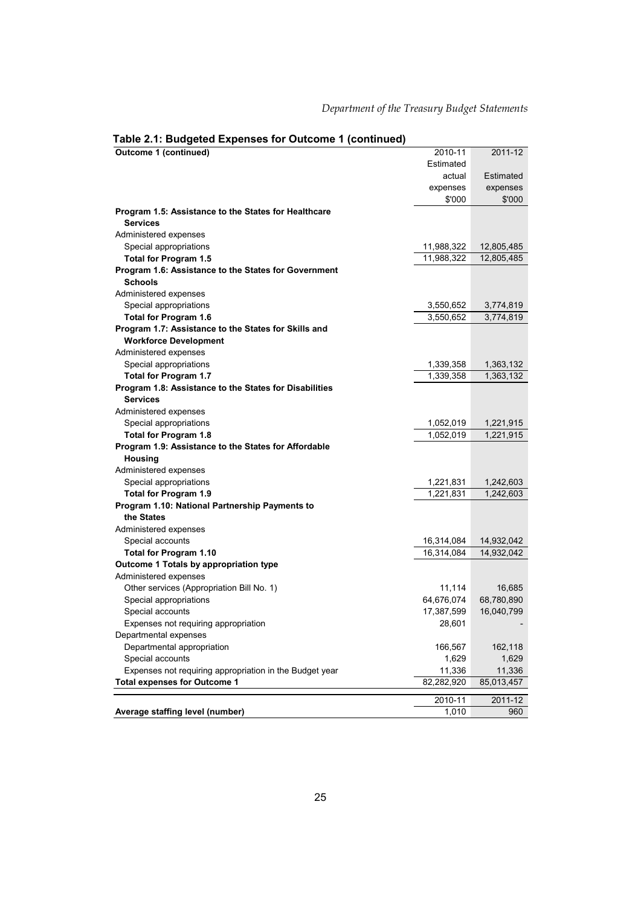# **Table 2.1: Budgeted Expenses for Outcome 1 (continued)**

| Outcome 1 (continued)                                                   | 2010-11                  | 2011-12                  |
|-------------------------------------------------------------------------|--------------------------|--------------------------|
|                                                                         | Estimated                |                          |
|                                                                         | actual                   | Estimated                |
|                                                                         | expenses                 | expenses                 |
|                                                                         | \$'000                   | \$'000                   |
| Program 1.5: Assistance to the States for Healthcare<br><b>Services</b> |                          |                          |
| Administered expenses                                                   |                          |                          |
| Special appropriations                                                  | 11,988,322               | 12,805,485               |
| Total for Program 1.5                                                   | 11,988,322               | 12,805,485               |
| Program 1.6: Assistance to the States for Government<br><b>Schools</b>  |                          |                          |
| Administered expenses                                                   |                          |                          |
| Special appropriations                                                  | 3,550,652                | 3,774,819                |
| Total for Program 1.6                                                   | 3,550,652                | 3,774,819                |
| Program 1.7: Assistance to the States for Skills and                    |                          |                          |
| <b>Workforce Development</b>                                            |                          |                          |
| Administered expenses                                                   |                          |                          |
| Special appropriations                                                  | 1,339,358                | 1,363,132                |
| Total for Program 1.7                                                   | 1,339,358                | 1,363,132                |
| Program 1.8: Assistance to the States for Disabilities                  |                          |                          |
| <b>Services</b>                                                         |                          |                          |
| Administered expenses                                                   |                          |                          |
| Special appropriations                                                  | 1,052,019                | 1,221,915                |
| Total for Program 1.8                                                   | 1,052,019                | 1,221,915                |
| Program 1.9: Assistance to the States for Affordable                    |                          |                          |
| <b>Housing</b>                                                          |                          |                          |
| Administered expenses                                                   |                          |                          |
| Special appropriations                                                  | 1,221,831                | 1,242,603                |
| <b>Total for Program 1.9</b>                                            | 1,221,831                | 1,242,603                |
| Program 1.10: National Partnership Payments to                          |                          |                          |
| the States                                                              |                          |                          |
| Administered expenses                                                   |                          |                          |
|                                                                         |                          |                          |
| Special accounts<br>Total for Program 1.10                              | 16,314,084<br>16,314,084 | 14,932,042<br>14,932,042 |
| Outcome 1 Totals by appropriation type                                  |                          |                          |
| Administered expenses                                                   |                          |                          |
|                                                                         |                          | 16,685                   |
| Other services (Appropriation Bill No. 1)                               | 11,114                   | 68,780,890               |
| Special appropriations                                                  | 64,676,074<br>17,387,599 | 16,040,799               |
| Special accounts                                                        |                          |                          |
| Expenses not requiring appropriation                                    | 28,601                   |                          |
| Departmental expenses                                                   |                          |                          |
| Departmental appropriation                                              | 166,567                  | 162,118                  |
| Special accounts                                                        | 1,629                    | 1,629                    |
| Expenses not requiring appropriation in the Budget year                 | 11,336                   | 11,336                   |
| <b>Total expenses for Outcome 1</b>                                     | 82,282,920               | 85,013,457               |
|                                                                         | 2010-11                  | 2011-12                  |
| Average staffing level (number)                                         | 1,010                    | 960                      |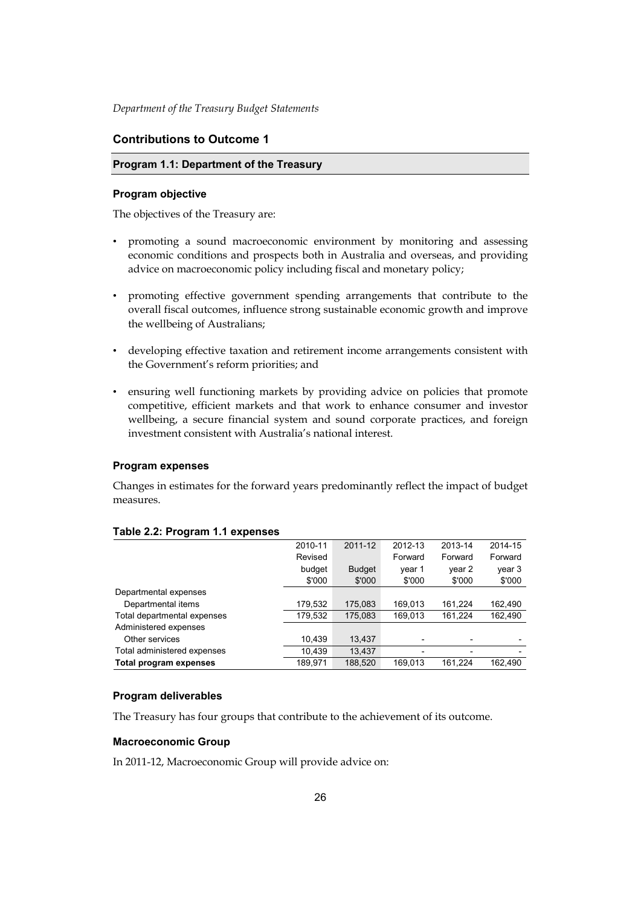## **Contributions to Outcome 1**

#### **Program 1.1: Department of the Treasury**

#### **Program objective**

The objectives of the Treasury are:

- • promoting a sound macroeconomic environment by monitoring and assessing economic conditions and prospects both in Australia and overseas, and providing advice on macroeconomic policy including fiscal and monetary policy;
- • promoting effective government spending arrangements that contribute to the overall fiscal outcomes, influence strong sustainable economic growth and improve the wellbeing of Australians;
- • developing effective taxation and retirement income arrangements consistent with the Government's reform priorities; and
- ensuring well functioning markets by providing advice on policies that promote competitive, efficient markets and that work to enhance consumer and investor wellbeing, a secure financial system and sound corporate practices, and foreign investment consistent with Australia's national interest.

#### **Program expenses**

Changes in estimates for the forward years predominantly reflect the impact of budget measures.

| -                           |         |               |         |         |         |
|-----------------------------|---------|---------------|---------|---------|---------|
|                             | 2010-11 | 2011-12       | 2012-13 | 2013-14 | 2014-15 |
|                             | Revised |               | Forward | Forward | Forward |
|                             | budget  | <b>Budget</b> | year 1  | year 2  | year 3  |
|                             | \$'000  | \$'000        | \$'000  | \$'000  | \$'000  |
| Departmental expenses       |         |               |         |         |         |
| Departmental items          | 179,532 | 175,083       | 169,013 | 161,224 | 162,490 |
| Total departmental expenses | 179,532 | 175,083       | 169.013 | 161,224 | 162,490 |
| Administered expenses       |         |               |         |         |         |
| Other services              | 10,439  | 13,437        |         |         |         |
| Total administered expenses | 10,439  | 13.437        |         | ۰       |         |
| Total program expenses      | 189.971 | 188,520       | 169.013 | 161.224 | 162.490 |

#### **Table 2.2: Program 1.1 expenses**

#### **Program deliverables**

The Treasury has four groups that contribute to the achievement of its outcome.

#### **Macroeconomic Group**

In 2011-12, Macroeconomic Group will provide advice on: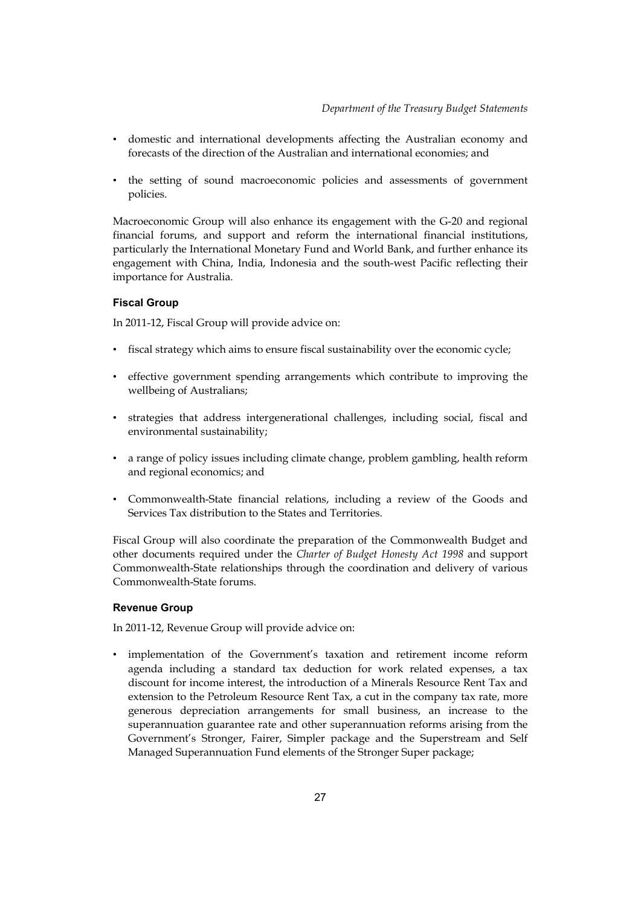- • domestic and international developments affecting the Australian economy and forecasts of the direction of the Australian and international economies; and
- • the setting of sound macroeconomic policies and assessments of government policies.

Macroeconomic Group will also enhance its engagement with the G-20 and regional financial forums, and support and reform the international financial institutions, particularly the International Monetary Fund and World Bank, and further enhance its engagement with China, India, Indonesia and the south-west Pacific reflecting their importance for Australia.

# **Fiscal Group**

In 2011-12, Fiscal Group will provide advice on:

- • fiscal strategy which aims to ensure fiscal sustainability over the economic cycle;
- • effective government spending arrangements which contribute to improving the wellbeing of Australians;
- • strategies that address intergenerational challenges, including social, fiscal and environmental sustainability;
- • a range of policy issues including climate change, problem gambling, health reform and regional economics; and
- • Commonwealth-State financial relations, including a review of the Goods and Services Tax distribution to the States and Territories.

Fiscal Group will also coordinate the preparation of the Commonwealth Budget and other documents required under the *Charter of Budget Honesty Act 1998* and support Commonwealth-State relationships through the coordination and delivery of various Commonwealth-State forums.

# **Revenue Group**

In 2011-12, Revenue Group will provide advice on:

• implementation of the Government's taxation and retirement income reform agenda including a standard tax deduction for work related expenses, a tax discount for income interest, the introduction of a Minerals Resource Rent Tax and extension to the Petroleum Resource Rent Tax, a cut in the company tax rate, more generous depreciation arrangements for small business, an increase to the superannuation guarantee rate and other superannuation reforms arising from the Government's Stronger, Fairer, Simpler package and the Superstream and Self Managed Superannuation Fund elements of the Stronger Super package;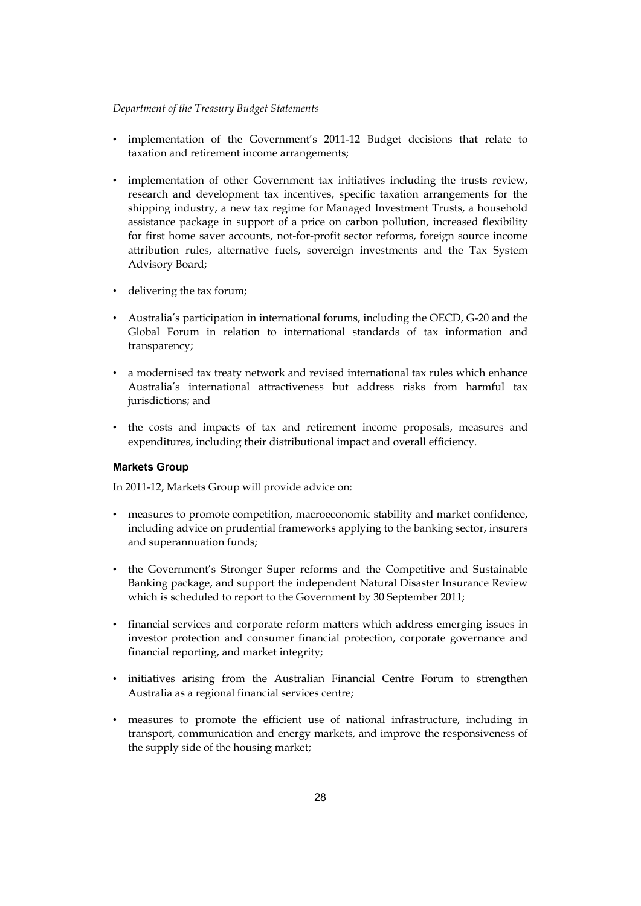- • implementation of the Government's 2011-12 Budget decisions that relate to taxation and retirement income arrangements;
- implementation of other Government tax initiatives including the trusts review, research and development tax incentives, specific taxation arrangements for the shipping industry, a new tax regime for Managed Investment Trusts, a household assistance package in support of a price on carbon pollution, increased flexibility for first home saver accounts, not-for-profit sector reforms, foreign source income attribution rules, alternative fuels, sovereign investments and the Tax System Advisory Board;
- • delivering the tax forum;
- • Australia's participation in international forums, including the OECD, G-20 and the Global Forum in relation to international standards of tax information and transparency;
- • a modernised tax treaty network and revised international tax rules which enhance Australia's international attractiveness but address risks from harmful tax jurisdictions; and
- • the costs and impacts of tax and retirement income proposals, measures and expenditures, including their distributional impact and overall efficiency.

# **Markets Group**

In 2011-12, Markets Group will provide advice on:

- • measures to promote competition, macroeconomic stability and market confidence, including advice on prudential frameworks applying to the banking sector, insurers and superannuation funds;
- the Government's Stronger Super reforms and the Competitive and Sustainable Banking package, and support the independent Natural Disaster Insurance Review which is scheduled to report to the Government by 30 September 2011;
- • financial services and corporate reform matters which address emerging issues in investor protection and consumer financial protection, corporate governance and financial reporting, and market integrity;
- Australia as a regional financial services centre; • initiatives arising from the Australian Financial Centre Forum to strengthen
- • measures to promote the efficient use of national infrastructure, including in transport, communication and energy markets, and improve the responsiveness of the supply side of the housing market;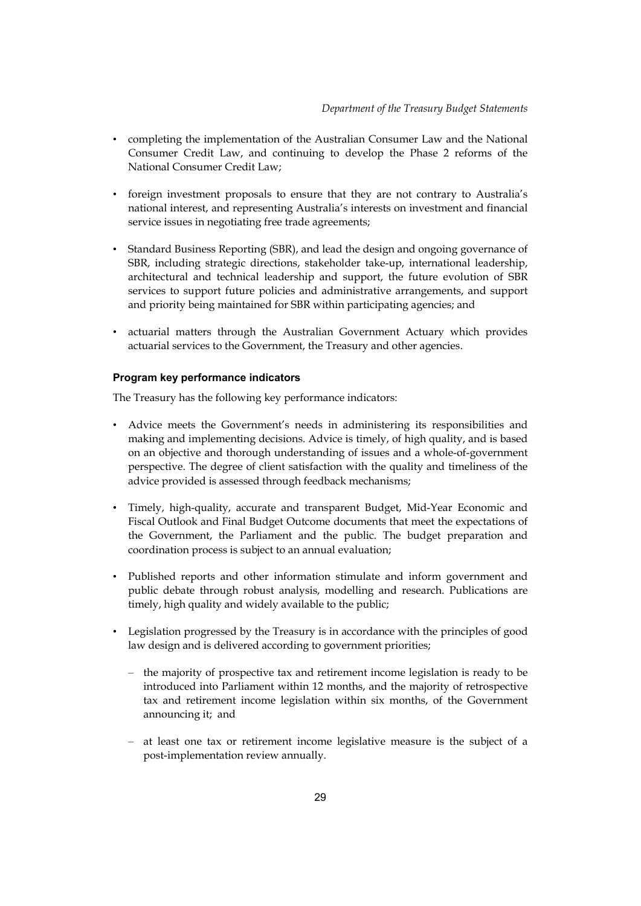- • completing the implementation of the Australian Consumer Law and the National Consumer Credit Law, and continuing to develop the Phase 2 reforms of the National Consumer Credit Law;
- foreign investment proposals to ensure that they are not contrary to Australia's national interest, and representing Australia's interests on investment and financial service issues in negotiating free trade agreements;
- • Standard Business Reporting (SBR), and lead the design and ongoing governance of SBR, including strategic directions, stakeholder take-up, international leadership, architectural and technical leadership and support, the future evolution of SBR services to support future policies and administrative arrangements, and support and priority being maintained for SBR within participating agencies; and
- • actuarial matters through the Australian Government Actuary which provides actuarial services to the Government, the Treasury and other agencies.

# **Program key performance indicators**

The Treasury has the following key performance indicators:

- • Advice meets the Government's needs in administering its responsibilities and making and implementing decisions. Advice is timely, of high quality, and is based on an objective and thorough understanding of issues and a whole-of-government perspective. The degree of client satisfaction with the quality and timeliness of the advice provided is assessed through feedback mechanisms;
- • Timely, high-quality, accurate and transparent Budget, Mid-Year Economic and Fiscal Outlook and Final Budget Outcome documents that meet the expectations of the Government, the Parliament and the public. The budget preparation and coordination process is subject to an annual evaluation;
- timely, high quality and widely available to the public; • Published reports and other information stimulate and inform government and public debate through robust analysis, modelling and research. Publications are
- Legislation progressed by the Treasury is in accordance with the principles of good law design and is delivered according to government priorities;
	- – the majority of prospective tax and retirement income legislation is ready to be introduced into Parliament within 12 months, and the majority of retrospective tax and retirement income legislation within six months, of the Government announcing it; and
	- – at least one tax or retirement income legislative measure is the subject of a post-implementation review annually.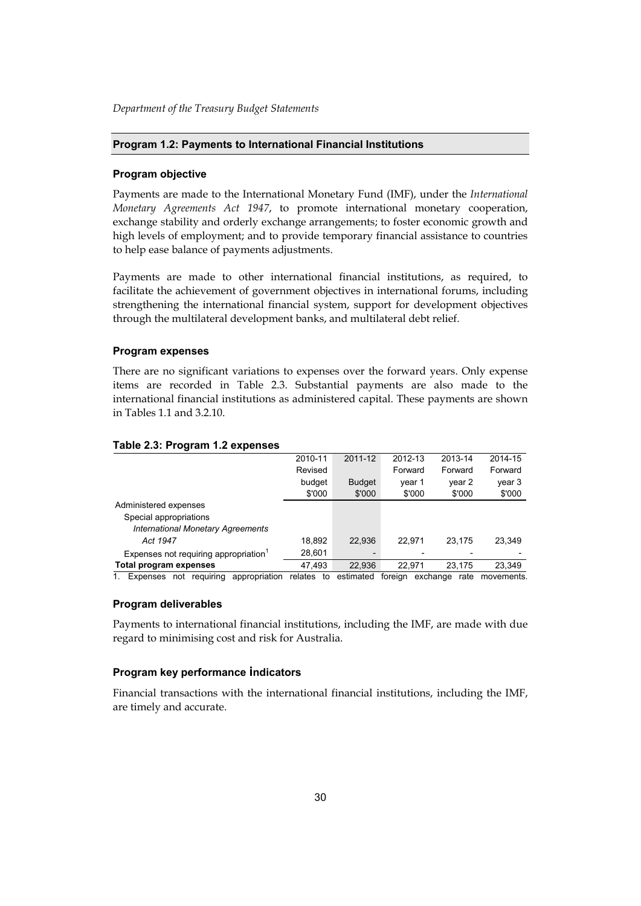#### **Program 1.2: Payments to International Financial Institutions**

#### **Program objective**

Payments are made to the International Monetary Fund (IMF), under the *International Monetary Agreements Act 1947*, to promote international monetary cooperation, exchange stability and orderly exchange arrangements; to foster economic growth and high levels of employment; and to provide temporary financial assistance to countries to help ease balance of payments adjustments.

Payments are made to other international financial institutions, as required, to facilitate the achievement of government objectives in international forums, including strengthening the international financial system, support for development objectives through the multilateral development banks, and multilateral debt relief.

#### **Program expenses**

 in Tables 1.1 and 3.2.10. There are no significant variations to expenses over the forward years. Only expense items are recorded in Table 2.3. Substantial payments are also made to the international financial institutions as administered capital. These payments are shown

|                                            | 2010-11       | 2011-12       | 2012-13 | 2013-14          | 2014-15    |
|--------------------------------------------|---------------|---------------|---------|------------------|------------|
|                                            | Revised       |               | Forward | Forward          | Forward    |
|                                            | budget        | <b>Budget</b> | year 1  | year 2           | year 3     |
|                                            | \$'000        | \$'000        | \$'000  | \$'000           | \$'000     |
| Administered expenses                      |               |               |         |                  |            |
| Special appropriations                     |               |               |         |                  |            |
| <b>International Monetary Agreements</b>   |               |               |         |                  |            |
| Act 1947                                   | 18,892        | 22.936        | 22.971  | 23.175           | 23.349     |
| Expenses not requiring appropriation $1$   | 28,601        |               |         |                  |            |
| <b>Total program expenses</b>              | 47.493        | 22.936        | 22.971  | 23.175           | 23,349     |
| requiring<br>appropriation<br>Expenses not | relates<br>to | estimated     | foreian | rate<br>exchange | movements. |

#### **Table 2.3: Program 1.2 expenses**

# **Program deliverables**

Payments to international financial institutions, including the IMF, are made with due regard to minimising cost and risk for Australia.

## **Program key performance indicators**

Financial transactions with the international financial institutions, including the IMF, are timely and accurate.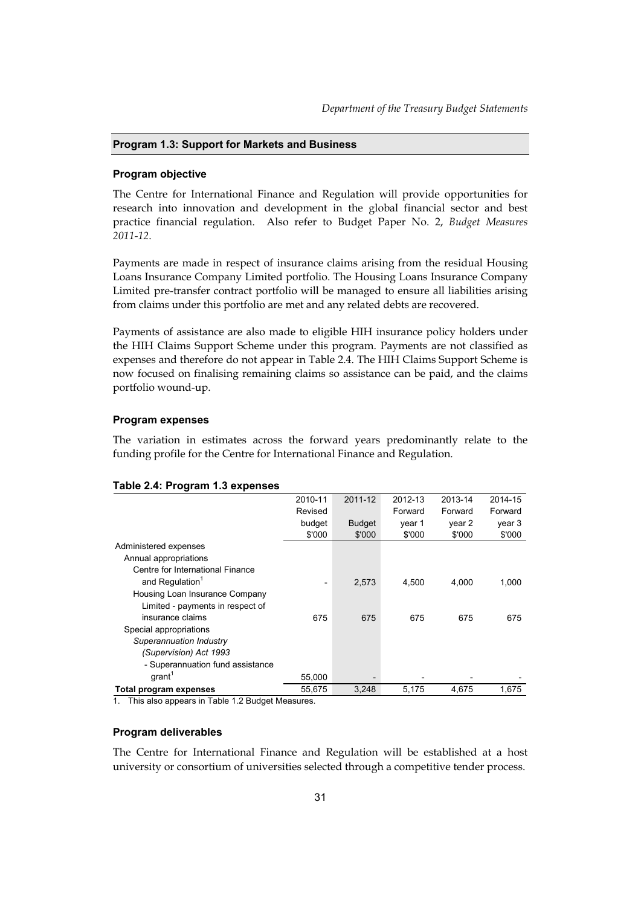#### **Program 1.3: Support for Markets and Business**

#### **Program objective**

The Centre for International Finance and Regulation will provide opportunities for research into innovation and development in the global financial sector and best practice financial regulation. Also refer to Budget Paper No. 2, *Budget Measures 2011-12*.

Payments are made in respect of insurance claims arising from the residual Housing Loans Insurance Company Limited portfolio. The Housing Loans Insurance Company Limited pre-transfer contract portfolio will be managed to ensure all liabilities arising from claims under this portfolio are met and any related debts are recovered.

Payments of assistance are also made to eligible HIH insurance policy holders under the HIH Claims Support Scheme under this program. Payments are not classified as expenses and therefore do not appear in Table 2.4. The HIH Claims Support Scheme is now focused on finalising remaining claims so assistance can be paid, and the claims portfolio wound-up.

#### **Program expenses**

The variation in estimates across the forward years predominantly relate to the funding profile for the Centre for International Finance and Regulation.

|                                  | 2010-11                  | 2011-12       | 2012-13 | 2013-14 | 2014-15 |
|----------------------------------|--------------------------|---------------|---------|---------|---------|
|                                  | Revised                  |               | Forward | Forward | Forward |
|                                  | budget                   | <b>Budget</b> | year 1  | year 2  | year 3  |
|                                  | \$'000                   | \$'000        | \$'000  | \$'000  | \$'000  |
| Administered expenses            |                          |               |         |         |         |
| Annual appropriations            |                          |               |         |         |         |
| Centre for International Finance |                          |               |         |         |         |
| and Regulation <sup>1</sup>      | $\overline{\phantom{a}}$ | 2,573         | 4,500   | 4,000   | 1,000   |
| Housing Loan Insurance Company   |                          |               |         |         |         |
| Limited - payments in respect of |                          |               |         |         |         |
| insurance claims                 | 675                      | 675           | 675     | 675     | 675     |
| Special appropriations           |                          |               |         |         |         |
| Superannuation Industry          |                          |               |         |         |         |
| (Supervision) Act 1993           |                          |               |         |         |         |
| - Superannuation fund assistance |                          |               |         |         |         |
| $q$ rant <sup>1</sup>            | 55,000                   |               |         |         |         |
| Total program expenses           | 55,675                   | 3,248         | 5,175   | 4.675   | 1.675   |

#### **Table 2.4: Program 1.3 expenses**

1. This also appears in Table 1.2 Budget Measures.

#### **Program deliverables**

The Centre for International Finance and Regulation will be established at a host university or consortium of universities selected through a competitive tender process.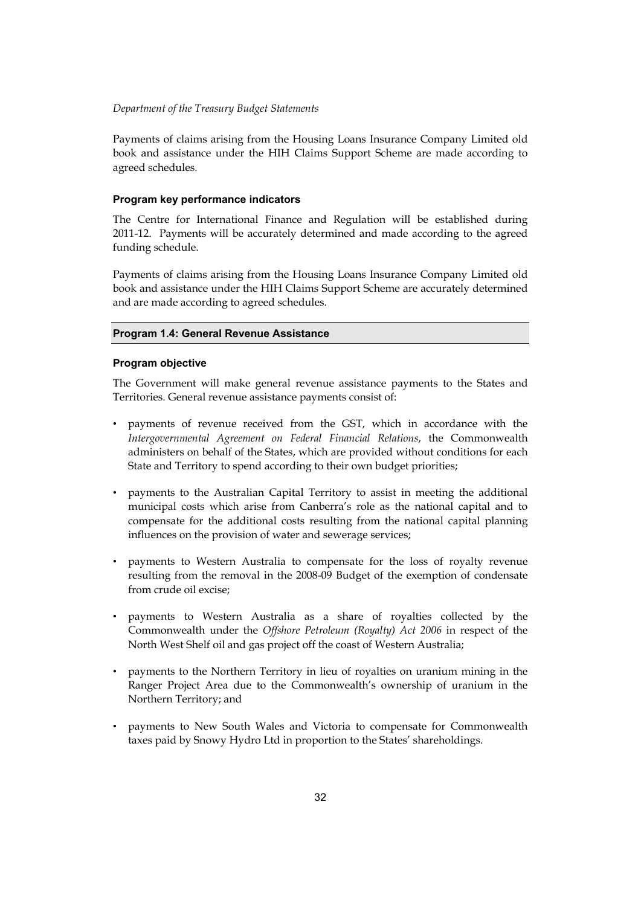Payments of claims arising from the Housing Loans Insurance Company Limited old book and assistance under the HIH Claims Support Scheme are made according to agreed schedules.

### **Program key performance indicators**

The Centre for International Finance and Regulation will be established during 2011-12. Payments will be accurately determined and made according to the agreed funding schedule.

Payments of claims arising from the Housing Loans Insurance Company Limited old book and assistance under the HIH Claims Support Scheme are accurately determined and are made according to agreed schedules.

#### **Program 1.4: General Revenue Assistance**

#### **Program objective**

The Government will make general revenue assistance payments to the States and Territories. General revenue assistance payments consist of:

- • payments of revenue received from the GST, which in accordance with the *Intergovernmental Agreement on Federal Financial Relations*, the Commonwealth administers on behalf of the States, which are provided without conditions for each State and Territory to spend according to their own budget priorities;
- influences on the provision of water and sewerage services; • payments to the Australian Capital Territory to assist in meeting the additional municipal costs which arise from Canberra's role as the national capital and to compensate for the additional costs resulting from the national capital planning
- • payments to Western Australia to compensate for the loss of royalty revenue resulting from the removal in the 2008-09 Budget of the exemption of condensate from crude oil excise;
- • payments to Western Australia as a share of royalties collected by the Commonwealth under the *Offshore Petroleum (Royalty) Act 2006* in respect of the North West Shelf oil and gas project off the coast of Western Australia;
- • payments to the Northern Territory in lieu of royalties on uranium mining in the Ranger Project Area due to the Commonwealth's ownership of uranium in the Northern Territory; and
- payments to New South Wales and Victoria to compensate for Commonwealth taxes paid by Snowy Hydro Ltd in proportion to the States' shareholdings.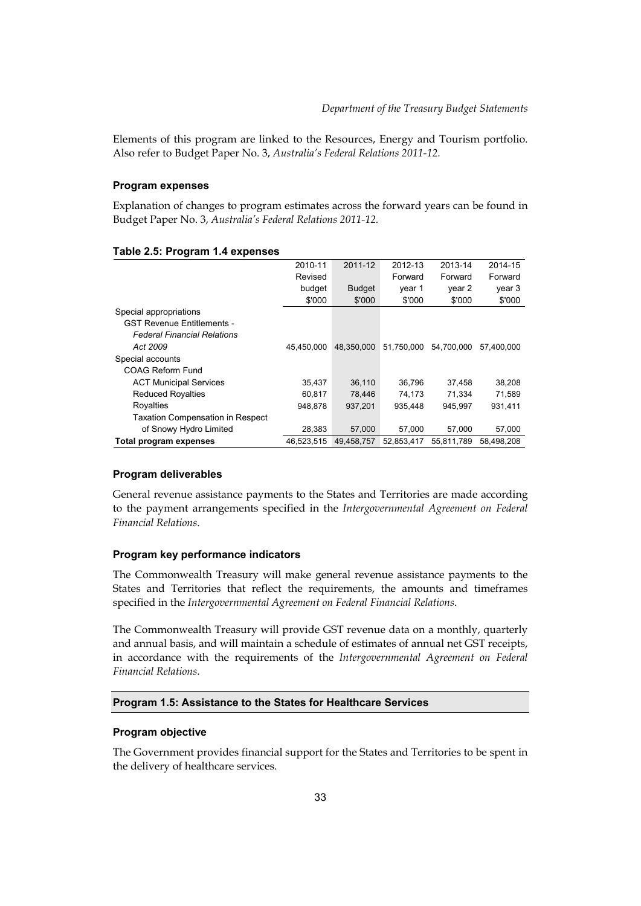Elements of this program are linked to the Resources, Energy and Tourism portfolio. Also refer to Budget Paper No. 3, *Australia's Federal Relations 2011-12.* 

#### **Program expenses**

Explanation of changes to program estimates across the forward years can be found in Budget Paper No. 3, *Australia's Federal Relations 2011-12.* 

#### **Table 2.5: Program 1.4 expenses**

|                                         | 2010-11    | 2011-12       | 2012-13    | 2013-14    | 2014-15    |
|-----------------------------------------|------------|---------------|------------|------------|------------|
|                                         | Revised    |               | Forward    | Forward    | Forward    |
|                                         | budget     | <b>Budget</b> | vear 1     | year 2     | year 3     |
|                                         | \$'000     | \$'000        | \$'000     | \$'000     | \$'000     |
| Special appropriations                  |            |               |            |            |            |
| <b>GST Revenue Entitlements -</b>       |            |               |            |            |            |
| <b>Federal Financial Relations</b>      |            |               |            |            |            |
| Act 2009                                | 45.450.000 | 48.350.000    | 51,750,000 | 54,700,000 | 57.400.000 |
| Special accounts                        |            |               |            |            |            |
| COAG Reform Fund                        |            |               |            |            |            |
| <b>ACT Municipal Services</b>           | 35,437     | 36,110        | 36.796     | 37,458     | 38,208     |
| <b>Reduced Royalties</b>                | 60,817     | 78,446        | 74,173     | 71.334     | 71,589     |
| Royalties                               | 948.878    | 937.201       | 935.448    | 945.997    | 931.411    |
| <b>Taxation Compensation in Respect</b> |            |               |            |            |            |
| of Snowy Hydro Limited                  | 28,383     | 57.000        | 57.000     | 57.000     | 57,000     |
| Total program expenses                  | 46.523.515 | 49.458.757    | 52.853.417 | 55.811.789 | 58.498.208 |

## **Program deliverables**

General revenue assistance payments to the States and Territories are made according to the payment arrangements specified in the *Intergovernmental Agreement on Federal Financial Relations*.

## **Program key performance indicators**

The Commonwealth Treasury will make general revenue assistance payments to the States and Territories that reflect the requirements, the amounts and timeframes specified in the *Intergovernmental Agreement on Federal Financial Relations*.

 and annual basis, and will maintain a schedule of estimates of annual net GST receipts, The Commonwealth Treasury will provide GST revenue data on a monthly, quarterly in accordance with the requirements of the *Intergovernmental Agreement on Federal Financial Relations*.

## **Program 1.5: Assistance to the States for Healthcare Services**

## **Program objective**

The Government provides financial support for the States and Territories to be spent in the delivery of healthcare services.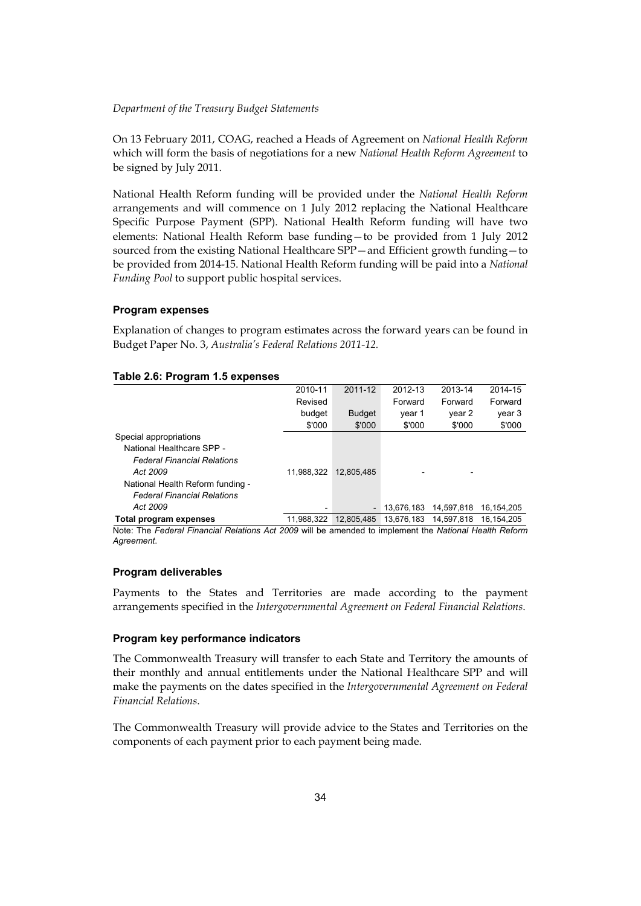On 13 February 2011, COAG, reached a Heads of Agreement on *National Health Reform*  which will form the basis of negotiations for a new *National Health Reform Agreement* to be signed by July 2011.

 elements: National Health Reform base funding—to be provided from 1 July 2012 National Health Reform funding will be provided under the *National Health Reform*  arrangements and will commence on 1 July 2012 replacing the National Healthcare Specific Purpose Payment (SPP). National Health Reform funding will have two sourced from the existing National Healthcare SPP—and Efficient growth funding—to be provided from 2014-15. National Health Reform funding will be paid into a *National Funding Pool* to support public hospital services.

## **Program expenses**

Explanation of changes to program estimates across the forward years can be found in Budget Paper No. 3, *Australia's Federal Relations 2011-12.* 

|                                    | 2010-11    | 2011-12       | 2012-13    | 2013-14    | 2014-15    |
|------------------------------------|------------|---------------|------------|------------|------------|
|                                    | Revised    |               | Forward    | Forward    | Forward    |
|                                    | budget     | <b>Budget</b> | year 1     | year 2     | year 3     |
|                                    | \$'000     | \$'000        | \$'000     | \$'000     | \$'000     |
| Special appropriations             |            |               |            |            |            |
| National Healthcare SPP -          |            |               |            |            |            |
| <b>Federal Financial Relations</b> |            |               |            |            |            |
| Act 2009                           | 11.988.322 | 12.805.485    |            |            |            |
| National Health Reform funding -   |            |               |            |            |            |
| <b>Federal Financial Relations</b> |            |               |            |            |            |
| Act 2009                           | ٠          | -             | 13,676,183 | 14.597.818 | 16.154.205 |
| Total program expenses             | 11.988.322 | 12.805.485    | 13.676.183 | 14.597.818 | 16.154.205 |
|                                    |            |               |            |            |            |

#### **Table 2.6: Program 1.5 expenses**

Note: The *Federal Financial Relations Act 2009* will be amended to implement the *National Health Reform Agreement*.

## **Program deliverables**

Payments to the States and Territories are made according to the payment arrangements specified in the *Intergovernmental Agreement on Federal Financial Relations*.

## **Program key performance indicators**

The Commonwealth Treasury will transfer to each State and Territory the amounts of their monthly and annual entitlements under the National Healthcare SPP and will make the payments on the dates specified in the *Intergovernmental Agreement on Federal Financial Relations*.

The Commonwealth Treasury will provide advice to the States and Territories on the components of each payment prior to each payment being made.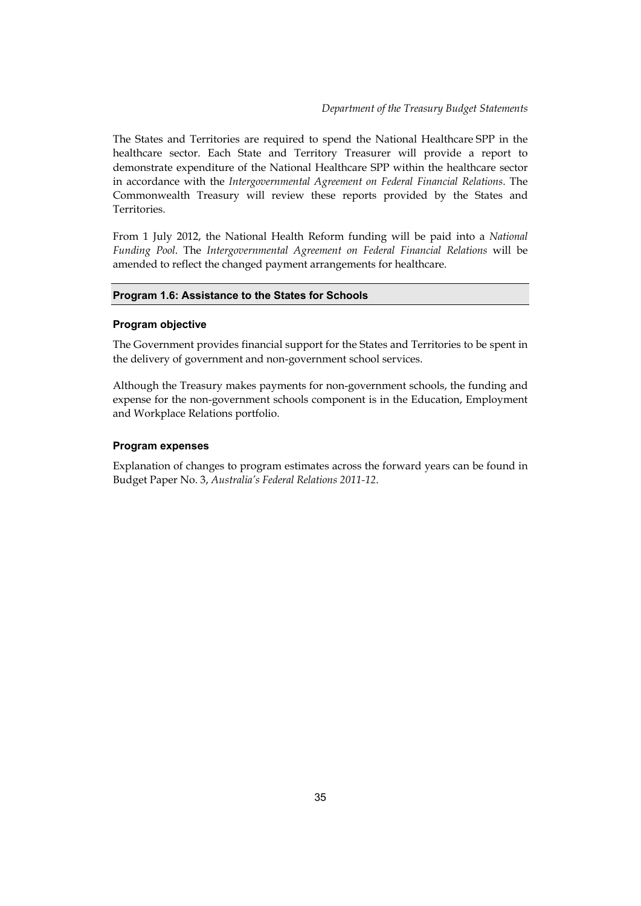The States and Territories are required to spend the National Healthcare SPP in the healthcare sector. Each State and Territory Treasurer will provide a report to demonstrate expenditure of the National Healthcare SPP within the healthcare sector in accordance with the *Intergovernmental Agreement on Federal Financial Relations*. The Commonwealth Treasury will review these reports provided by the States and Territories.

From 1 July 2012, the National Health Reform funding will be paid into a *National Funding Pool*. The *Intergovernmental Agreement on Federal Financial Relations* will be amended to reflect the changed payment arrangements for healthcare.

## **Program 1.6: Assistance to the States for Schools**

## **Program objective**

The Government provides financial support for the States and Territories to be spent in the delivery of government and non-government school services.

Although the Treasury makes payments for non-government schools, the funding and expense for the non-government schools component is in the Education, Employment and Workplace Relations portfolio.

## **Program expenses**

Explanation of changes to program estimates across the forward years can be found in Budget Paper No. 3, *Australia's Federal Relations 2011-12*.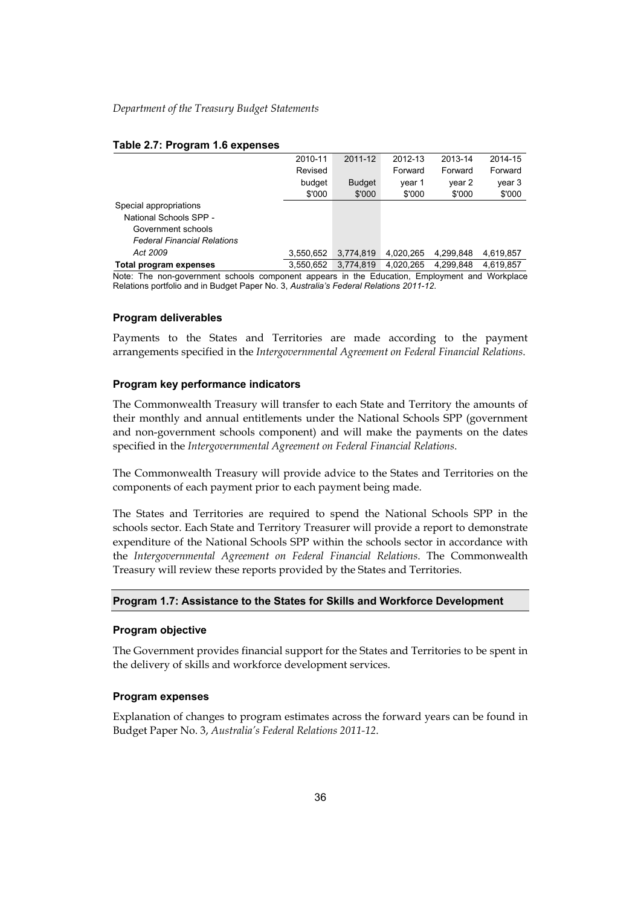#### **Table 2.7: Program 1.6 expenses**

|                                    | 2010-11   | 2011-12       | 2012-13   | 2013-14   | 2014-15   |
|------------------------------------|-----------|---------------|-----------|-----------|-----------|
|                                    | Revised   |               | Forward   | Forward   | Forward   |
|                                    | budget    | <b>Budget</b> | year 1    | year 2    | year 3    |
|                                    | \$'000    | \$'000        | \$'000    | \$'000    | \$'000    |
| Special appropriations             |           |               |           |           |           |
| National Schools SPP -             |           |               |           |           |           |
| Government schools                 |           |               |           |           |           |
| <b>Federal Financial Relations</b> |           |               |           |           |           |
| Act 2009                           | 3,550,652 | 3,774,819     | 4,020,265 | 4.299.848 | 4.619.857 |
| Total program expenses             | 3,550,652 | 3.774.819     | 4.020.265 | 4.299.848 | 4.619.857 |
|                                    |           |               |           |           |           |

Note: The non-government schools component appears in the Education, Employment and Workplace Relations portfolio and in Budget Paper No. 3, *Australia's Federal Relations 2011-12*.

#### **Program deliverables**

Payments to the States and Territories are made according to the payment arrangements specified in the *Intergovernmental Agreement on Federal Financial Relations*.

#### **Program key performance indicators**

The Commonwealth Treasury will transfer to each State and Territory the amounts of their monthly and annual entitlements under the National Schools SPP (government and non-government schools component) and will make the payments on the dates specified in the *Intergovernmental Agreement on Federal Financial Relations*.

The Commonwealth Treasury will provide advice to the States and Territories on the components of each payment prior to each payment being made.

The States and Territories are required to spend the National Schools SPP in the schools sector. Each State and Territory Treasurer will provide a report to demonstrate expenditure of the National Schools SPP within the schools sector in accordance with the *Intergovernmental Agreement on Federal Financial Relations*. The Commonwealth Treasury will review these reports provided by the States and Territories.

#### **Program 1.7: Assistance to the States for Skills and Workforce Development**

#### **Program objective**

The Government provides financial support for the States and Territories to be spent in the delivery of skills and workforce development services.

#### **Program expenses**

Explanation of changes to program estimates across the forward years can be found in Budget Paper No. 3, *Australia's Federal Relations 2011-12*.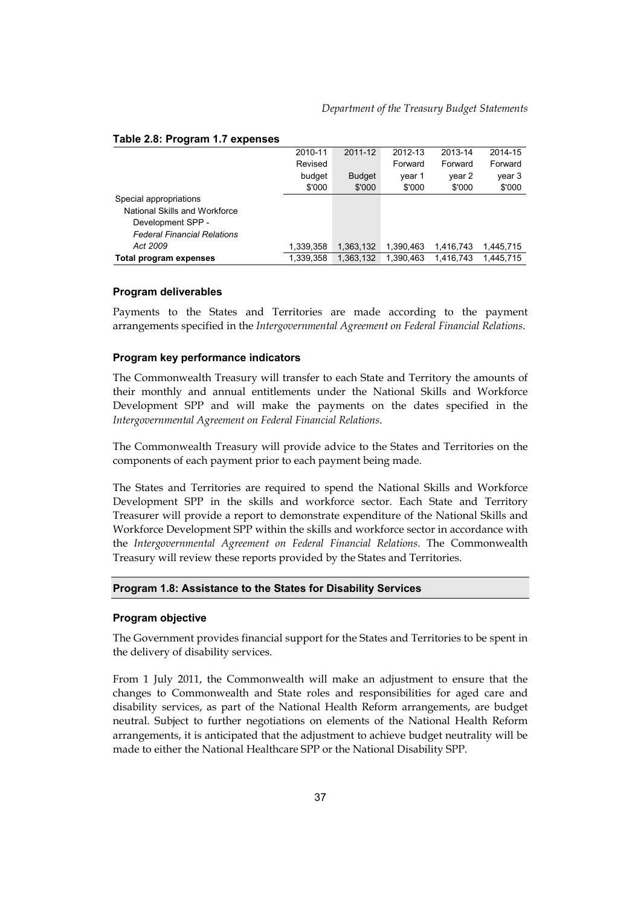|                                    | 2010-11   | 2011-12       | 2012-13   | 2013-14   | 2014-15   |
|------------------------------------|-----------|---------------|-----------|-----------|-----------|
|                                    | Revised   |               | Forward   | Forward   | Forward   |
|                                    | budget    | <b>Budget</b> | year 1    | year 2    | year 3    |
|                                    | \$'000    | \$'000        | \$'000    | \$'000    | \$'000    |
| Special appropriations             |           |               |           |           |           |
| National Skills and Workforce      |           |               |           |           |           |
| Development SPP -                  |           |               |           |           |           |
| <b>Federal Financial Relations</b> |           |               |           |           |           |
| Act 2009                           | 1,339,358 | 1,363,132     | 1.390.463 | 1.416.743 | 1.445.715 |
| Total program expenses             | 1.339.358 | 1.363.132     | 1.390.463 | 1.416.743 | 1.445.715 |

#### **Table 2.8: Program 1.7 expenses**

#### **Program deliverables**

Payments to the States and Territories are made according to the payment arrangements specified in the *Intergovernmental Agreement on Federal Financial Relations*.

## **Program key performance indicators**

The Commonwealth Treasury will transfer to each State and Territory the amounts of their monthly and annual entitlements under the National Skills and Workforce Development SPP and will make the payments on the dates specified in the *Intergovernmental Agreement on Federal Financial Relations*.

The Commonwealth Treasury will provide advice to the States and Territories on the components of each payment prior to each payment being made.

The States and Territories are required to spend the National Skills and Workforce Development SPP in the skills and workforce sector. Each State and Territory Treasurer will provide a report to demonstrate expenditure of the National Skills and Workforce Development SPP within the skills and workforce sector in accordance with the *Intergovernmental Agreement on Federal Financial Relations*. The Commonwealth Treasury will review these reports provided by the States and Territories.

#### **Program 1.8: Assistance to the States for Disability Services**

#### **Program objective**

The Government provides financial support for the States and Territories to be spent in the delivery of disability services.

From 1 July 2011, the Commonwealth will make an adjustment to ensure that the changes to Commonwealth and State roles and responsibilities for aged care and disability services, as part of the National Health Reform arrangements, are budget neutral. Subject to further negotiations on elements of the National Health Reform arrangements, it is anticipated that the adjustment to achieve budget neutrality will be made to either the National Healthcare SPP or the National Disability SPP.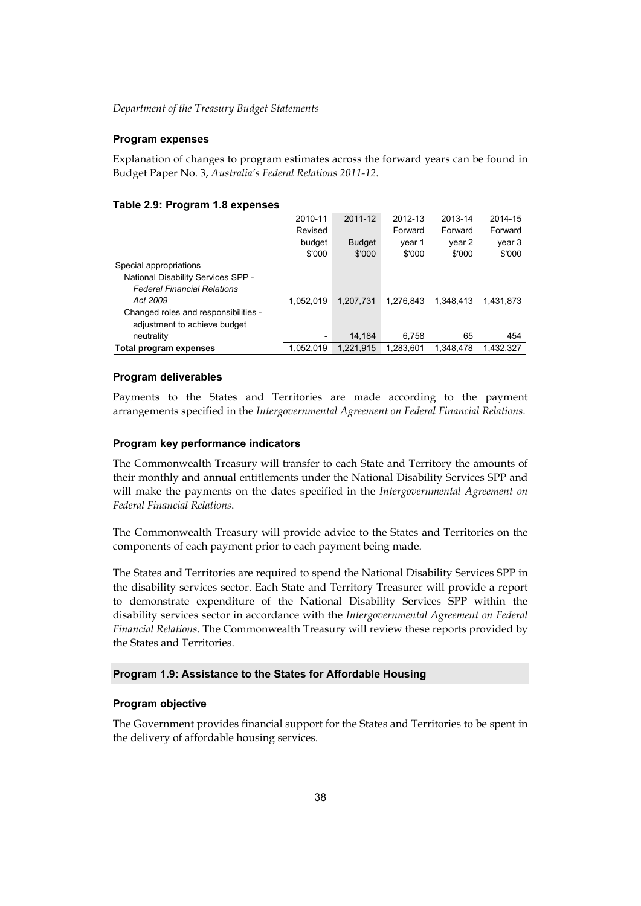## **Program expenses**

Explanation of changes to program estimates across the forward years can be found in Budget Paper No. 3, *Australia's Federal Relations 2011-12*.

| <b>10010 2.0. 1 10910111 1.0 0Aponooo</b> |                          |               |           |           |           |
|-------------------------------------------|--------------------------|---------------|-----------|-----------|-----------|
|                                           | 2010-11                  | 2011-12       | 2012-13   | 2013-14   | 2014-15   |
|                                           | Revised                  |               | Forward   | Forward   | Forward   |
|                                           | budget                   | <b>Budget</b> | year 1    | year 2    | year 3    |
|                                           | \$'000                   | \$'000        | \$'000    | \$'000    | \$'000    |
| Special appropriations                    |                          |               |           |           |           |
| National Disability Services SPP -        |                          |               |           |           |           |
| <b>Federal Financial Relations</b>        |                          |               |           |           |           |
| Act 2009                                  | 1.052.019                | 1.207.731     | 1.276.843 | 1.348.413 | 1.431.873 |
| Changed roles and responsibilities -      |                          |               |           |           |           |
| adjustment to achieve budget              |                          |               |           |           |           |
| neutrality                                | $\overline{\phantom{a}}$ | 14.184        | 6.758     | 65        | 454       |
| Total program expenses                    | 1.052.019                | 1.221.915     | 1.283.601 | 1.348.478 | 1.432.327 |

#### **Table 2.9: Program 1.8 expenses**

## **Program deliverables**

Payments to the States and Territories are made according to the payment arrangements specified in the *Intergovernmental Agreement on Federal Financial Relations*.

## **Program key performance indicators**

The Commonwealth Treasury will transfer to each State and Territory the amounts of their monthly and annual entitlements under the National Disability Services SPP and will make the payments on the dates specified in the *Intergovernmental Agreement on Federal Financial Relations*.

The Commonwealth Treasury will provide advice to the States and Territories on the components of each payment prior to each payment being made.

The States and Territories are required to spend the National Disability Services SPP in the disability services sector. Each State and Territory Treasurer will provide a report to demonstrate expenditure of the National Disability Services SPP within the disability services sector in accordance with the *Intergovernmental Agreement on Federal Financial Relations*. The Commonwealth Treasury will review these reports provided by the States and Territories.

# **Program 1.9: Assistance to the States for Affordable Housing**

## **Program objective**

The Government provides financial support for the States and Territories to be spent in the delivery of affordable housing services.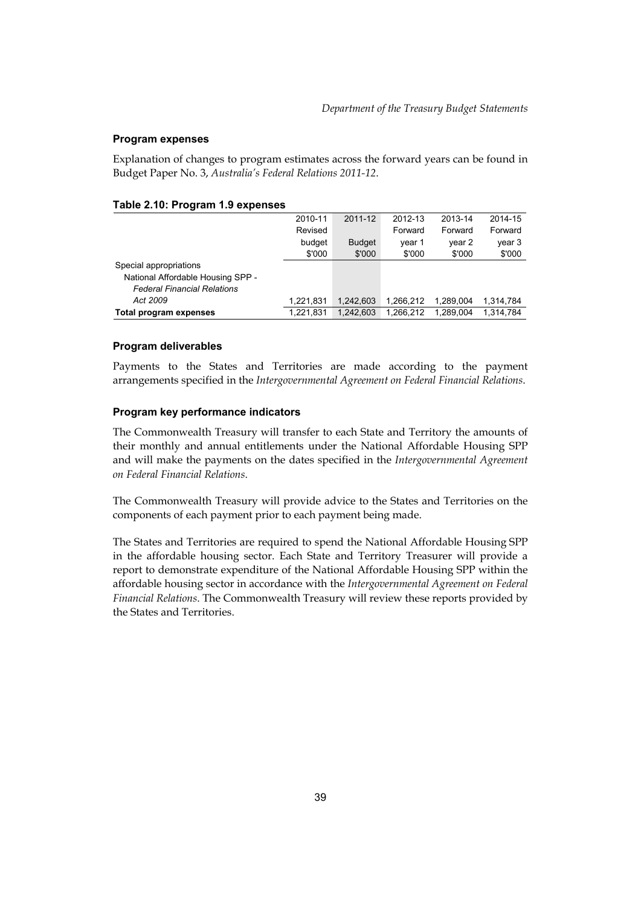### **Program expenses**

Explanation of changes to program estimates across the forward years can be found in Budget Paper No. 3, *Australia's Federal Relations 2011-12*.

| $10000$ E.19. 11991000 1.0 0 Apondos |           |               |           |           |           |
|--------------------------------------|-----------|---------------|-----------|-----------|-----------|
|                                      | 2010-11   | 2011-12       | 2012-13   | 2013-14   | 2014-15   |
|                                      | Revised   |               | Forward   | Forward   | Forward   |
|                                      | budget    | <b>Budget</b> | year 1    | year 2    | year 3    |
|                                      | \$'000    | \$'000        | \$'000    | \$'000    | \$'000    |
| Special appropriations               |           |               |           |           |           |
| National Affordable Housing SPP -    |           |               |           |           |           |
| <b>Federal Financial Relations</b>   |           |               |           |           |           |
| Act 2009                             | 1,221,831 | 1.242.603     | 1.266.212 | 1.289.004 | 1.314.784 |
| Total program expenses               | 1,221,831 | 1.242.603     | 1,266,212 | 1.289.004 | 1,314,784 |

#### **Table 2.10: Program 1.9 expenses**

#### **Program deliverables**

Payments to the States and Territories are made according to the payment arrangements specified in the *Intergovernmental Agreement on Federal Financial Relations*.

## **Program key performance indicators**

The Commonwealth Treasury will transfer to each State and Territory the amounts of their monthly and annual entitlements under the National Affordable Housing SPP and will make the payments on the dates specified in the *Intergovernmental Agreement on Federal Financial Relations*.

The Commonwealth Treasury will provide advice to the States and Territories on the components of each payment prior to each payment being made.

The States and Territories are required to spend the National Affordable Housing SPP in the affordable housing sector. Each State and Territory Treasurer will provide a report to demonstrate expenditure of the National Affordable Housing SPP within the affordable housing sector in accordance with the *Intergovernmental Agreement on Federal Financial Relations*. The Commonwealth Treasury will review these reports provided by the States and Territories.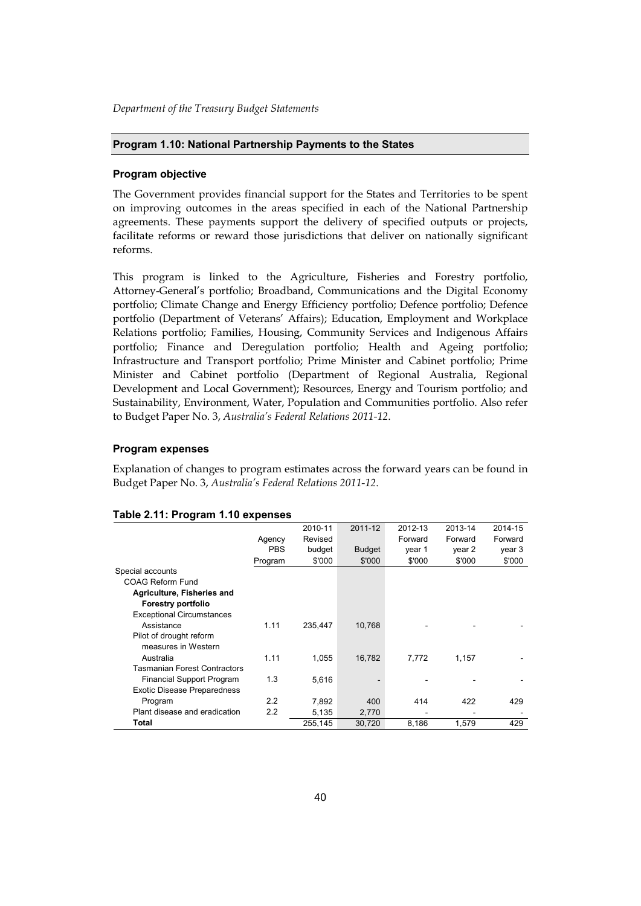#### **Program 1.10: National Partnership Payments to the States**

#### **Program objective**

The Government provides financial support for the States and Territories to be spent on improving outcomes in the areas specified in each of the National Partnership agreements. These payments support the delivery of specified outputs or projects, facilitate reforms or reward those jurisdictions that deliver on nationally significant reforms.

This program is linked to the Agriculture, Fisheries and Forestry portfolio, Attorney-General's portfolio; Broadband, Communications and the Digital Economy portfolio; Climate Change and Energy Efficiency portfolio; Defence portfolio; Defence portfolio (Department of Veterans' Affairs); Education, Employment and Workplace Relations portfolio; Families, Housing, Community Services and Indigenous Affairs portfolio; Finance and Deregulation portfolio; Health and Ageing portfolio; Infrastructure and Transport portfolio; Prime Minister and Cabinet portfolio; Prime Minister and Cabinet portfolio (Department of Regional Australia, Regional Development and Local Government); Resources, Energy and Tourism portfolio; and Sustainability, Environment, Water, Population and Communities portfolio. Also refer to Budget Paper No. 3, *Australia's Federal Relations 2011-12*.

#### **Program expenses**

Explanation of changes to program estimates across the forward years can be found in Budget Paper No. 3, *Australia's Federal Relations 2011-12*.

| ັ                                   |            |         |         |         |         |         |
|-------------------------------------|------------|---------|---------|---------|---------|---------|
|                                     |            | 2010-11 | 2011-12 | 2012-13 | 2013-14 | 2014-15 |
|                                     | Agency     | Revised |         | Forward | Forward | Forward |
|                                     | <b>PBS</b> | budget  | Budget  | year 1  | year 2  | year 3  |
|                                     | Program    | \$'000  | \$'000  | \$'000  | \$'000  | \$'000  |
| Special accounts                    |            |         |         |         |         |         |
| COAG Reform Fund                    |            |         |         |         |         |         |
| Agriculture, Fisheries and          |            |         |         |         |         |         |
| Forestry portfolio                  |            |         |         |         |         |         |
| <b>Exceptional Circumstances</b>    |            |         |         |         |         |         |
| Assistance                          | 1.11       | 235.447 | 10,768  |         |         |         |
| Pilot of drought reform             |            |         |         |         |         |         |
| measures in Western                 |            |         |         |         |         |         |
| Australia                           | 1.11       | 1.055   | 16.782  | 7.772   | 1,157   |         |
| <b>Tasmanian Forest Contractors</b> |            |         |         |         |         |         |
| Financial Support Program           | 1.3        | 5,616   |         |         |         |         |
| <b>Exotic Disease Preparedness</b>  |            |         |         |         |         |         |
| Program                             | 2.2        | 7,892   | 400     | 414     | 422     | 429     |
| Plant disease and eradication       | 2.2        | 5,135   | 2,770   |         |         |         |
| Total                               |            | 255,145 | 30,720  | 8,186   | 1,579   | 429     |

#### **Table 2.11: Program 1.10 expenses**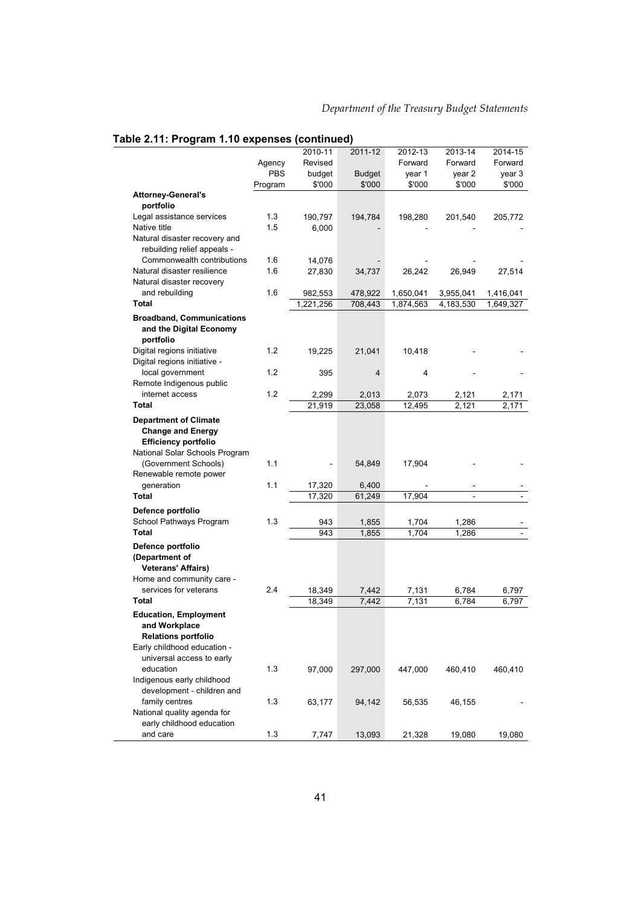|                                                                             |            | 2010-11   | 2011-12         | 2012-13   | 2013-14   | 2014-15   |
|-----------------------------------------------------------------------------|------------|-----------|-----------------|-----------|-----------|-----------|
|                                                                             | Agency     | Revised   |                 | Forward   | Forward   | Forward   |
|                                                                             | <b>PBS</b> | budget    | <b>Budget</b>   | year 1    | year 2    | year 3    |
|                                                                             | Program    | \$'000    | \$'000          | \$'000    | \$'000    | \$'000    |
| <b>Attorney-General's</b>                                                   |            |           |                 |           |           |           |
| portfolio                                                                   |            |           |                 |           |           |           |
| Legal assistance services                                                   | 1.3        | 190,797   | 194,784         | 198,280   | 201,540   | 205,772   |
| Native title                                                                | 1.5        | 6,000     |                 |           |           |           |
| Natural disaster recovery and<br>rebuilding relief appeals -                |            |           |                 |           |           |           |
| Commonwealth contributions                                                  | 1.6        | 14,076    |                 |           |           |           |
| Natural disaster resilience                                                 | 1.6        | 27,830    | 34,737          | 26,242    | 26,949    | 27,514    |
| Natural disaster recovery                                                   |            |           |                 |           |           |           |
| and rebuilding                                                              | 1.6        | 982,553   | 478,922         | 1,650,041 | 3,955,041 | 1,416,041 |
| <b>Total</b>                                                                |            | 1,221,256 | 708,443         | 1,874,563 | 4,183,530 | 1,649,327 |
| <b>Broadband, Communications</b><br>and the Digital Economy<br>portfolio    |            |           |                 |           |           |           |
| Digital regions initiative<br>Digital regions initiative -                  | 1.2        | 19,225    | 21,041          | 10,418    |           |           |
| local government<br>Remote Indigenous public                                | 1.2        | 395       | $\overline{4}$  | 4         |           |           |
| internet access                                                             | 1.2        | 2,299     | 2,013           | 2,073     | 2,121     | 2,171     |
| Total                                                                       |            | 21,919    | 23,058          | 12,495    | 2,121     | 2,171     |
| <b>Department of Climate</b>                                                |            |           |                 |           |           |           |
| <b>Change and Energy</b><br><b>Efficiency portfolio</b>                     |            |           |                 |           |           |           |
| National Solar Schools Program                                              |            |           |                 |           |           |           |
| (Government Schools)                                                        | 1.1        |           | 54,849          | 17,904    |           |           |
| Renewable remote power<br>generation                                        | 1.1        | 17,320    |                 |           |           |           |
| <b>Total</b>                                                                |            | 17,320    | 6,400<br>61,249 | 17,904    |           |           |
|                                                                             |            |           |                 |           |           |           |
| Defence portfolio                                                           |            |           |                 |           |           |           |
| School Pathways Program<br><b>Total</b>                                     | 1.3        | 943       | 1,855           | 1,704     | 1,286     |           |
|                                                                             |            | 943       | 1,855           | 1,704     | 1,286     |           |
| Defence portfolio<br>(Department of<br><b>Veterans' Affairs)</b>            |            |           |                 |           |           |           |
| Home and community care -                                                   |            |           |                 |           |           |           |
| services for veterans                                                       | 2.4        | 18,349    | 7,442           | 7,131     | 6,784     | 6,797     |
| <b>Total</b>                                                                |            | 18,349    | 7,442           | 7,131     | 6,784     | 6,797     |
| <b>Education, Employment</b><br>and Workplace<br><b>Relations portfolio</b> |            |           |                 |           |           |           |
| Early childhood education -<br>universal access to early                    |            |           |                 |           |           |           |
| education<br>Indigenous early childhood                                     | 1.3        | 97,000    | 297,000         | 447,000   | 460,410   | 460,410   |
| development - children and                                                  |            |           |                 |           |           |           |
| family centres<br>National quality agenda for                               | 1.3        | 63,177    | 94,142          | 56,535    | 46,155    |           |
| early childhood education<br>and care                                       | 1.3        |           |                 |           |           |           |
|                                                                             |            | 7,747     | 13,093          | 21,328    | 19,080    | 19,080    |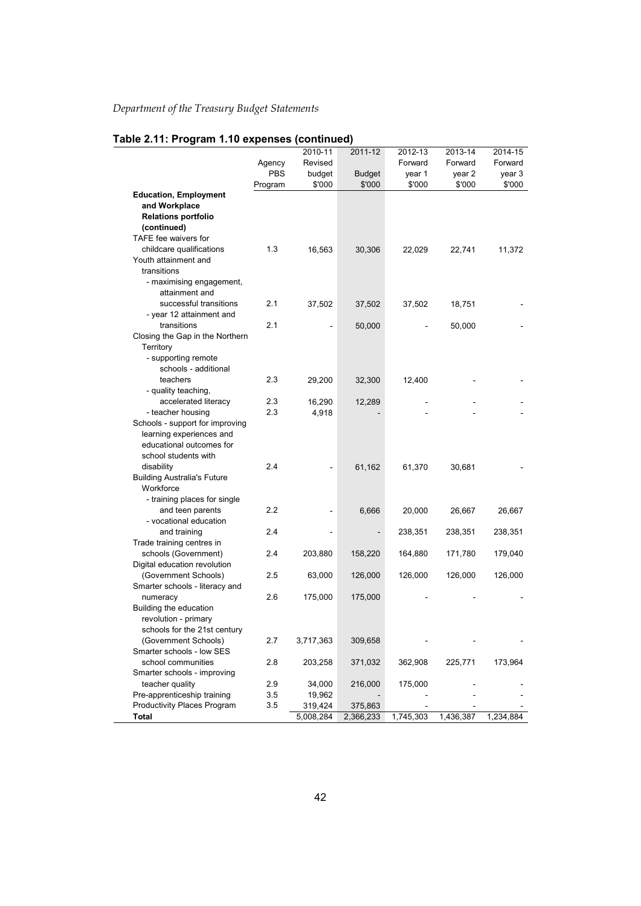|                                                      |            | 2010-11   | 2011-12       | 2012-13   | 2013-14   | 2014-15   |
|------------------------------------------------------|------------|-----------|---------------|-----------|-----------|-----------|
|                                                      | Agency     | Revised   |               | Forward   | Forward   | Forward   |
|                                                      | <b>PBS</b> | budget    | <b>Budget</b> | year 1    | year 2    | year 3    |
|                                                      | Program    | \$'000    | \$'000        | \$'000    | \$'000    | \$'000    |
| <b>Education, Employment</b>                         |            |           |               |           |           |           |
| and Workplace                                        |            |           |               |           |           |           |
| <b>Relations portfolio</b>                           |            |           |               |           |           |           |
| (continued)                                          |            |           |               |           |           |           |
| TAFE fee waivers for                                 |            |           |               |           |           |           |
| childcare qualifications                             | 1.3        | 16,563    | 30,306        | 22,029    | 22,741    | 11,372    |
| Youth attainment and                                 |            |           |               |           |           |           |
| transitions                                          |            |           |               |           |           |           |
| - maximising engagement,                             |            |           |               |           |           |           |
| attainment and                                       |            |           |               |           |           |           |
| successful transitions                               | 2.1        | 37,502    | 37,502        | 37,502    | 18,751    |           |
| - year 12 attainment and                             |            |           |               |           |           |           |
| transitions                                          | 2.1        |           | 50,000        |           | 50,000    |           |
| Closing the Gap in the Northern                      |            |           |               |           |           |           |
| Territory                                            |            |           |               |           |           |           |
| - supporting remote                                  |            |           |               |           |           |           |
| schools - additional                                 |            |           |               |           |           |           |
| teachers                                             | 2.3        | 29,200    | 32,300        | 12,400    |           |           |
| - quality teaching,                                  |            |           |               |           |           |           |
| accelerated literacy                                 | 2.3        | 16,290    | 12,289        |           |           |           |
| - teacher housing                                    | 2.3        | 4,918     |               |           |           |           |
| Schools - support for improving                      |            |           |               |           |           |           |
| learning experiences and                             |            |           |               |           |           |           |
| educational outcomes for                             |            |           |               |           |           |           |
| school students with                                 |            |           |               |           |           |           |
| disability                                           | 2.4        |           | 61,162        | 61,370    | 30,681    |           |
| <b>Building Australia's Future</b>                   |            |           |               |           |           |           |
| Workforce                                            |            |           |               |           |           |           |
| - training places for single                         |            |           |               |           |           |           |
| and teen parents                                     | 2.2        |           | 6,666         | 20,000    | 26,667    | 26,667    |
| - vocational education                               | 2.4        |           |               |           |           |           |
| and training                                         |            |           |               | 238,351   | 238,351   | 238,351   |
| Trade training centres in                            | 2.4        |           |               |           |           |           |
| schools (Government)                                 |            | 203,880   | 158,220       | 164,880   | 171,780   | 179,040   |
| Digital education revolution<br>(Government Schools) | 2.5        |           |               |           |           |           |
| Smarter schools - literacy and                       |            | 63,000    | 126,000       | 126,000   | 126,000   | 126,000   |
|                                                      | 2.6        |           |               |           |           |           |
| numeracy<br>Building the education                   |            | 175,000   | 175,000       |           |           |           |
| revolution - primary                                 |            |           |               |           |           |           |
|                                                      |            |           |               |           |           |           |
| schools for the 21st century<br>(Government Schools) | 2.7        | 3,717,363 | 309,658       |           |           |           |
| Smarter schools - low SES                            |            |           |               |           |           |           |
| school communities                                   | 2.8        | 203,258   | 371,032       | 362,908   | 225,771   | 173,964   |
| Smarter schools - improving                          |            |           |               |           |           |           |
| teacher quality                                      | 2.9        | 34,000    | 216,000       | 175,000   |           |           |
| Pre-apprenticeship training                          | 3.5        | 19,962    |               |           |           |           |
| Productivity Places Program                          | 3.5        | 319,424   | 375,863       |           |           |           |
| Total                                                |            | 5,008,284 | 2,366,233     | 1,745,303 | 1,436,387 | 1,234,884 |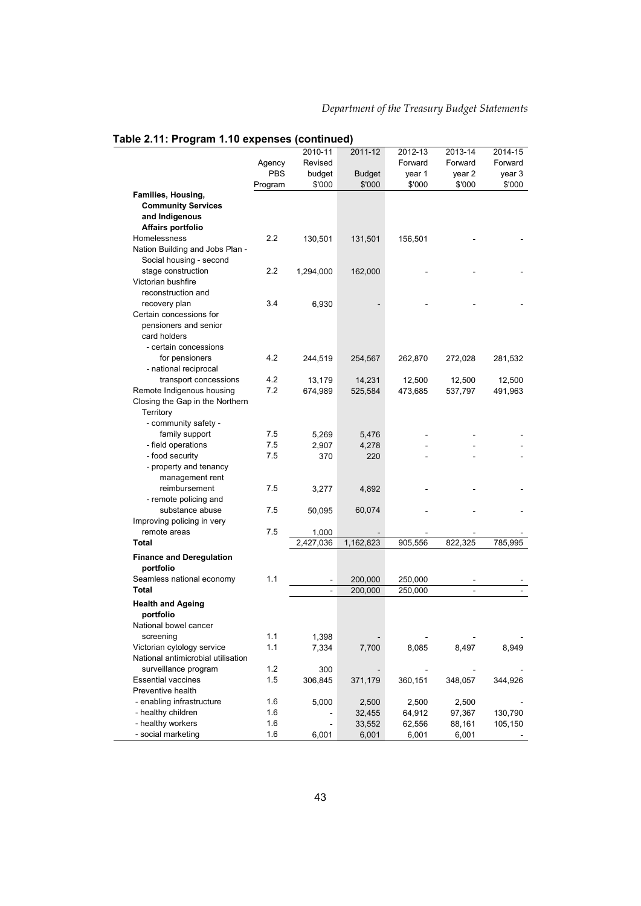|                                                            |         | 2010-11       | 2011-12       | 2012-13 | 2013-14        | 2014-15 |
|------------------------------------------------------------|---------|---------------|---------------|---------|----------------|---------|
|                                                            | Agency  | Revised       |               | Forward | Forward        | Forward |
|                                                            | PBS     | budget        | <b>Budget</b> | year 1  | year 2         | year 3  |
|                                                            | Program | \$'000        | \$'000        | \$'000  | \$'000         | \$'000  |
| Families, Housing,                                         |         |               |               |         |                |         |
| <b>Community Services</b>                                  |         |               |               |         |                |         |
| and Indigenous                                             |         |               |               |         |                |         |
| Affairs portfolio                                          |         |               |               |         |                |         |
| Homelessness                                               | 2.2     | 130,501       | 131,501       | 156,501 |                |         |
| Nation Building and Jobs Plan -<br>Social housing - second |         |               |               |         |                |         |
| stage construction                                         | 2.2     | 1,294,000     | 162,000       |         |                |         |
| Victorian bushfire                                         |         |               |               |         |                |         |
| reconstruction and                                         |         |               |               |         |                |         |
| recovery plan                                              | 3.4     | 6,930         |               |         |                |         |
| Certain concessions for                                    |         |               |               |         |                |         |
| pensioners and senior                                      |         |               |               |         |                |         |
| card holders                                               |         |               |               |         |                |         |
| - certain concessions                                      |         |               |               |         |                |         |
| for pensioners                                             | 4.2     | 244,519       | 254,567       | 262,870 | 272,028        | 281,532 |
| - national reciprocal                                      |         |               |               |         |                |         |
| transport concessions                                      | 4.2     | 13,179        | 14,231        | 12,500  | 12,500         | 12,500  |
| Remote Indigenous housing                                  | 7.2     | 674,989       | 525,584       | 473,685 | 537,797        | 491,963 |
| Closing the Gap in the Northern                            |         |               |               |         |                |         |
| Territory                                                  |         |               |               |         |                |         |
| - community safety -                                       |         |               |               |         |                |         |
| family support                                             | 7.5     | 5,269         | 5,476         |         |                |         |
| - field operations                                         | 7.5     | 2,907         | 4,278         |         |                |         |
| - food security                                            | 7.5     | 370           | 220           |         |                |         |
| - property and tenancy                                     |         |               |               |         |                |         |
| management rent                                            |         |               |               |         |                |         |
| reimbursement                                              | 7.5     | 3,277         | 4,892         |         |                |         |
| - remote policing and                                      |         |               |               |         |                |         |
| substance abuse                                            | 7.5     | 50,095        | 60,074        |         |                |         |
| Improving policing in very                                 |         |               |               |         |                |         |
| remote areas<br><b>Total</b>                               | 7.5     | 1,000         |               |         |                |         |
|                                                            |         | 2,427,036     | 1,162,823     | 905,556 | 822,325        | 785,995 |
| <b>Finance and Deregulation</b><br>portfolio               |         |               |               |         |                |         |
| Seamless national economy                                  | 1.1     |               | 200,000       | 250,000 |                |         |
| <b>Total</b>                                               |         | $\frac{1}{2}$ | 200,000       | 250,000 | $\blacksquare$ |         |
| <b>Health and Ageing</b><br>portfolio                      |         |               |               |         |                |         |
| National bowel cancer                                      |         |               |               |         |                |         |
| screening                                                  | 1.1     | 1,398         |               |         |                |         |
| Victorian cytology service                                 | 1.1     | 7,334         | 7,700         | 8,085   | 8,497          | 8,949   |
| National antimicrobial utilisation                         |         |               |               |         |                |         |
| surveillance program                                       | 1.2     | 300           |               |         |                |         |
| <b>Essential vaccines</b>                                  | 1.5     | 306,845       | 371,179       | 360,151 | 348,057        | 344,926 |
| Preventive health                                          |         |               |               |         |                |         |
| - enabling infrastructure                                  | 1.6     | 5,000         | 2,500         | 2,500   | 2,500          |         |
| - healthy children                                         | 1.6     |               | 32,455        | 64,912  | 97,367         | 130,790 |
| - healthy workers                                          | 1.6     |               | 33,552        | 62,556  | 88,161         | 105,150 |
| - social marketing                                         | 1.6     | 6,001         | 6,001         | 6,001   | 6,001          |         |
|                                                            |         |               |               |         |                |         |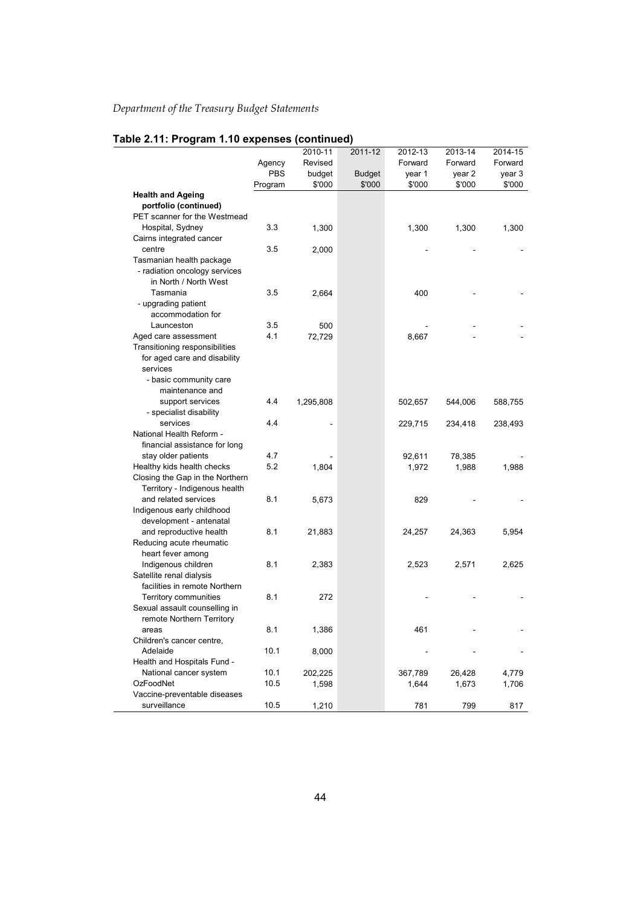|                                 |            | 2010-11   | 2011-12       | 2012-13 | 2013-14 | 2014-15 |
|---------------------------------|------------|-----------|---------------|---------|---------|---------|
|                                 | Agency     | Revised   |               | Forward | Forward | Forward |
|                                 | <b>PBS</b> | budget    | <b>Budget</b> | year 1  | year 2  | year 3  |
|                                 | Program    | \$'000    | \$'000        | \$'000  | \$'000  | \$'000  |
| <b>Health and Ageing</b>        |            |           |               |         |         |         |
| portfolio (continued)           |            |           |               |         |         |         |
| PET scanner for the Westmead    |            |           |               |         |         |         |
| Hospital, Sydney                | 3.3        | 1,300     |               | 1,300   | 1,300   | 1,300   |
| Cairns integrated cancer        |            |           |               |         |         |         |
| centre                          | 3.5        | 2,000     |               |         |         |         |
| Tasmanian health package        |            |           |               |         |         |         |
| - radiation oncology services   |            |           |               |         |         |         |
| in North / North West           |            |           |               |         |         |         |
| Tasmania                        | 3.5        | 2,664     |               | 400     |         |         |
| - upgrading patient             |            |           |               |         |         |         |
| accommodation for               |            |           |               |         |         |         |
| Launceston                      | 3.5        | 500       |               |         |         |         |
| Aged care assessment            | 4.1        | 72,729    |               | 8,667   |         |         |
| Transitioning responsibilities  |            |           |               |         |         |         |
| for aged care and disability    |            |           |               |         |         |         |
| services                        |            |           |               |         |         |         |
| - basic community care          |            |           |               |         |         |         |
| maintenance and                 |            |           |               |         |         |         |
| support services                | 4.4        | 1,295,808 |               | 502,657 | 544,006 | 588,755 |
| - specialist disability         |            |           |               |         |         |         |
| services                        | 4.4        |           |               | 229,715 | 234,418 | 238,493 |
| National Health Reform -        |            |           |               |         |         |         |
| financial assistance for long   |            |           |               |         |         |         |
| stay older patients             | 4.7        |           |               | 92,611  | 78,385  |         |
| Healthy kids health checks      | 5.2        | 1,804     |               | 1,972   | 1,988   | 1,988   |
| Closing the Gap in the Northern |            |           |               |         |         |         |
| Territory - Indigenous health   |            |           |               |         |         |         |
| and related services            | 8.1        | 5,673     |               | 829     |         |         |
| Indigenous early childhood      |            |           |               |         |         |         |
| development - antenatal         |            |           |               |         |         |         |
| and reproductive health         | 8.1        | 21,883    |               | 24,257  | 24,363  | 5,954   |
| Reducing acute rheumatic        |            |           |               |         |         |         |
| heart fever among               |            |           |               |         |         |         |
| Indigenous children             | 8.1        | 2,383     |               | 2,523   | 2,571   | 2,625   |
| Satellite renal dialysis        |            |           |               |         |         |         |
| facilities in remote Northern   |            |           |               |         |         |         |
| <b>Territory communities</b>    | 8.1        | 272       |               |         |         |         |
| Sexual assault counselling in   |            |           |               |         |         |         |
| remote Northern Territory       |            |           |               |         |         |         |
| areas                           | 8.1        | 1,386     |               | 461     |         |         |
| Children's cancer centre,       |            |           |               |         |         |         |
| Adelaide                        | 10.1       | 8,000     |               |         |         |         |
| Health and Hospitals Fund -     |            |           |               |         |         |         |
| National cancer system          | 10.1       | 202,225   |               | 367,789 | 26,428  | 4,779   |
| OzFoodNet                       | 10.5       | 1,598     |               | 1,644   | 1,673   | 1,706   |
| Vaccine-preventable diseases    |            |           |               |         |         |         |
| surveillance                    | 10.5       | 1,210     |               | 781     | 799     | 817     |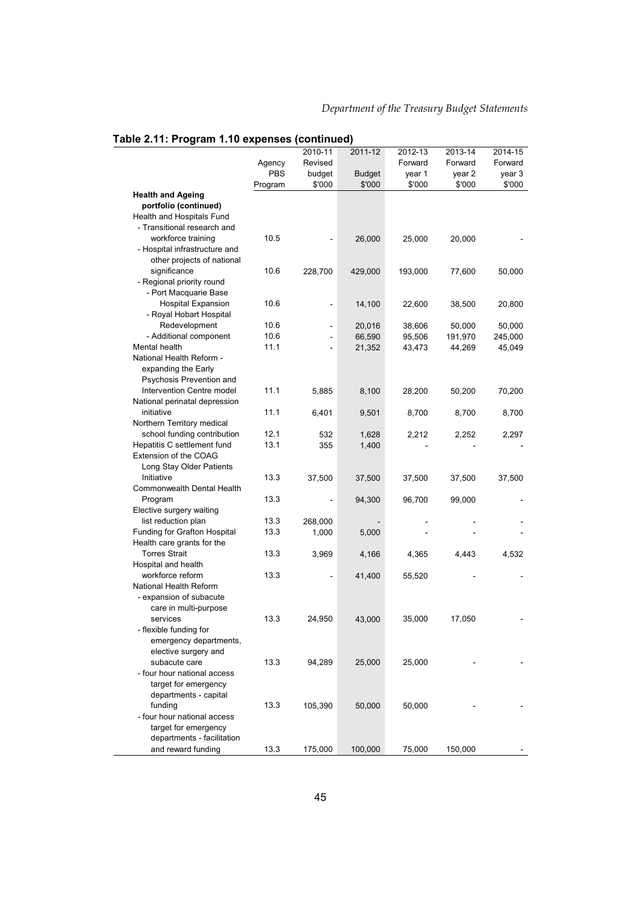|                               |            | 2010-11                  | 2011-12       | 2012-13 | 2013-14 | 2014-15 |
|-------------------------------|------------|--------------------------|---------------|---------|---------|---------|
|                               | Agency     | Revised                  |               | Forward | Forward | Forward |
|                               | <b>PBS</b> | budget                   | <b>Budget</b> |         | year 2  | year 3  |
|                               |            | \$'000                   | \$'000        | year 1  | \$'000  | \$'000  |
| <b>Health and Ageing</b>      | Program    |                          |               | \$'000  |         |         |
| portfolio (continued)         |            |                          |               |         |         |         |
| Health and Hospitals Fund     |            |                          |               |         |         |         |
|                               |            |                          |               |         |         |         |
| - Transitional research and   |            |                          |               |         |         |         |
| workforce training            | 10.5       |                          | 26,000        | 25,000  | 20,000  |         |
| - Hospital infrastructure and |            |                          |               |         |         |         |
| other projects of national    |            |                          |               |         |         |         |
| significance                  | 10.6       | 228,700                  | 429,000       | 193,000 | 77,600  | 50,000  |
| - Regional priority round     |            |                          |               |         |         |         |
| - Port Macquarie Base         |            |                          |               |         |         |         |
| <b>Hospital Expansion</b>     | 10.6       |                          | 14,100        | 22,600  | 38,500  | 20,800  |
| - Royal Hobart Hospital       |            |                          |               |         |         |         |
| Redevelopment                 | 10.6       | $\overline{a}$           | 20,016        | 38,606  | 50,000  | 50,000  |
| - Additional component        | 10.6       |                          | 66,590        | 95,506  | 191,970 | 245,000 |
| Mental health                 | 11.1       | $\overline{\phantom{a}}$ | 21,352        | 43,473  | 44,269  | 45,049  |
| National Health Reform -      |            |                          |               |         |         |         |
| expanding the Early           |            |                          |               |         |         |         |
| Psychosis Prevention and      |            |                          |               |         |         |         |
| Intervention Centre model     | 11.1       | 5,885                    | 8,100         | 28,200  | 50,200  | 70,200  |
| National perinatal depression |            |                          |               |         |         |         |
| initiative                    | 11.1       | 6,401                    | 9,501         | 8,700   | 8,700   | 8,700   |
| Northern Territory medical    |            |                          |               |         |         |         |
| school funding contribution   | 12.1       | 532                      | 1,628         | 2,212   | 2,252   | 2,297   |
| Hepatitis C settlement fund   | 13.1       | 355                      | 1,400         |         |         |         |
| Extension of the COAG         |            |                          |               |         |         |         |
| Long Stay Older Patients      |            |                          |               |         |         |         |
| Initiative                    | 13.3       | 37,500                   | 37,500        | 37,500  | 37,500  | 37,500  |
| Commonwealth Dental Health    |            |                          |               |         |         |         |
| Program                       | 13.3       |                          | 94,300        | 96,700  | 99,000  |         |
| Elective surgery waiting      |            |                          |               |         |         |         |
| list reduction plan           | 13.3       | 268,000                  |               |         |         |         |
| Funding for Grafton Hospital  | 13.3       | 1,000                    | 5,000         |         |         |         |
| Health care grants for the    |            |                          |               |         |         |         |
| <b>Torres Strait</b>          | 13.3       | 3,969                    | 4,166         | 4,365   | 4,443   | 4,532   |
| Hospital and health           |            |                          |               |         |         |         |
| workforce reform              | 13.3       |                          | 41,400        | 55,520  |         |         |
| National Health Reform        |            |                          |               |         |         |         |
| - expansion of subacute       |            |                          |               |         |         |         |
| care in multi-purpose         |            |                          |               |         |         |         |
| services                      | 13.3       | 24,950                   | 43,000        | 35,000  | 17,050  |         |
| - flexible funding for        |            |                          |               |         |         |         |
| emergency departments,        |            |                          |               |         |         |         |
| elective surgery and          |            |                          |               |         |         |         |
| subacute care                 | 13.3       | 94,289                   | 25,000        | 25,000  |         |         |
| - four hour national access   |            |                          |               |         |         |         |
| target for emergency          |            |                          |               |         |         |         |
| departments - capital         |            |                          |               |         |         |         |
| funding                       | 13.3       | 105,390                  | 50,000        | 50,000  |         |         |
| - four hour national access   |            |                          |               |         |         |         |
| target for emergency          |            |                          |               |         |         |         |
| departments - facilitation    |            |                          |               |         |         |         |
| and reward funding            | 13.3       | 175,000                  | 100,000       | 75,000  | 150,000 |         |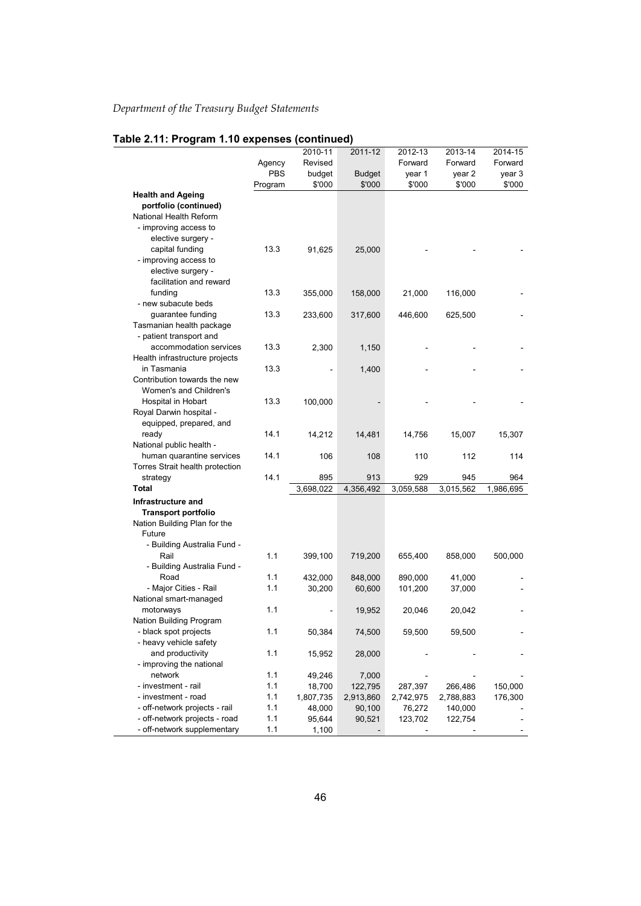|                                              |            | 2010-11             | 2011-12              | 2012-13              | 2013-14              | 2014-15   |
|----------------------------------------------|------------|---------------------|----------------------|----------------------|----------------------|-----------|
|                                              | Agency     | Revised             |                      | Forward              | Forward              | Forward   |
|                                              | <b>PBS</b> | budget              | <b>Budget</b>        | year 1               | year 2               | year 3    |
|                                              | Program    | \$'000              | \$'000               | \$'000               | \$'000               | \$'000    |
| <b>Health and Ageing</b>                     |            |                     |                      |                      |                      |           |
| portfolio (continued)                        |            |                     |                      |                      |                      |           |
| National Health Reform                       |            |                     |                      |                      |                      |           |
| - improving access to                        |            |                     |                      |                      |                      |           |
| elective surgery -                           |            |                     |                      |                      |                      |           |
| capital funding                              | 13.3       | 91,625              | 25,000               |                      |                      |           |
| - improving access to                        |            |                     |                      |                      |                      |           |
| elective surgery -                           |            |                     |                      |                      |                      |           |
| facilitation and reward                      |            |                     |                      |                      |                      |           |
| funding                                      | 13.3       | 355,000             | 158,000              | 21,000               | 116,000              |           |
| - new subacute beds                          |            |                     |                      |                      |                      |           |
| guarantee funding                            | 13.3       | 233,600             | 317,600              | 446,600              | 625,500              |           |
| Tasmanian health package                     |            |                     |                      |                      |                      |           |
| - patient transport and                      |            |                     |                      |                      |                      |           |
| accommodation services                       | 13.3       | 2,300               | 1,150                |                      |                      |           |
| Health infrastructure projects               |            |                     |                      |                      |                      |           |
| in Tasmania                                  | 13.3       |                     | 1,400                |                      |                      |           |
| Contribution towards the new                 |            |                     |                      |                      |                      |           |
| Women's and Children's                       |            |                     |                      |                      |                      |           |
| Hospital in Hobart                           | 13.3       | 100,000             |                      |                      |                      |           |
| Royal Darwin hospital -                      |            |                     |                      |                      |                      |           |
| equipped, prepared, and                      |            |                     |                      |                      |                      |           |
| ready                                        | 14.1       | 14,212              | 14,481               | 14,756               | 15,007               | 15,307    |
| National public health -                     |            |                     |                      |                      |                      |           |
| human quarantine services                    | 14.1       | 106                 | 108                  | 110                  | 112                  | 114       |
| Torres Strait health protection              |            |                     |                      |                      |                      |           |
| strategy                                     | 14.1       | 895                 | 913                  | 929                  | 945                  | 964       |
| <b>Total</b>                                 |            | 3,698,022           | 4,356,492            | 3,059,588            | 3,015,562            | 1,986,695 |
| Infrastructure and                           |            |                     |                      |                      |                      |           |
| <b>Transport portfolio</b>                   |            |                     |                      |                      |                      |           |
| Nation Building Plan for the                 |            |                     |                      |                      |                      |           |
| Future                                       |            |                     |                      |                      |                      |           |
| - Building Australia Fund -                  |            |                     |                      |                      |                      |           |
| Rail                                         | 1.1        | 399,100             | 719,200              | 655,400              | 858,000              | 500,000   |
| - Building Australia Fund -                  |            |                     |                      |                      |                      |           |
| Road                                         | 1.1        | 432,000             | 848,000              | 890,000              | 41,000               |           |
| - Major Cities - Rail                        | 1.1        | 30,200              | 60,600               | 101,200              | 37,000               |           |
| National smart-managed                       |            |                     |                      |                      |                      |           |
| motorways                                    | 1.1        |                     | 19,952               | 20,046               | 20,042               |           |
| Nation Building Program                      |            |                     |                      |                      |                      |           |
| - black spot projects                        | 1.1        | 50,384              | 74,500               | 59,500               | 59,500               |           |
| - heavy vehicle safety                       | 1.1        |                     |                      |                      |                      |           |
| and productivity<br>- improving the national |            | 15,952              | 28,000               |                      |                      |           |
| network                                      | 1.1        | 49,246              | 7,000                |                      |                      |           |
| - investment - rail                          | 1.1        |                     |                      |                      |                      | 150,000   |
| - investment - road                          | 1.1        | 18,700<br>1,807,735 | 122,795<br>2,913,860 | 287,397<br>2,742,975 | 266,486<br>2,788,883 | 176,300   |
| - off-network projects - rail                | 1.1        | 48,000              | 90,100               | 76,272               | 140,000              |           |
| - off-network projects - road                | 1.1        | 95,644              | 90,521               | 123,702              | 122,754              |           |
| - off-network supplementary                  | 1.1        | 1,100               |                      |                      |                      |           |
|                                              |            |                     |                      |                      |                      |           |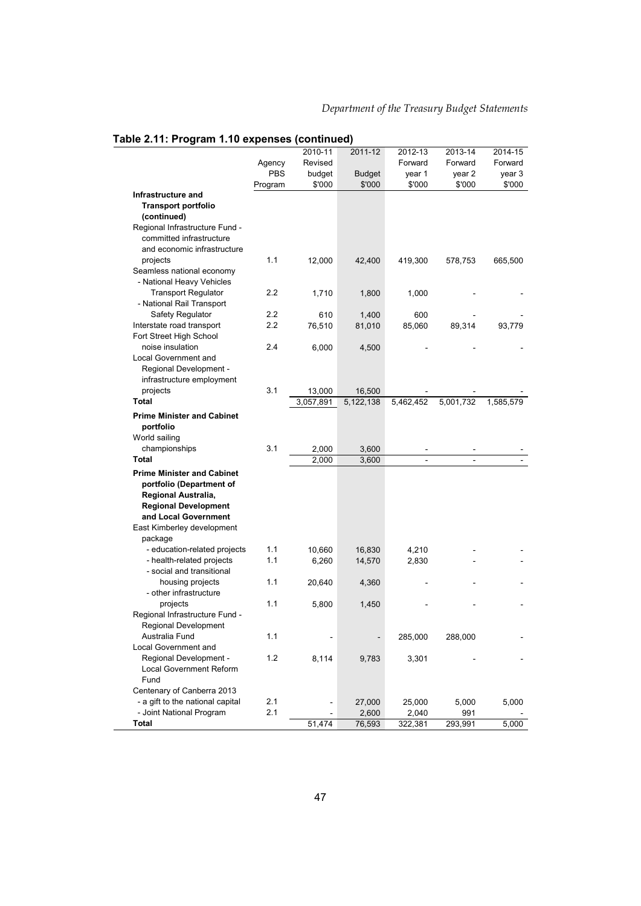#### 2010-11 2011-12 2012-13 2013-14 2014-15 Agency Revised **Forward Forward Forward** PBS budget Budget year 1 year 2 year 3 **Infrastructure and**  Program \$'000 \$'000 \$'000 \$'000 \$'000 **Transport portfolio (continued)**  Regional Infrastructure Fund committed infrastructure and economic infrastructure projects 1.1 12,000 42,400 419,300 578,753 665,500 Seamless national economy - National Heavy Vehicles Transport Regulator 2.2 1,710 1,800 1,000 - - - National Rail Transport Safety Regulator 2.2 610 1,400 600 Interstate road transport 2.2 76,510 81,010 85,060 89,314 93,779 Fort Street High School noise insulation 2.4 6,000 4,500 Local Government and Regional Development infrastructure employment projects 3.1 13,000 16,500 - - - **Total** 3,057,891 5,122,138 5,462,452 5,001,732 1,585,579 **Prime Minister and Cabinet portfolio**  World sailing championships 3.1 2,000 3,600 **Total** 2,000 3,600 - - - **Prime Minister and Cabinet portfolio (Department of Regional Australia, Regional Development and Local Government**  East Kimberley development package - education-related projects 1.1 10,660 16,830 4,210 - health-related projects 1.1 6,260 14,570 2,830 - social and transitional housing projects 1.1 20,640 4,360 - other infrastructure projects 1.1 5,800 1,450 - - - Regional Infrastructure Fund - Regional Development Australia Fund 1.1 - 1.1 - 1.1 - 285,000 288,000 Local Government and Regional Development - 1.2 8,114 9,783 3,301 Local Government Reform Fund Centenary of Canberra 2013 - a gift to the national capital  $2.1$  -  $27,000$   $25,000$   $5,000$   $5,000$ - Joint National Program 2.1 - 2,600 2,040 991 **Total** 51,474 76,593 322,381 293,991 5,000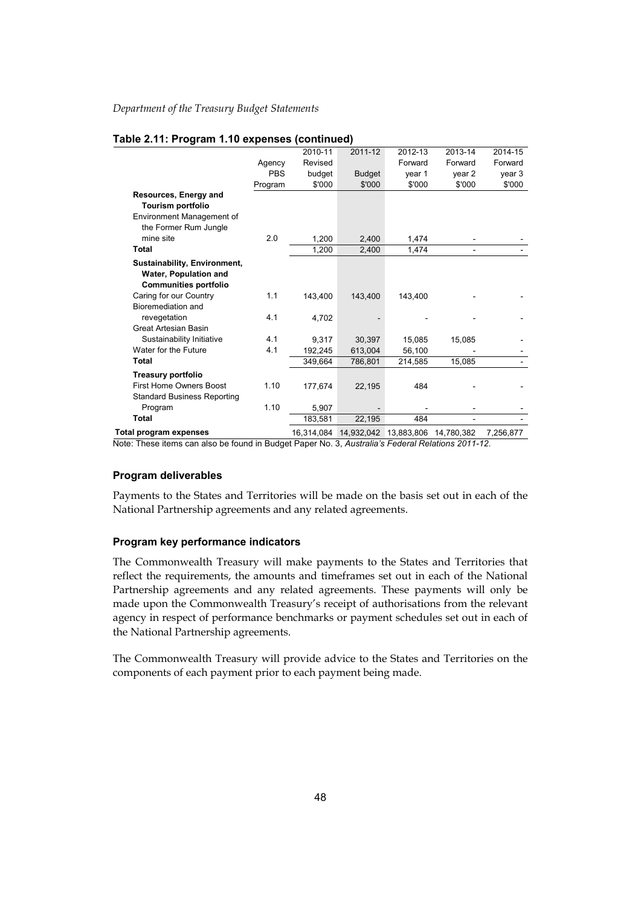|                                                                                       |            | 2010-11    | 2011-12       | 2012-13               | 2013-14    | 2014-15   |
|---------------------------------------------------------------------------------------|------------|------------|---------------|-----------------------|------------|-----------|
|                                                                                       | Agency     | Revised    |               | Forward               | Forward    | Forward   |
|                                                                                       | <b>PBS</b> | budget     | <b>Budget</b> | year 1                | year 2     | year 3    |
|                                                                                       | Program    | \$'000     | \$'000        | \$'000                | \$'000     | \$'000    |
| Resources, Energy and<br>Tourism portfolio                                            |            |            |               |                       |            |           |
| Environment Management of<br>the Former Rum Jungle                                    |            |            |               |                       |            |           |
| mine site                                                                             | 2.0        | 1,200      | 2,400         | 1,474                 |            |           |
| <b>Total</b>                                                                          |            | 1,200      | 2,400         | 1,474                 |            |           |
| Sustainability, Environment,<br>Water, Population and<br><b>Communities portfolio</b> |            |            |               |                       |            |           |
| Caring for our Country                                                                | 1.1        | 143,400    | 143,400       | 143,400               |            |           |
| Bioremediation and                                                                    |            |            |               |                       |            |           |
| revegetation                                                                          | 4.1        | 4.702      |               |                       |            |           |
| <b>Great Artesian Basin</b>                                                           |            |            |               |                       |            |           |
| Sustainability Initiative                                                             | 4.1        | 9,317      | 30,397        | 15,085                | 15,085     |           |
| Water for the Future                                                                  | 4.1        | 192,245    | 613,004       | 56,100                |            |           |
| Total                                                                                 |            | 349,664    | 786,801       | 214,585               | 15,085     |           |
| Treasury portfolio                                                                    |            |            |               |                       |            |           |
| <b>First Home Owners Boost</b><br><b>Standard Business Reporting</b>                  | 1.10       | 177.674    | 22,195        | 484                   |            |           |
| Program                                                                               | 1.10       | 5,907      |               |                       |            |           |
| <b>Total</b>                                                                          |            | 183,581    | 22,195        | 484                   |            |           |
| Total program expenses                                                                |            | 16,314,084 |               | 14,932,042 13,883,806 | 14,780,382 | 7,256,877 |

Note: These items can also be found in Budget Paper No. 3, *Australia's Federal Relations 2011-12*.

#### **Program deliverables**

Payments to the States and Territories will be made on the basis set out in each of the National Partnership agreements and any related agreements.

#### **Program key performance indicators**

The Commonwealth Treasury will make payments to the States and Territories that reflect the requirements, the amounts and timeframes set out in each of the National Partnership agreements and any related agreements. These payments will only be made upon the Commonwealth Treasury's receipt of authorisations from the relevant agency in respect of performance benchmarks or payment schedules set out in each of the National Partnership agreements.

The Commonwealth Treasury will provide advice to the States and Territories on the components of each payment prior to each payment being made.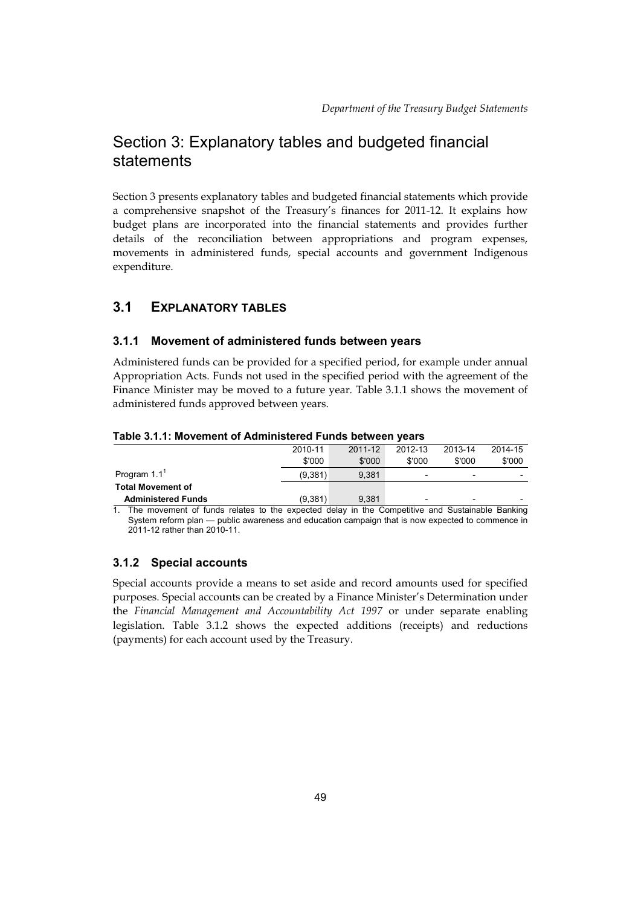# Section 3: Explanatory tables and budgeted financial statements

Section 3 presents explanatory tables and budgeted financial statements which provide a comprehensive snapshot of the Treasury's finances for 2011-12. It explains how budget plans are incorporated into the financial statements and provides further details of the reconciliation between appropriations and program expenses, movements in administered funds, special accounts and government Indigenous expenditure.

# **3.1 EXPLANATORY TABLES**

# **3.1.1 Movement of administered funds between years**

Administered funds can be provided for a specified period, for example under annual Appropriation Acts. Funds not used in the specified period with the agreement of the Finance Minister may be moved to a future year. Table 3.1.1 shows the movement of administered funds approved between years.

|                           | 2010-11 | 2011-12 | 2012-13                  | 2013-14 | 2014-15 |  |  |
|---------------------------|---------|---------|--------------------------|---------|---------|--|--|
|                           | \$'000  | \$'000  | \$'000                   | \$'000  | \$'000  |  |  |
| Program $1.11$            | (9,381) | 9.381   | $\overline{\phantom{0}}$ | -       |         |  |  |
| <b>Total Movement of</b>  |         |         |                          |         |         |  |  |
| <b>Administered Funds</b> | (9.381) | 9.381   | $\overline{\phantom{a}}$ | -       |         |  |  |
|                           |         |         |                          |         |         |  |  |

#### **Table 3.1.1: Movement of Administered Funds between years**

1. The movement of funds relates to the expected delay in the Competitive and Sustainable Banking System reform plan — public awareness and education campaign that is now expected to commence in 2011-12 rather than 2010-11.

# **3.1.2 Special accounts**

Special accounts provide a means to set aside and record amounts used for specified purposes. Special accounts can be created by a Finance Minister's Determination under the *Financial Management and Accountability Act 1997* or under separate enabling legislation. Table 3.1.2 shows the expected additions (receipts) and reductions (payments) for each account used by the Treasury.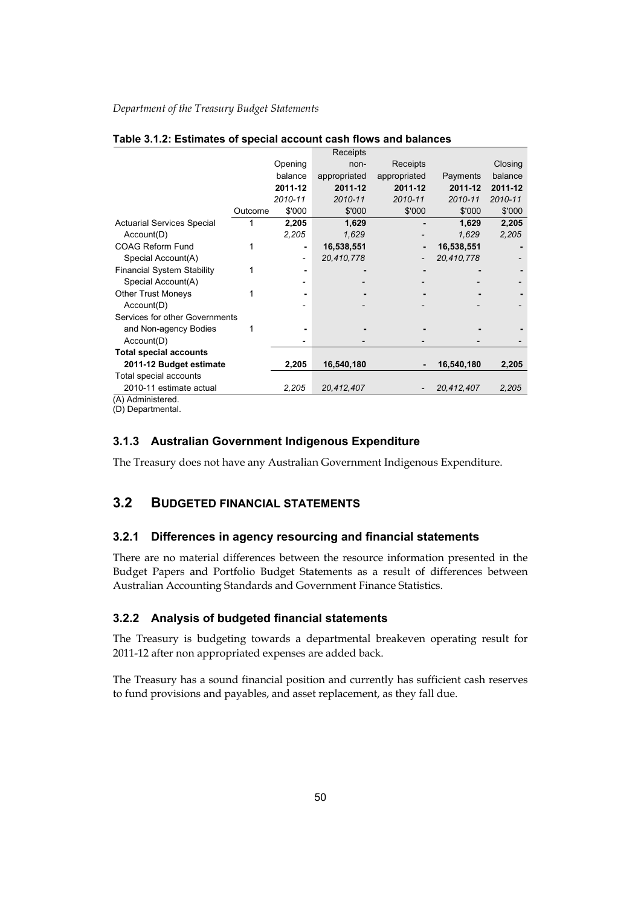|                                   |         |                          | Receipts     |              |            |         |
|-----------------------------------|---------|--------------------------|--------------|--------------|------------|---------|
|                                   |         | Opening                  | non-         | Receipts     |            | Closing |
|                                   |         | balance                  | appropriated | appropriated | Payments   | balance |
|                                   |         | 2011-12                  | 2011-12      | 2011-12      | 2011-12    | 2011-12 |
|                                   |         | 2010-11                  | 2010-11      | 2010-11      | 2010-11    | 2010-11 |
|                                   | Outcome | \$'000                   | \$'000       | \$'000       | \$'000     | \$'000  |
| <b>Actuarial Services Special</b> |         | 2,205                    | 1,629        |              | 1,629      | 2,205   |
| Account(D)                        |         | 2,205                    | 1,629        |              | 1,629      | 2,205   |
| <b>COAG Reform Fund</b>           | 1       |                          | 16,538,551   |              | 16,538,551 |         |
| Special Account(A)                |         | $\overline{\phantom{a}}$ | 20,410,778   |              | 20,410,778 |         |
| <b>Financial System Stability</b> |         |                          |              |              |            |         |
| Special Account(A)                |         |                          |              |              |            |         |
| <b>Other Trust Moneys</b>         |         |                          |              |              |            |         |
| Account(D)                        |         |                          |              |              |            |         |
| Services for other Governments    |         |                          |              |              |            |         |
| and Non-agency Bodies             |         |                          |              |              |            |         |
| Account(D)                        |         |                          |              |              |            |         |
| <b>Total special accounts</b>     |         |                          |              |              |            |         |
| 2011-12 Budget estimate           |         | 2,205                    | 16,540,180   |              | 16,540,180 | 2,205   |
| Total special accounts            |         |                          |              |              |            |         |
| 2010-11 estimate actual           |         | 2,205                    | 20,412,407   |              | 20,412,407 | 2,205   |
| $(1)$ Adminictorod                |         |                          |              |              |            |         |

#### **Table 3.1.2: Estimates of special account cash flows and balances**

(A) Administered.

(D) Departmental.

# **3.1.3 Australian Government Indigenous Expenditure**

The Treasury does not have any Australian Government Indigenous Expenditure.

# **3.2 BUDGETED FINANCIAL STATEMENTS**

# **3.2.1 Differences in agency resourcing and financial statements**

There are no material differences between the resource information presented in the Budget Papers and Portfolio Budget Statements as a result of differences between Australian Accounting Standards and Government Finance Statistics.

# **3.2.2 Analysis of budgeted financial statements**

The Treasury is budgeting towards a departmental breakeven operating result for 2011-12 after non appropriated expenses are added back.

The Treasury has a sound financial position and currently has sufficient cash reserves to fund provisions and payables, and asset replacement, as they fall due.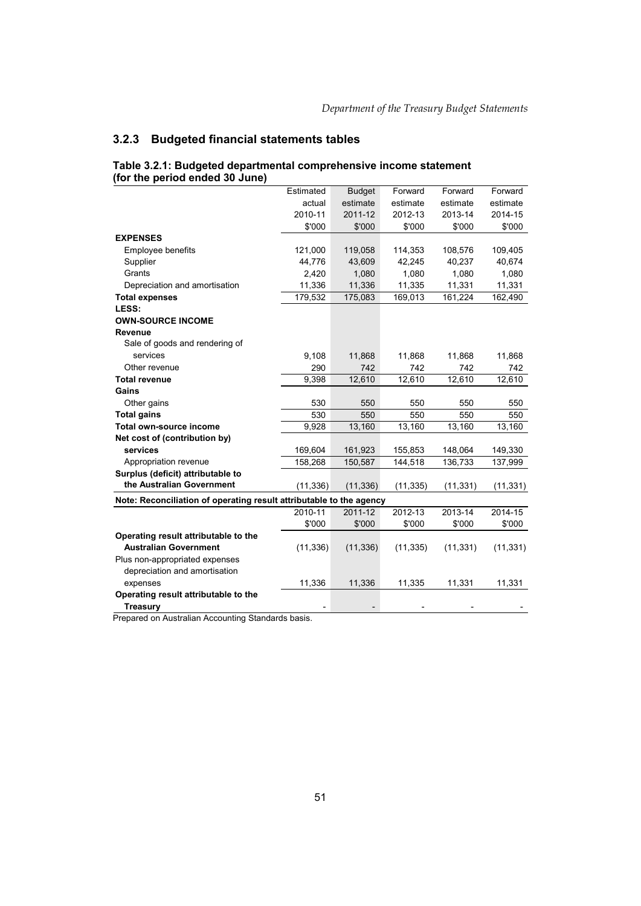# **3.2.3 Budgeted financial statements tables**

|                                                                     | Estimated | <b>Budget</b> | Forward   | Forward   | Forward   |
|---------------------------------------------------------------------|-----------|---------------|-----------|-----------|-----------|
|                                                                     | actual    | estimate      | estimate  | estimate  | estimate  |
|                                                                     | 2010-11   | 2011-12       | 2012-13   | 2013-14   | 2014-15   |
|                                                                     | \$'000    | \$'000        | \$'000    | \$'000    | \$'000    |
| <b>EXPENSES</b>                                                     |           |               |           |           |           |
| Employee benefits                                                   | 121,000   | 119,058       | 114,353   | 108,576   | 109,405   |
| Supplier                                                            | 44,776    | 43,609        | 42,245    | 40,237    | 40,674    |
| Grants                                                              | 2,420     | 1,080         | 1,080     | 1,080     | 1,080     |
| Depreciation and amortisation                                       | 11,336    | 11,336        | 11,335    | 11,331    | 11,331    |
| <b>Total expenses</b>                                               | 179,532   | 175,083       | 169,013   | 161,224   | 162,490   |
| LESS:                                                               |           |               |           |           |           |
| <b>OWN-SOURCE INCOME</b>                                            |           |               |           |           |           |
| Revenue                                                             |           |               |           |           |           |
| Sale of goods and rendering of                                      |           |               |           |           |           |
| services                                                            | 9,108     | 11,868        | 11,868    | 11,868    | 11,868    |
| Other revenue                                                       | 290       | 742           | 742       | 742       | 742       |
| <b>Total revenue</b>                                                | 9,398     | 12,610        | 12,610    | 12,610    | 12,610    |
| Gains                                                               |           |               |           |           |           |
| Other gains                                                         | 530       | 550           | 550       | 550       | 550       |
| <b>Total gains</b>                                                  | 530       | 550           | 550       | 550       | 550       |
| Total own-source income                                             | 9,928     | 13,160        | 13,160    | 13,160    | 13,160    |
| Net cost of (contribution by)                                       |           |               |           |           |           |
| services                                                            | 169,604   | 161,923       | 155,853   | 148,064   | 149,330   |
| Appropriation revenue                                               | 158,268   | 150,587       | 144,518   | 136,733   | 137,999   |
| Surplus (deficit) attributable to                                   |           |               |           |           |           |
| the Australian Government                                           | (11, 336) | (11, 336)     | (11, 335) | (11, 331) | (11, 331) |
| Note: Reconciliation of operating result attributable to the agency |           |               |           |           |           |
|                                                                     | 2010-11   | 2011-12       | 2012-13   | 2013-14   | 2014-15   |
|                                                                     | \$'000    | \$'000        | \$'000    | \$'000    | \$'000    |
| Operating result attributable to the                                |           |               |           |           |           |
| <b>Australian Government</b>                                        | (11, 336) | (11, 336)     | (11, 335) | (11, 331) | (11, 331) |
| Plus non-appropriated expenses                                      |           |               |           |           |           |
| depreciation and amortisation                                       |           |               |           |           |           |
| expenses                                                            | 11,336    | 11,336        | 11,335    | 11,331    | 11,331    |
| Operating result attributable to the                                |           |               |           |           |           |
| <b>Treasury</b>                                                     |           |               |           |           |           |
|                                                                     |           |               |           |           |           |

#### **Table 3.2.1: Budgeted departmental comprehensive income statement (for the period ended 30 June)**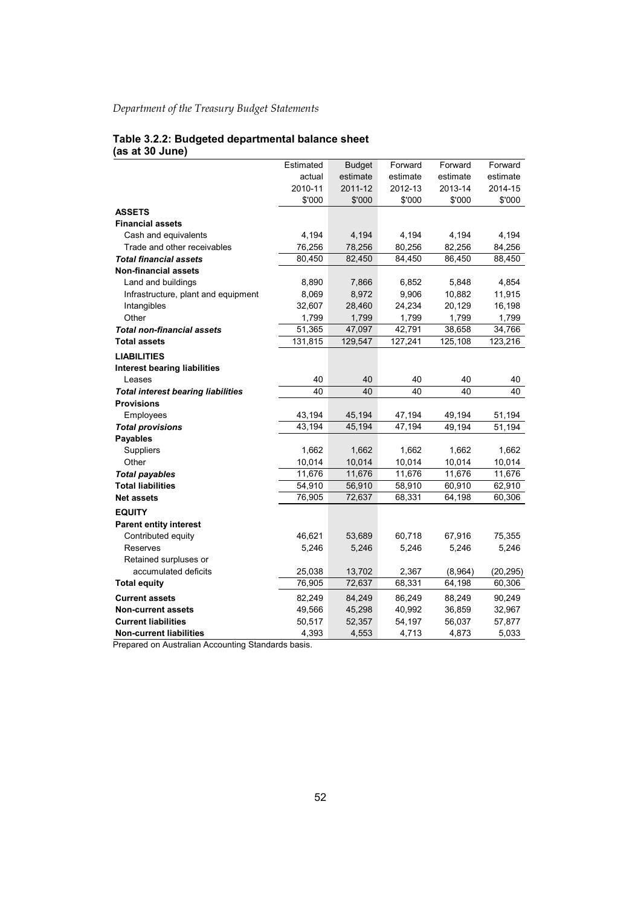#### **Table 3.2.2: Budgeted departmental balance sheet (as at 30 June)**

|                                           | Estimated | <b>Budget</b> | Forward  | Forward  | Forward   |
|-------------------------------------------|-----------|---------------|----------|----------|-----------|
|                                           | actual    | estimate      | estimate | estimate | estimate  |
|                                           | 2010-11   | 2011-12       | 2012-13  | 2013-14  | 2014-15   |
|                                           | \$'000    | \$'000        | \$'000   | \$'000   | \$'000    |
| <b>ASSETS</b>                             |           |               |          |          |           |
| <b>Financial assets</b>                   |           |               |          |          |           |
| Cash and equivalents                      | 4,194     | 4,194         | 4,194    | 4,194    | 4,194     |
| Trade and other receivables               | 76,256    | 78,256        | 80,256   | 82,256   | 84,256    |
| <b>Total financial assets</b>             | 80,450    | 82,450        | 84,450   | 86,450   | 88,450    |
| <b>Non-financial assets</b>               |           |               |          |          |           |
| Land and buildings                        | 8,890     | 7,866         | 6,852    | 5,848    | 4,854     |
| Infrastructure, plant and equipment       | 8,069     | 8,972         | 9,906    | 10,882   | 11,915    |
| Intangibles                               | 32,607    | 28,460        | 24,234   | 20,129   | 16,198    |
| Other                                     | 1,799     | 1,799         | 1,799    | 1,799    | 1,799     |
| <b>Total non-financial assets</b>         | 51,365    | 47,097        | 42,791   | 38,658   | 34,766    |
| <b>Total assets</b>                       | 131,815   | 129,547       | 127,241  | 125,108  | 123,216   |
| <b>LIABILITIES</b>                        |           |               |          |          |           |
| <b>Interest bearing liabilities</b>       |           |               |          |          |           |
| Leases                                    | 40        | 40            | 40       | 40       | 40        |
| <b>Total interest bearing liabilities</b> | 40        | 40            | 40       | 40       | 40        |
| <b>Provisions</b>                         |           |               |          |          |           |
| Employees                                 | 43,194    | 45,194        | 47,194   | 49,194   | 51,194    |
| <b>Total provisions</b>                   | 43,194    | 45,194        | 47,194   | 49,194   | 51,194    |
| <b>Payables</b>                           |           |               |          |          |           |
| Suppliers                                 | 1,662     | 1,662         | 1,662    | 1,662    | 1,662     |
| Other                                     | 10,014    | 10,014        | 10,014   | 10,014   | 10,014    |
| <b>Total payables</b>                     | 11,676    | 11,676        | 11,676   | 11,676   | 11,676    |
| <b>Total liabilities</b>                  | 54,910    | 56,910        | 58,910   | 60,910   | 62,910    |
| <b>Net assets</b>                         | 76,905    | 72,637        | 68,331   | 64,198   | 60,306    |
| <b>EQUITY</b>                             |           |               |          |          |           |
| <b>Parent entity interest</b>             |           |               |          |          |           |
| Contributed equity                        | 46,621    | 53,689        | 60,718   | 67,916   | 75,355    |
| Reserves                                  | 5,246     | 5,246         | 5,246    | 5,246    | 5,246     |
| Retained surpluses or                     |           |               |          |          |           |
| accumulated deficits                      | 25,038    | 13,702        | 2,367    | (8,964)  | (20, 295) |
| <b>Total equity</b>                       | 76,905    | 72,637        | 68,331   | 64,198   | 60,306    |
| <b>Current assets</b>                     | 82,249    | 84,249        | 86,249   | 88,249   | 90,249    |
| <b>Non-current assets</b>                 | 49,566    | 45,298        | 40,992   | 36,859   | 32,967    |
| <b>Current liabilities</b>                | 50,517    | 52,357        | 54,197   | 56,037   | 57,877    |
| <b>Non-current liabilities</b>            | 4,393     | 4,553         | 4,713    | 4,873    | 5,033     |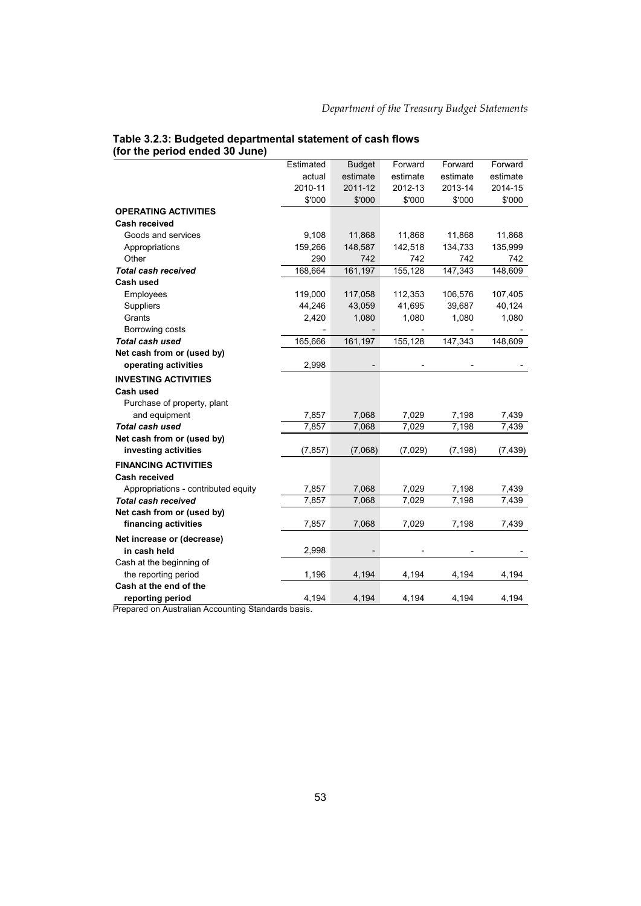#### **Table 3.2.3: Budgeted departmental statement of cash flows (for the period ended 30 June)**

|                                     | Estimated | <b>Budget</b> | Forward  | Forward                      | Forward  |
|-------------------------------------|-----------|---------------|----------|------------------------------|----------|
|                                     | actual    | estimate      | estimate | estimate                     | estimate |
|                                     | 2010-11   | 2011-12       | 2012-13  | 2013-14                      | 2014-15  |
|                                     | \$'000    | \$'000        | \$'000   | \$'000                       | \$'000   |
| <b>OPERATING ACTIVITIES</b>         |           |               |          |                              |          |
| <b>Cash received</b>                |           |               |          |                              |          |
| Goods and services                  | 9,108     | 11,868        | 11,868   | 11,868                       | 11,868   |
| Appropriations                      | 159,266   | 148,587       | 142,518  | 134,733                      | 135,999  |
| Other                               | 290       | 742           | 742      | 742                          | 742      |
| <b>Total cash received</b>          | 168,664   | 161,197       | 155,128  | 147,343                      | 148,609  |
| Cash used                           |           |               |          |                              |          |
| Employees                           | 119,000   | 117,058       | 112,353  | 106,576                      | 107,405  |
| Suppliers                           | 44,246    | 43,059        | 41,695   | 39,687                       | 40,124   |
| Grants                              | 2,420     | 1,080         | 1,080    | 1,080                        | 1,080    |
| Borrowing costs                     |           |               |          | $\qquad \qquad \blacksquare$ |          |
| <b>Total cash used</b>              | 165,666   | 161,197       | 155,128  | 147,343                      | 148,609  |
| Net cash from or (used by)          |           |               |          |                              |          |
| operating activities                | 2,998     |               |          |                              |          |
| <b>INVESTING ACTIVITIES</b>         |           |               |          |                              |          |
| Cash used                           |           |               |          |                              |          |
| Purchase of property, plant         |           |               |          |                              |          |
| and equipment                       | 7,857     | 7,068         | 7,029    | 7,198                        | 7,439    |
| <b>Total cash used</b>              | 7,857     | 7,068         | 7,029    | 7,198                        | 7,439    |
| Net cash from or (used by)          |           |               |          |                              |          |
| investing activities                | (7, 857)  | (7,068)       | (7,029)  | (7, 198)                     | (7, 439) |
| <b>FINANCING ACTIVITIES</b>         |           |               |          |                              |          |
| Cash received                       |           |               |          |                              |          |
| Appropriations - contributed equity | 7,857     | 7,068         | 7,029    | 7,198                        | 7,439    |
| <b>Total cash received</b>          | 7,857     | 7,068         | 7,029    | 7,198                        | 7,439    |
| Net cash from or (used by)          |           |               |          |                              |          |
| financing activities                | 7,857     | 7,068         | 7,029    | 7,198                        | 7,439    |
| Net increase or (decrease)          |           |               |          |                              |          |
| in cash held                        | 2,998     |               |          |                              |          |
| Cash at the beginning of            |           |               |          |                              |          |
| the reporting period                | 1,196     | 4,194         | 4,194    | 4,194                        | 4,194    |
| Cash at the end of the              |           |               |          |                              |          |
| reporting period                    | 4,194     | 4,194         | 4,194    | 4,194                        | 4,194    |
|                                     |           |               |          |                              |          |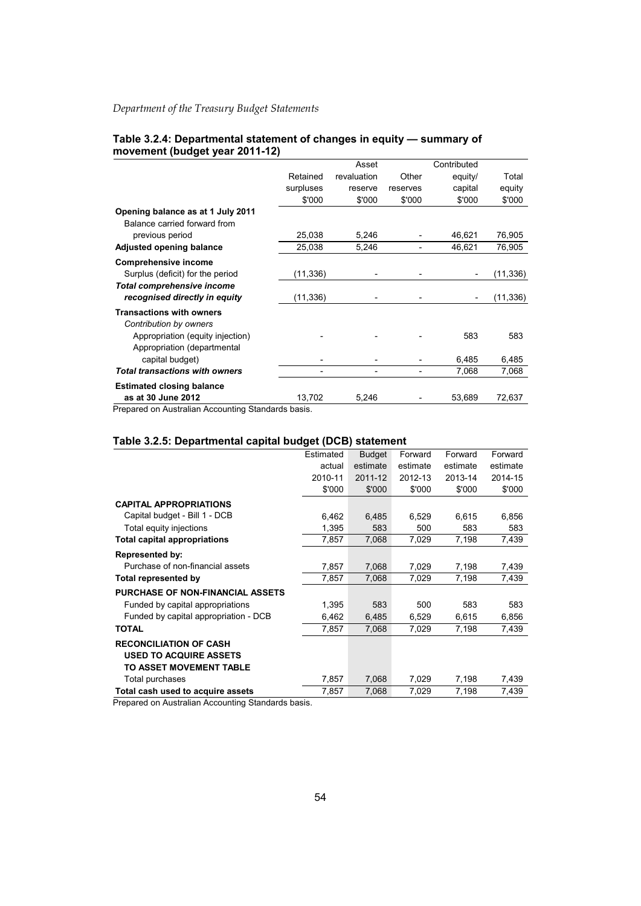| $1110$ venient (budget year zo Fi-Tz)                              |           |             |                              |             |           |
|--------------------------------------------------------------------|-----------|-------------|------------------------------|-------------|-----------|
|                                                                    |           | Asset       |                              | Contributed |           |
|                                                                    | Retained  | revaluation | Other                        | equity/     | Total     |
|                                                                    | surpluses | reserve     | reserves                     | capital     | equity    |
|                                                                    | \$'000    | \$'000      | \$'000                       | \$'000      | \$'000    |
| Opening balance as at 1 July 2011<br>Balance carried forward from  |           |             |                              |             |           |
| previous period                                                    | 25,038    | 5,246       |                              | 46,621      | 76,905    |
| <b>Adjusted opening balance</b>                                    | 25,038    | 5,246       | $\qquad \qquad \blacksquare$ | 46,621      | 76,905    |
| <b>Comprehensive income</b>                                        |           |             |                              |             |           |
| Surplus (deficit) for the period                                   | (11, 336) |             |                              |             | (11, 336) |
| <b>Total comprehensive income</b><br>recognised directly in equity | (11, 336) |             | $\overline{\phantom{a}}$     |             | (11, 336) |
| <b>Transactions with owners</b><br>Contribution by owners          |           |             |                              |             |           |
| Appropriation (equity injection)<br>Appropriation (departmental    |           |             |                              | 583         | 583       |
| capital budget)                                                    |           |             |                              | 6,485       | 6,485     |
| <b>Total transactions with owners</b>                              |           | -           | $\overline{\phantom{a}}$     | 7,068       | 7,068     |
| <b>Estimated closing balance</b>                                   |           |             |                              |             |           |
| as at 30 June 2012                                                 | 13,702    | 5,246       |                              | 53,689      | 72,637    |

#### **Table 3.2.4: Departmental statement of changes in equity — summary of movement (budget year 2011-12)**

Prepared on Australian Accounting Standards basis.

#### **Table 3.2.5: Departmental capital budget (DCB) statement**

|                                         | Estimated | <b>Budget</b> | Forward  | Forward  | Forward  |
|-----------------------------------------|-----------|---------------|----------|----------|----------|
|                                         | actual    | estimate      | estimate | estimate | estimate |
|                                         | 2010-11   | 2011-12       | 2012-13  | 2013-14  | 2014-15  |
|                                         | \$'000    | \$'000        | \$'000   | \$'000   | \$'000   |
| <b>CAPITAL APPROPRIATIONS</b>           |           |               |          |          |          |
| Capital budget - Bill 1 - DCB           | 6,462     | 6,485         | 6,529    | 6,615    | 6,856    |
| Total equity injections                 | 1,395     | 583           | 500      | 583      | 583      |
| <b>Total capital appropriations</b>     | 7,857     | 7,068         | 7,029    | 7,198    | 7,439    |
| <b>Represented by:</b>                  |           |               |          |          |          |
| Purchase of non-financial assets        | 7,857     | 7,068         | 7,029    | 7,198    | 7,439    |
| Total represented by                    | 7,857     | 7,068         | 7,029    | 7,198    | 7,439    |
| <b>PURCHASE OF NON-FINANCIAL ASSETS</b> |           |               |          |          |          |
| Funded by capital appropriations        | 1,395     | 583           | 500      | 583      | 583      |
| Funded by capital appropriation - DCB   | 6,462     | 6,485         | 6,529    | 6,615    | 6,856    |
| <b>TOTAL</b>                            | 7,857     | 7,068         | 7,029    | 7,198    | 7,439    |
| <b>RECONCILIATION OF CASH</b>           |           |               |          |          |          |
| <b>USED TO ACQUIRE ASSETS</b>           |           |               |          |          |          |
| TO ASSET MOVEMENT TABLE                 |           |               |          |          |          |
| Total purchases                         | 7,857     | 7,068         | 7,029    | 7,198    | 7,439    |
| Total cash used to acquire assets       | 7,857     | 7,068         | 7,029    | 7,198    | 7,439    |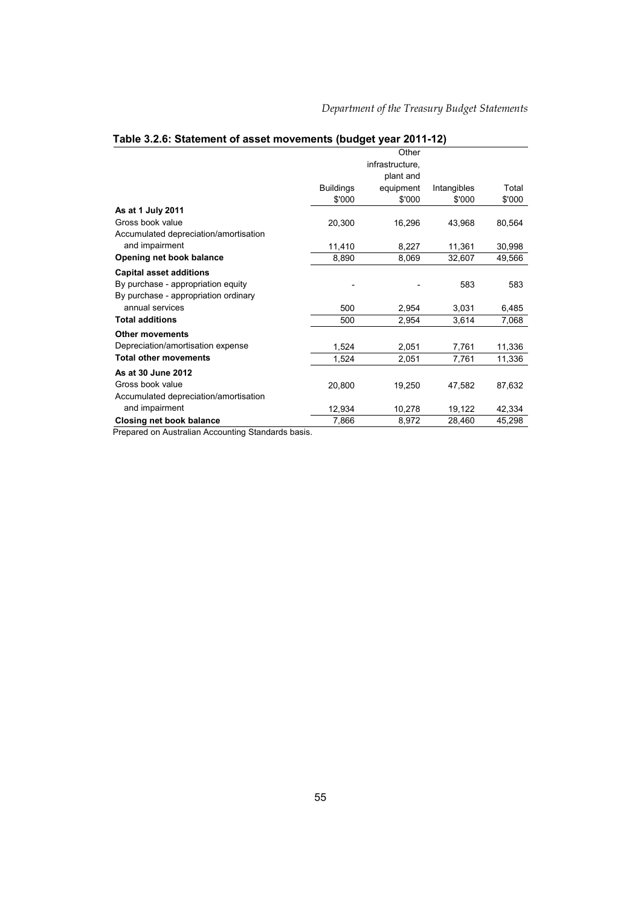Total \$'000

| <u>Fabio 0.2.0. Otatomont of assot movements (baugot your zv FFTZ)</u> |                  |                 |             |  |
|------------------------------------------------------------------------|------------------|-----------------|-------------|--|
|                                                                        |                  | Other           |             |  |
|                                                                        |                  | infrastructure, |             |  |
|                                                                        |                  | plant and       |             |  |
|                                                                        | <b>Buildings</b> | equipment       | Intangibles |  |
|                                                                        | \$'000           | \$'000          | \$'000      |  |
| A - - 1 4 1.1 0044                                                     |                  |                 |             |  |

## **Table 3.2.6: Statement of asset movements (budget year 2011-12)**

| As at 1 July 2011                     |        |        |        |        |
|---------------------------------------|--------|--------|--------|--------|
| Gross book value                      | 20.300 | 16.296 | 43.968 | 80.564 |
| Accumulated depreciation/amortisation |        |        |        |        |
| and impairment                        | 11.410 | 8,227  | 11.361 | 30,998 |
| Opening net book balance              | 8,890  | 8,069  | 32,607 | 49,566 |
| <b>Capital asset additions</b>        |        |        |        |        |
| By purchase - appropriation equity    |        |        | 583    | 583    |
| By purchase - appropriation ordinary  |        |        |        |        |
| annual services                       | 500    | 2,954  | 3,031  | 6,485  |
| <b>Total additions</b>                | 500    | 2,954  | 3,614  | 7,068  |
| <b>Other movements</b>                |        |        |        |        |
| Depreciation/amortisation expense     | 1,524  | 2,051  | 7,761  | 11,336 |
| <b>Total other movements</b>          | 1,524  | 2,051  | 7,761  | 11,336 |
| As at 30 June 2012                    |        |        |        |        |
| Gross book value                      | 20,800 | 19,250 | 47,582 | 87,632 |
| Accumulated depreciation/amortisation |        |        |        |        |
| and impairment                        | 12,934 | 10,278 | 19,122 | 42,334 |
| Closing net book balance              | 7,866  | 8,972  | 28,460 | 45,298 |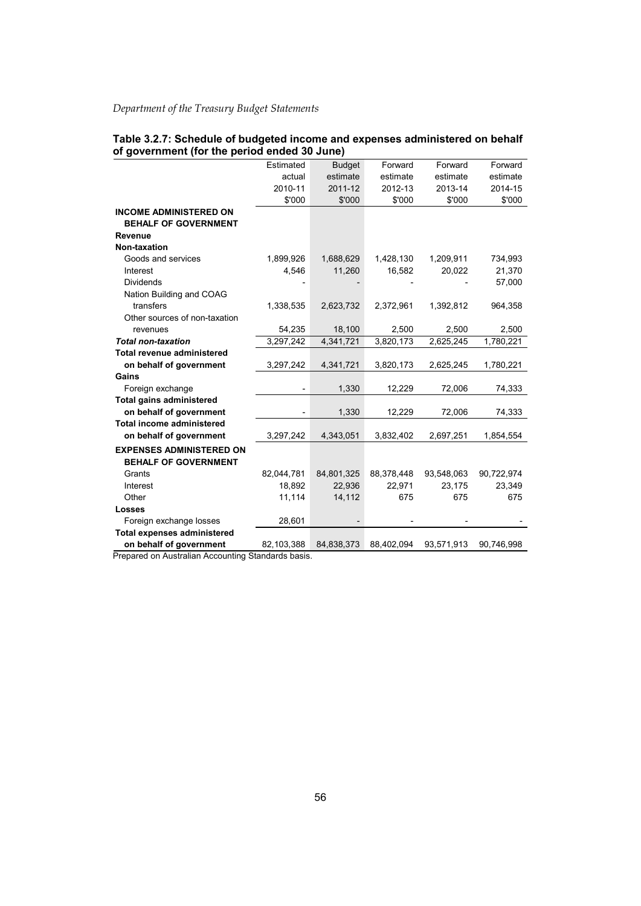| Table 3.2.7: Schedule of budgeted income and expenses administered on behalf |  |  |
|------------------------------------------------------------------------------|--|--|
| of government (for the period ended 30 June)                                 |  |  |

|                                    | Estimated                | <b>Budget</b> | Forward    | Forward    | Forward    |
|------------------------------------|--------------------------|---------------|------------|------------|------------|
|                                    | actual                   | estimate      | estimate   | estimate   | estimate   |
|                                    | 2010-11                  | 2011-12       | 2012-13    | 2013-14    | 2014-15    |
|                                    | \$'000                   | \$'000        | \$'000     | \$'000     | \$'000     |
| <b>INCOME ADMINISTERED ON</b>      |                          |               |            |            |            |
| <b>BEHALF OF GOVERNMENT</b>        |                          |               |            |            |            |
| <b>Revenue</b>                     |                          |               |            |            |            |
| Non-taxation                       |                          |               |            |            |            |
| Goods and services                 | 1,899,926                | 1,688,629     | 1,428,130  | 1,209,911  | 734,993    |
| Interest                           | 4,546                    | 11,260        | 16,582     | 20,022     | 21,370     |
| <b>Dividends</b>                   |                          |               |            |            | 57,000     |
| Nation Building and COAG           |                          |               |            |            |            |
| transfers                          | 1,338,535                | 2,623,732     | 2,372,961  | 1,392,812  | 964,358    |
| Other sources of non-taxation      |                          |               |            |            |            |
| revenues                           | 54,235                   | 18,100        | 2,500      | 2,500      | 2,500      |
| <b>Total non-taxation</b>          | 3,297,242                | 4,341,721     | 3,820,173  | 2,625,245  | 1,780,221  |
| <b>Total revenue administered</b>  |                          |               |            |            |            |
| on behalf of government            | 3,297,242                | 4,341,721     | 3,820,173  | 2,625,245  | 1,780,221  |
| Gains                              |                          |               |            |            |            |
| Foreign exchange                   | $\overline{\phantom{0}}$ | 1,330         | 12,229     | 72,006     | 74,333     |
| <b>Total gains administered</b>    |                          |               |            |            |            |
| on behalf of government            | $\overline{\phantom{0}}$ | 1,330         | 12,229     | 72,006     | 74,333     |
| <b>Total income administered</b>   |                          |               |            |            |            |
| on behalf of government            | 3,297,242                | 4,343,051     | 3,832,402  | 2,697,251  | 1,854,554  |
| <b>EXPENSES ADMINISTERED ON</b>    |                          |               |            |            |            |
| <b>BEHALF OF GOVERNMENT</b>        |                          |               |            |            |            |
| Grants                             | 82,044,781               | 84,801,325    | 88,378,448 | 93,548,063 | 90,722,974 |
| Interest                           | 18,892                   | 22,936        | 22,971     | 23,175     | 23,349     |
| Other                              | 11,114                   | 14,112        | 675        | 675        | 675        |
| <b>Losses</b>                      |                          |               |            |            |            |
| Foreign exchange losses            | 28,601                   |               |            |            |            |
| <b>Total expenses administered</b> |                          |               |            |            |            |
| on behalf of government            | 82,103,388               | 84,838,373    | 88,402,094 | 93,571,913 | 90,746,998 |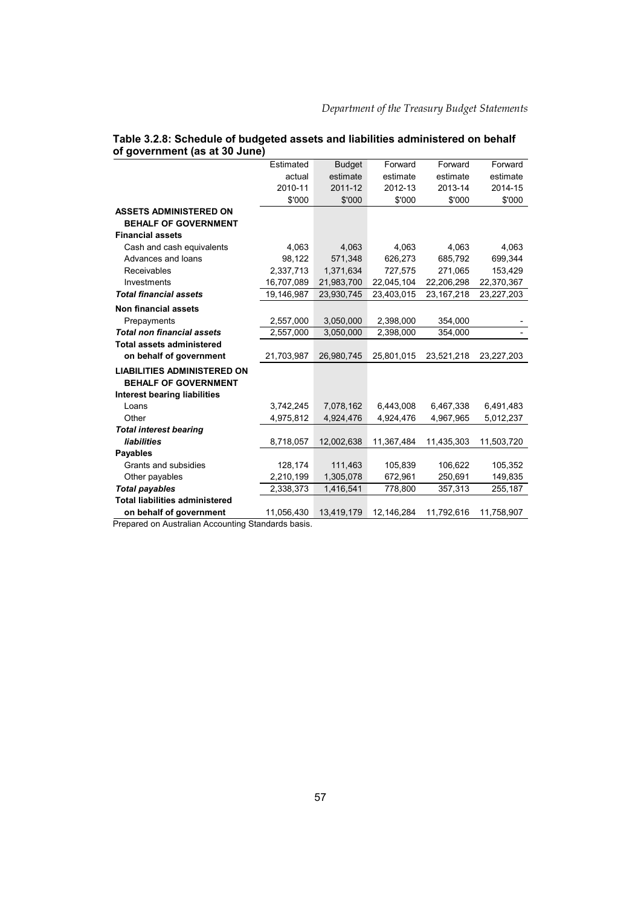|                                       | Estimated  | <b>Budget</b> | Forward    | Forward      | Forward    |
|---------------------------------------|------------|---------------|------------|--------------|------------|
|                                       | actual     | estimate      | estimate   | estimate     | estimate   |
|                                       | 2010-11    | 2011-12       | 2012-13    | 2013-14      | 2014-15    |
|                                       | \$'000     | \$'000        | \$'000     | \$'000       | \$'000     |
| <b>ASSETS ADMINISTERED ON</b>         |            |               |            |              |            |
| <b>BEHALF OF GOVERNMENT</b>           |            |               |            |              |            |
| <b>Financial assets</b>               |            |               |            |              |            |
| Cash and cash equivalents             | 4,063      | 4,063         | 4,063      | 4,063        | 4,063      |
| Advances and loans                    | 98,122     | 571,348       | 626,273    | 685,792      | 699,344    |
| Receivables                           | 2.337.713  | 1.371.634     | 727.575    | 271.065      | 153.429    |
| Investments                           | 16,707,089 | 21,983,700    | 22,045,104 | 22,206,298   | 22,370,367 |
| <b>Total financial assets</b>         | 19,146,987 | 23,930,745    | 23,403,015 | 23, 167, 218 | 23,227,203 |
| <b>Non financial assets</b>           |            |               |            |              |            |
| Prepayments                           | 2,557,000  | 3,050,000     | 2,398,000  | 354,000      |            |
| <b>Total non financial assets</b>     | 2,557,000  | 3,050,000     | 2,398,000  | 354,000      |            |
| <b>Total assets administered</b>      |            |               |            |              |            |
| on behalf of government               | 21,703,987 | 26,980,745    | 25,801,015 | 23,521,218   | 23,227,203 |
| <b>LIABILITIES ADMINISTERED ON</b>    |            |               |            |              |            |
| <b>BEHALF OF GOVERNMENT</b>           |            |               |            |              |            |
| <b>Interest bearing liabilities</b>   |            |               |            |              |            |
| Loans                                 | 3,742,245  | 7,078,162     | 6,443,008  | 6,467,338    | 6,491,483  |
| Other                                 | 4,975,812  | 4,924,476     | 4,924,476  | 4,967,965    | 5,012,237  |
| <b>Total interest bearing</b>         |            |               |            |              |            |
| liabilities                           | 8,718,057  | 12,002,638    | 11,367,484 | 11,435,303   | 11,503,720 |
| <b>Payables</b>                       |            |               |            |              |            |
| Grants and subsidies                  | 128,174    | 111,463       | 105,839    | 106,622      | 105,352    |
| Other payables                        | 2,210,199  | 1,305,078     | 672,961    | 250,691      | 149,835    |
| <b>Total payables</b>                 | 2,338,373  | 1,416,541     | 778,800    | 357,313      | 255,187    |
| <b>Total liabilities administered</b> |            |               |            |              |            |
| on behalf of government               | 11,056,430 | 13,419,179    | 12,146,284 | 11,792,616   | 11,758,907 |

#### **Table 3.2.8: Schedule of budgeted assets and liabilities administered on behalf of government (as at 30 June)**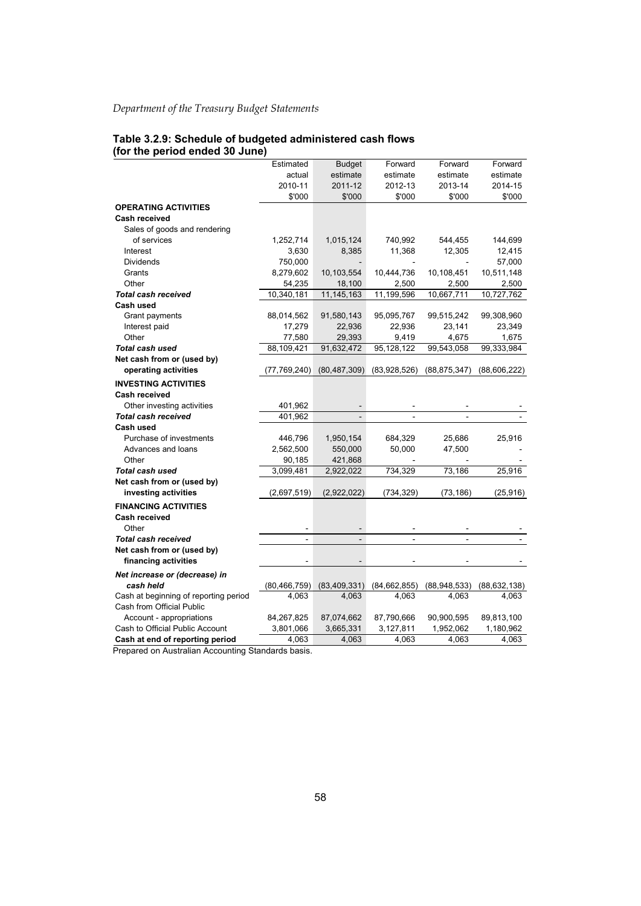#### **Table 3.2.9: Schedule of budgeted administered cash flows (for the period ended 30 June)**

| Estimated<br><b>Budget</b><br>Forward<br>Forward<br>Forward<br>estimate<br>actual<br>estimate<br>estimate<br>estimate<br>2011-12<br>2012-13<br>2013-14<br>2010-11<br>2014-15<br>\$'000<br>\$'000<br>\$'000<br>\$'000<br>\$'000<br><b>OPERATING ACTIVITIES</b><br><b>Cash received</b><br>Sales of goods and rendering<br>of services<br>1,252,714<br>1,015,124<br>740,992<br>544,455<br>144,699<br>3,630<br>8,385<br>11,368<br>12,305<br>12,415<br>Interest<br><b>Dividends</b><br>750,000<br>57,000<br>10,511,148<br>Grants<br>8,279,602<br>10,103,554<br>10,444,736<br>10,108,451<br>Other<br>2,500<br>54,235<br>18,100<br>2,500<br>2,500<br>11, 145, 163<br>10,727,762<br><b>Total cash received</b><br>10,340,181<br>11,199,596<br>10,667,711<br>Cash used<br>99,308,960<br>Grant payments<br>88,014,562<br>91,580,143<br>95,095,767<br>99,515,242<br>Interest paid<br>17,279<br>22,936<br>22,936<br>23,141<br>23,349<br>Other<br>77,580<br>29,393<br>9,419<br>4,675<br>1,675<br>Total cash used<br>88,109,421<br>91,632,472<br>95,128,122<br>99,543,058<br>99,333,984<br>Net cash from or (used by)<br>operating activities<br>(77,769,240)<br>(80, 487, 309)<br>(83,928,526)<br>(88, 875, 347)<br>(88,606,222)<br><b>INVESTING ACTIVITIES</b><br><b>Cash received</b><br>Other investing activities<br>401,962<br>401,962<br>Total cash received<br>Cash used<br>Purchase of investments<br>1,950,154<br>684,329<br>25,686<br>25,916<br>446,796<br>Advances and loans<br>2,562,500<br>550,000<br>50,000<br>47,500<br>Other<br>421,868<br>90,185<br>3,099,481<br>2,922,022<br>734,329<br>73,186<br>25,916<br>Total cash used<br>Net cash from or (used by)<br>investing activities<br>(2,922,022)<br>(734,329)<br>(73, 186)<br>(25, 916)<br>(2,697,519)<br><b>FINANCING ACTIVITIES</b><br>Cash received<br>Other<br><b>Total cash received</b><br>$\blacksquare$<br>$\blacksquare$<br>$\overline{a}$<br>$\overline{a}$<br>Net cash from or (used by)<br>financing activities<br>Net increase or (decrease) in<br>(80, 466, 759)<br>(83, 409, 331)<br>(84, 662, 855)<br>(88,948,533)<br>(88, 632, 138)<br>cash held<br>4,063<br>4,063<br>4,063<br>4,063<br>4,063<br>Cash at beginning of reporting period<br>Cash from Official Public<br>Account - appropriations<br>84,267,825<br>87,074,662<br>87,790,666<br>90,900,595<br>89,813,100<br>Cash to Official Public Account<br>3,665,331<br>3,127,811<br>1,180,962<br>3,801,066<br>1,952,062<br>Cash at end of reporting period<br>4,063<br>4,063<br>4,063<br>4,063<br>4,063 |  |  |  |
|----------------------------------------------------------------------------------------------------------------------------------------------------------------------------------------------------------------------------------------------------------------------------------------------------------------------------------------------------------------------------------------------------------------------------------------------------------------------------------------------------------------------------------------------------------------------------------------------------------------------------------------------------------------------------------------------------------------------------------------------------------------------------------------------------------------------------------------------------------------------------------------------------------------------------------------------------------------------------------------------------------------------------------------------------------------------------------------------------------------------------------------------------------------------------------------------------------------------------------------------------------------------------------------------------------------------------------------------------------------------------------------------------------------------------------------------------------------------------------------------------------------------------------------------------------------------------------------------------------------------------------------------------------------------------------------------------------------------------------------------------------------------------------------------------------------------------------------------------------------------------------------------------------------------------------------------------------------------------------------------------------------------------------------------------------------------------------------------------------------------------------------------------------------------------------------------------------------------------------------------------------------------------------------------------------------------------------------------------------------------------------------------------------------------------------------------------------------------------------------------------------------------------------|--|--|--|
|                                                                                                                                                                                                                                                                                                                                                                                                                                                                                                                                                                                                                                                                                                                                                                                                                                                                                                                                                                                                                                                                                                                                                                                                                                                                                                                                                                                                                                                                                                                                                                                                                                                                                                                                                                                                                                                                                                                                                                                                                                                                                                                                                                                                                                                                                                                                                                                                                                                                                                                                  |  |  |  |
|                                                                                                                                                                                                                                                                                                                                                                                                                                                                                                                                                                                                                                                                                                                                                                                                                                                                                                                                                                                                                                                                                                                                                                                                                                                                                                                                                                                                                                                                                                                                                                                                                                                                                                                                                                                                                                                                                                                                                                                                                                                                                                                                                                                                                                                                                                                                                                                                                                                                                                                                  |  |  |  |
|                                                                                                                                                                                                                                                                                                                                                                                                                                                                                                                                                                                                                                                                                                                                                                                                                                                                                                                                                                                                                                                                                                                                                                                                                                                                                                                                                                                                                                                                                                                                                                                                                                                                                                                                                                                                                                                                                                                                                                                                                                                                                                                                                                                                                                                                                                                                                                                                                                                                                                                                  |  |  |  |
|                                                                                                                                                                                                                                                                                                                                                                                                                                                                                                                                                                                                                                                                                                                                                                                                                                                                                                                                                                                                                                                                                                                                                                                                                                                                                                                                                                                                                                                                                                                                                                                                                                                                                                                                                                                                                                                                                                                                                                                                                                                                                                                                                                                                                                                                                                                                                                                                                                                                                                                                  |  |  |  |
|                                                                                                                                                                                                                                                                                                                                                                                                                                                                                                                                                                                                                                                                                                                                                                                                                                                                                                                                                                                                                                                                                                                                                                                                                                                                                                                                                                                                                                                                                                                                                                                                                                                                                                                                                                                                                                                                                                                                                                                                                                                                                                                                                                                                                                                                                                                                                                                                                                                                                                                                  |  |  |  |
|                                                                                                                                                                                                                                                                                                                                                                                                                                                                                                                                                                                                                                                                                                                                                                                                                                                                                                                                                                                                                                                                                                                                                                                                                                                                                                                                                                                                                                                                                                                                                                                                                                                                                                                                                                                                                                                                                                                                                                                                                                                                                                                                                                                                                                                                                                                                                                                                                                                                                                                                  |  |  |  |
|                                                                                                                                                                                                                                                                                                                                                                                                                                                                                                                                                                                                                                                                                                                                                                                                                                                                                                                                                                                                                                                                                                                                                                                                                                                                                                                                                                                                                                                                                                                                                                                                                                                                                                                                                                                                                                                                                                                                                                                                                                                                                                                                                                                                                                                                                                                                                                                                                                                                                                                                  |  |  |  |
|                                                                                                                                                                                                                                                                                                                                                                                                                                                                                                                                                                                                                                                                                                                                                                                                                                                                                                                                                                                                                                                                                                                                                                                                                                                                                                                                                                                                                                                                                                                                                                                                                                                                                                                                                                                                                                                                                                                                                                                                                                                                                                                                                                                                                                                                                                                                                                                                                                                                                                                                  |  |  |  |
|                                                                                                                                                                                                                                                                                                                                                                                                                                                                                                                                                                                                                                                                                                                                                                                                                                                                                                                                                                                                                                                                                                                                                                                                                                                                                                                                                                                                                                                                                                                                                                                                                                                                                                                                                                                                                                                                                                                                                                                                                                                                                                                                                                                                                                                                                                                                                                                                                                                                                                                                  |  |  |  |
|                                                                                                                                                                                                                                                                                                                                                                                                                                                                                                                                                                                                                                                                                                                                                                                                                                                                                                                                                                                                                                                                                                                                                                                                                                                                                                                                                                                                                                                                                                                                                                                                                                                                                                                                                                                                                                                                                                                                                                                                                                                                                                                                                                                                                                                                                                                                                                                                                                                                                                                                  |  |  |  |
|                                                                                                                                                                                                                                                                                                                                                                                                                                                                                                                                                                                                                                                                                                                                                                                                                                                                                                                                                                                                                                                                                                                                                                                                                                                                                                                                                                                                                                                                                                                                                                                                                                                                                                                                                                                                                                                                                                                                                                                                                                                                                                                                                                                                                                                                                                                                                                                                                                                                                                                                  |  |  |  |
|                                                                                                                                                                                                                                                                                                                                                                                                                                                                                                                                                                                                                                                                                                                                                                                                                                                                                                                                                                                                                                                                                                                                                                                                                                                                                                                                                                                                                                                                                                                                                                                                                                                                                                                                                                                                                                                                                                                                                                                                                                                                                                                                                                                                                                                                                                                                                                                                                                                                                                                                  |  |  |  |
|                                                                                                                                                                                                                                                                                                                                                                                                                                                                                                                                                                                                                                                                                                                                                                                                                                                                                                                                                                                                                                                                                                                                                                                                                                                                                                                                                                                                                                                                                                                                                                                                                                                                                                                                                                                                                                                                                                                                                                                                                                                                                                                                                                                                                                                                                                                                                                                                                                                                                                                                  |  |  |  |
|                                                                                                                                                                                                                                                                                                                                                                                                                                                                                                                                                                                                                                                                                                                                                                                                                                                                                                                                                                                                                                                                                                                                                                                                                                                                                                                                                                                                                                                                                                                                                                                                                                                                                                                                                                                                                                                                                                                                                                                                                                                                                                                                                                                                                                                                                                                                                                                                                                                                                                                                  |  |  |  |
|                                                                                                                                                                                                                                                                                                                                                                                                                                                                                                                                                                                                                                                                                                                                                                                                                                                                                                                                                                                                                                                                                                                                                                                                                                                                                                                                                                                                                                                                                                                                                                                                                                                                                                                                                                                                                                                                                                                                                                                                                                                                                                                                                                                                                                                                                                                                                                                                                                                                                                                                  |  |  |  |
|                                                                                                                                                                                                                                                                                                                                                                                                                                                                                                                                                                                                                                                                                                                                                                                                                                                                                                                                                                                                                                                                                                                                                                                                                                                                                                                                                                                                                                                                                                                                                                                                                                                                                                                                                                                                                                                                                                                                                                                                                                                                                                                                                                                                                                                                                                                                                                                                                                                                                                                                  |  |  |  |
|                                                                                                                                                                                                                                                                                                                                                                                                                                                                                                                                                                                                                                                                                                                                                                                                                                                                                                                                                                                                                                                                                                                                                                                                                                                                                                                                                                                                                                                                                                                                                                                                                                                                                                                                                                                                                                                                                                                                                                                                                                                                                                                                                                                                                                                                                                                                                                                                                                                                                                                                  |  |  |  |
|                                                                                                                                                                                                                                                                                                                                                                                                                                                                                                                                                                                                                                                                                                                                                                                                                                                                                                                                                                                                                                                                                                                                                                                                                                                                                                                                                                                                                                                                                                                                                                                                                                                                                                                                                                                                                                                                                                                                                                                                                                                                                                                                                                                                                                                                                                                                                                                                                                                                                                                                  |  |  |  |
|                                                                                                                                                                                                                                                                                                                                                                                                                                                                                                                                                                                                                                                                                                                                                                                                                                                                                                                                                                                                                                                                                                                                                                                                                                                                                                                                                                                                                                                                                                                                                                                                                                                                                                                                                                                                                                                                                                                                                                                                                                                                                                                                                                                                                                                                                                                                                                                                                                                                                                                                  |  |  |  |
|                                                                                                                                                                                                                                                                                                                                                                                                                                                                                                                                                                                                                                                                                                                                                                                                                                                                                                                                                                                                                                                                                                                                                                                                                                                                                                                                                                                                                                                                                                                                                                                                                                                                                                                                                                                                                                                                                                                                                                                                                                                                                                                                                                                                                                                                                                                                                                                                                                                                                                                                  |  |  |  |
|                                                                                                                                                                                                                                                                                                                                                                                                                                                                                                                                                                                                                                                                                                                                                                                                                                                                                                                                                                                                                                                                                                                                                                                                                                                                                                                                                                                                                                                                                                                                                                                                                                                                                                                                                                                                                                                                                                                                                                                                                                                                                                                                                                                                                                                                                                                                                                                                                                                                                                                                  |  |  |  |
|                                                                                                                                                                                                                                                                                                                                                                                                                                                                                                                                                                                                                                                                                                                                                                                                                                                                                                                                                                                                                                                                                                                                                                                                                                                                                                                                                                                                                                                                                                                                                                                                                                                                                                                                                                                                                                                                                                                                                                                                                                                                                                                                                                                                                                                                                                                                                                                                                                                                                                                                  |  |  |  |
|                                                                                                                                                                                                                                                                                                                                                                                                                                                                                                                                                                                                                                                                                                                                                                                                                                                                                                                                                                                                                                                                                                                                                                                                                                                                                                                                                                                                                                                                                                                                                                                                                                                                                                                                                                                                                                                                                                                                                                                                                                                                                                                                                                                                                                                                                                                                                                                                                                                                                                                                  |  |  |  |
|                                                                                                                                                                                                                                                                                                                                                                                                                                                                                                                                                                                                                                                                                                                                                                                                                                                                                                                                                                                                                                                                                                                                                                                                                                                                                                                                                                                                                                                                                                                                                                                                                                                                                                                                                                                                                                                                                                                                                                                                                                                                                                                                                                                                                                                                                                                                                                                                                                                                                                                                  |  |  |  |
|                                                                                                                                                                                                                                                                                                                                                                                                                                                                                                                                                                                                                                                                                                                                                                                                                                                                                                                                                                                                                                                                                                                                                                                                                                                                                                                                                                                                                                                                                                                                                                                                                                                                                                                                                                                                                                                                                                                                                                                                                                                                                                                                                                                                                                                                                                                                                                                                                                                                                                                                  |  |  |  |
|                                                                                                                                                                                                                                                                                                                                                                                                                                                                                                                                                                                                                                                                                                                                                                                                                                                                                                                                                                                                                                                                                                                                                                                                                                                                                                                                                                                                                                                                                                                                                                                                                                                                                                                                                                                                                                                                                                                                                                                                                                                                                                                                                                                                                                                                                                                                                                                                                                                                                                                                  |  |  |  |
|                                                                                                                                                                                                                                                                                                                                                                                                                                                                                                                                                                                                                                                                                                                                                                                                                                                                                                                                                                                                                                                                                                                                                                                                                                                                                                                                                                                                                                                                                                                                                                                                                                                                                                                                                                                                                                                                                                                                                                                                                                                                                                                                                                                                                                                                                                                                                                                                                                                                                                                                  |  |  |  |
|                                                                                                                                                                                                                                                                                                                                                                                                                                                                                                                                                                                                                                                                                                                                                                                                                                                                                                                                                                                                                                                                                                                                                                                                                                                                                                                                                                                                                                                                                                                                                                                                                                                                                                                                                                                                                                                                                                                                                                                                                                                                                                                                                                                                                                                                                                                                                                                                                                                                                                                                  |  |  |  |
|                                                                                                                                                                                                                                                                                                                                                                                                                                                                                                                                                                                                                                                                                                                                                                                                                                                                                                                                                                                                                                                                                                                                                                                                                                                                                                                                                                                                                                                                                                                                                                                                                                                                                                                                                                                                                                                                                                                                                                                                                                                                                                                                                                                                                                                                                                                                                                                                                                                                                                                                  |  |  |  |
|                                                                                                                                                                                                                                                                                                                                                                                                                                                                                                                                                                                                                                                                                                                                                                                                                                                                                                                                                                                                                                                                                                                                                                                                                                                                                                                                                                                                                                                                                                                                                                                                                                                                                                                                                                                                                                                                                                                                                                                                                                                                                                                                                                                                                                                                                                                                                                                                                                                                                                                                  |  |  |  |
|                                                                                                                                                                                                                                                                                                                                                                                                                                                                                                                                                                                                                                                                                                                                                                                                                                                                                                                                                                                                                                                                                                                                                                                                                                                                                                                                                                                                                                                                                                                                                                                                                                                                                                                                                                                                                                                                                                                                                                                                                                                                                                                                                                                                                                                                                                                                                                                                                                                                                                                                  |  |  |  |
|                                                                                                                                                                                                                                                                                                                                                                                                                                                                                                                                                                                                                                                                                                                                                                                                                                                                                                                                                                                                                                                                                                                                                                                                                                                                                                                                                                                                                                                                                                                                                                                                                                                                                                                                                                                                                                                                                                                                                                                                                                                                                                                                                                                                                                                                                                                                                                                                                                                                                                                                  |  |  |  |
|                                                                                                                                                                                                                                                                                                                                                                                                                                                                                                                                                                                                                                                                                                                                                                                                                                                                                                                                                                                                                                                                                                                                                                                                                                                                                                                                                                                                                                                                                                                                                                                                                                                                                                                                                                                                                                                                                                                                                                                                                                                                                                                                                                                                                                                                                                                                                                                                                                                                                                                                  |  |  |  |
|                                                                                                                                                                                                                                                                                                                                                                                                                                                                                                                                                                                                                                                                                                                                                                                                                                                                                                                                                                                                                                                                                                                                                                                                                                                                                                                                                                                                                                                                                                                                                                                                                                                                                                                                                                                                                                                                                                                                                                                                                                                                                                                                                                                                                                                                                                                                                                                                                                                                                                                                  |  |  |  |
|                                                                                                                                                                                                                                                                                                                                                                                                                                                                                                                                                                                                                                                                                                                                                                                                                                                                                                                                                                                                                                                                                                                                                                                                                                                                                                                                                                                                                                                                                                                                                                                                                                                                                                                                                                                                                                                                                                                                                                                                                                                                                                                                                                                                                                                                                                                                                                                                                                                                                                                                  |  |  |  |
|                                                                                                                                                                                                                                                                                                                                                                                                                                                                                                                                                                                                                                                                                                                                                                                                                                                                                                                                                                                                                                                                                                                                                                                                                                                                                                                                                                                                                                                                                                                                                                                                                                                                                                                                                                                                                                                                                                                                                                                                                                                                                                                                                                                                                                                                                                                                                                                                                                                                                                                                  |  |  |  |
|                                                                                                                                                                                                                                                                                                                                                                                                                                                                                                                                                                                                                                                                                                                                                                                                                                                                                                                                                                                                                                                                                                                                                                                                                                                                                                                                                                                                                                                                                                                                                                                                                                                                                                                                                                                                                                                                                                                                                                                                                                                                                                                                                                                                                                                                                                                                                                                                                                                                                                                                  |  |  |  |
|                                                                                                                                                                                                                                                                                                                                                                                                                                                                                                                                                                                                                                                                                                                                                                                                                                                                                                                                                                                                                                                                                                                                                                                                                                                                                                                                                                                                                                                                                                                                                                                                                                                                                                                                                                                                                                                                                                                                                                                                                                                                                                                                                                                                                                                                                                                                                                                                                                                                                                                                  |  |  |  |
|                                                                                                                                                                                                                                                                                                                                                                                                                                                                                                                                                                                                                                                                                                                                                                                                                                                                                                                                                                                                                                                                                                                                                                                                                                                                                                                                                                                                                                                                                                                                                                                                                                                                                                                                                                                                                                                                                                                                                                                                                                                                                                                                                                                                                                                                                                                                                                                                                                                                                                                                  |  |  |  |
|                                                                                                                                                                                                                                                                                                                                                                                                                                                                                                                                                                                                                                                                                                                                                                                                                                                                                                                                                                                                                                                                                                                                                                                                                                                                                                                                                                                                                                                                                                                                                                                                                                                                                                                                                                                                                                                                                                                                                                                                                                                                                                                                                                                                                                                                                                                                                                                                                                                                                                                                  |  |  |  |
|                                                                                                                                                                                                                                                                                                                                                                                                                                                                                                                                                                                                                                                                                                                                                                                                                                                                                                                                                                                                                                                                                                                                                                                                                                                                                                                                                                                                                                                                                                                                                                                                                                                                                                                                                                                                                                                                                                                                                                                                                                                                                                                                                                                                                                                                                                                                                                                                                                                                                                                                  |  |  |  |
|                                                                                                                                                                                                                                                                                                                                                                                                                                                                                                                                                                                                                                                                                                                                                                                                                                                                                                                                                                                                                                                                                                                                                                                                                                                                                                                                                                                                                                                                                                                                                                                                                                                                                                                                                                                                                                                                                                                                                                                                                                                                                                                                                                                                                                                                                                                                                                                                                                                                                                                                  |  |  |  |
|                                                                                                                                                                                                                                                                                                                                                                                                                                                                                                                                                                                                                                                                                                                                                                                                                                                                                                                                                                                                                                                                                                                                                                                                                                                                                                                                                                                                                                                                                                                                                                                                                                                                                                                                                                                                                                                                                                                                                                                                                                                                                                                                                                                                                                                                                                                                                                                                                                                                                                                                  |  |  |  |
|                                                                                                                                                                                                                                                                                                                                                                                                                                                                                                                                                                                                                                                                                                                                                                                                                                                                                                                                                                                                                                                                                                                                                                                                                                                                                                                                                                                                                                                                                                                                                                                                                                                                                                                                                                                                                                                                                                                                                                                                                                                                                                                                                                                                                                                                                                                                                                                                                                                                                                                                  |  |  |  |